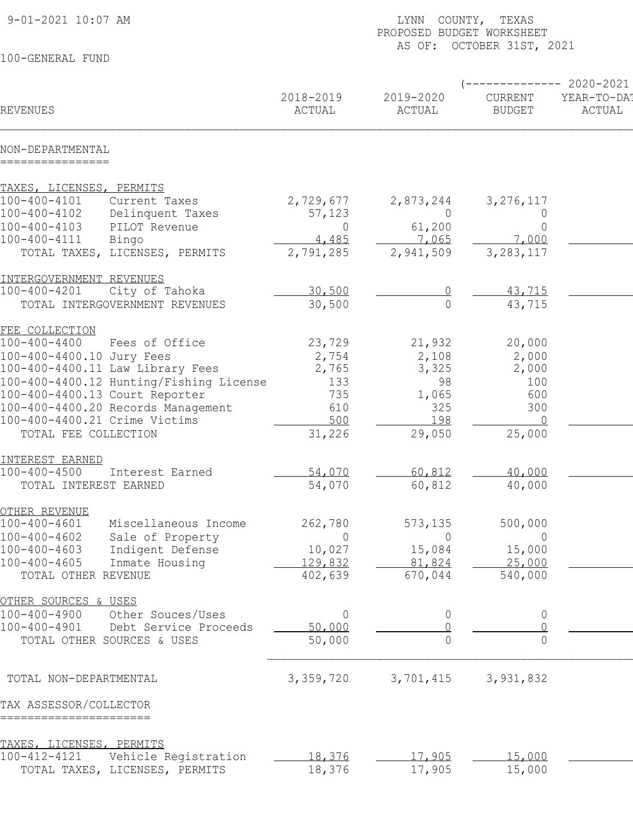| 9-01-2021 10:07 AM<br>COUNTY, TEXAS<br>LYNN<br>PROPOSED BUDGET WORKSHEET<br>AS OF: OCTOBER 31ST, 2021 |                     |                     |                          |                       |
|-------------------------------------------------------------------------------------------------------|---------------------|---------------------|--------------------------|-----------------------|
| 100-GENERAL FUND                                                                                      |                     |                     |                          |                       |
|                                                                                                       |                     |                     |                          | $-2020 - 2021$        |
| REVENUES                                                                                              | 2018-2019<br>ACTUAL | 2019-2020<br>ACTUAL | CURRENT<br><b>BUDGET</b> | YEAR-TO-DA!<br>ACTUAL |
| NON-DEPARTMENTAL<br>================                                                                  |                     |                     |                          |                       |
| TAXES, LICENSES, PERMITS                                                                              |                     |                     |                          |                       |
| $100 - 400 - 4101$<br>Current Taxes                                                                   | 2,729,677           | 2,873,244           | 3, 276, 117              |                       |
| 100-400-4102<br>Delinquent Taxes                                                                      | 57,123              | $\overline{0}$      | $\overline{0}$           |                       |
| 100-400-4103<br>PILOT Revenue                                                                         | $\overline{0}$      | 61,200              | $\overline{0}$           |                       |
| 100-400-4111<br>Bingo                                                                                 | 4,485               | 7,065               | 7,000                    |                       |
| TOTAL TAXES, LICENSES, PERMITS                                                                        | 2,791,285           | 2,941,509           | 3, 283, 117              |                       |
| INTERGOVERNMENT REVENUES                                                                              |                     |                     |                          |                       |
| $100 - 400 - 4201$<br>City of Tahoka                                                                  | 30,500              |                     | 43,715                   |                       |
| TOTAL INTERGOVERNMENT REVENUES                                                                        | 30,500              | $\overline{0}$      | 43,715                   |                       |
| FEE COLLECTION                                                                                        |                     |                     |                          |                       |
| $100 - 400 - 4400$<br>Fees of Office                                                                  | 23,729              | 21,932              | 20,000                   |                       |
| 100-400-4400.10 Jury Fees                                                                             | 2,754               | 2,108               | 2,000                    |                       |
| 100-400-4400.11 Law Library Fees                                                                      | 2,765               | 3,325               | 2,000                    |                       |
| 100-400-4400.12 Hunting/Fishing License<br>100-400-4400.13 Court Reporter                             | 133<br>735          | 98<br>1,065         | 100<br>600               |                       |
| 100-400-4400.20 Records Management                                                                    | 610                 | 325                 | 300                      |                       |
| 100-400-4400.21 Crime Victims                                                                         | 500                 | 198                 | $\overline{0}$           |                       |
| TOTAL FEE COLLECTION                                                                                  | 31,226              | 29,050              | 25,000                   |                       |
| INTEREST EARNED                                                                                       |                     |                     |                          |                       |
| $100 - 400 - 4500$<br>Interest Earned                                                                 | 54,070              | 60,812              | 40,000                   |                       |
| TOTAL INTEREST EARNED                                                                                 | 54,070              | 60,812              | 40,000                   |                       |
|                                                                                                       |                     |                     |                          |                       |
| OTHER REVENUE<br>$100 - 400 - 4601$<br>Miscellaneous Income                                           | 262,780             | 573,135             | 500,000                  |                       |
| $100 - 400 - 4602$<br>Sale of Property                                                                | $\Omega$            | $\Omega$            | $\overline{0}$           |                       |
| Indigent Defense<br>$100 - 400 - 4603$                                                                | 10,027              | 15,084              | 15,000                   |                       |
| Inmate Housing<br>$100 - 400 - 4605$                                                                  | 129,832             | 81,824              | 25,000                   |                       |
| TOTAL OTHER REVENUE                                                                                   | 402,639             | 670,044             | 540,000                  |                       |
| OTHER SOURCES & USES                                                                                  |                     |                     |                          |                       |
| $100 - 400 - 4900$<br>Other Souces/Uses                                                               | $\overline{0}$      | $\overline{0}$      | $\overline{0}$           |                       |
| Debt Service Proceeds<br>$100 - 400 - 4901$                                                           | 50,000              |                     |                          |                       |
| TOTAL OTHER SOURCES & USES                                                                            | 50,000              | $\bigcap$           | $\Omega$                 |                       |
| TOTAL NON-DEPARTMENTAL                                                                                | 3,359,720           | 3,701,415           | 3,931,832                |                       |
| TAX ASSESSOR/COLLECTOR                                                                                |                     |                     |                          |                       |
| =======================                                                                               |                     |                     |                          |                       |
| TAXES, LICENSES, PERMITS<br>100-412-4121                                                              |                     |                     |                          |                       |
| Vehicle Registration<br>TOTAL TAXES, LICENSES, PERMITS                                                | 18,376<br>18,376    | 17,905<br>17,905    | 15,000<br>15,000         |                       |
|                                                                                                       |                     |                     |                          |                       |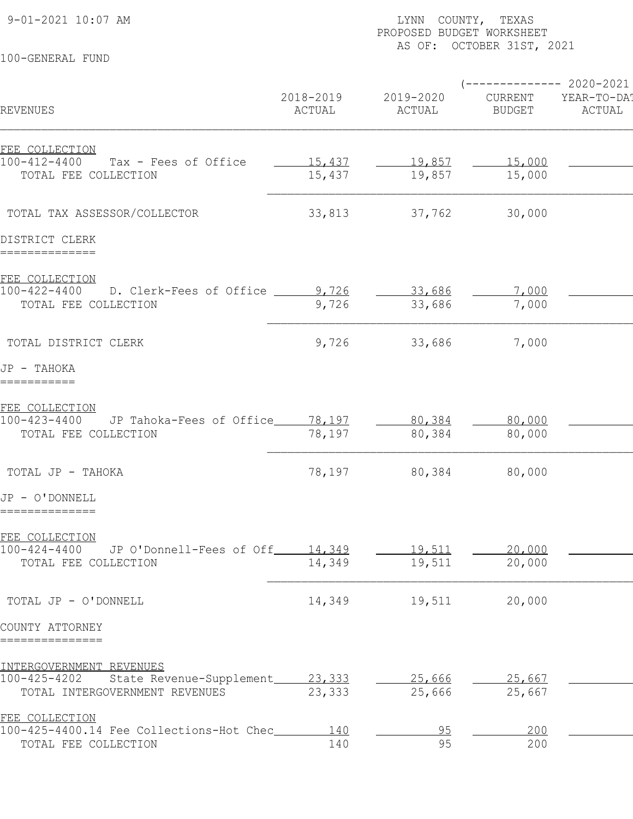9-01-2021 10:07 AM LYNN COUNTY, TEXAS PAGE: 2 PROPOSED BUDGET WORKSHEET

## 100-GENERAL FUND

## AS OF: OCTOBER 31ST, 2021

|                                                              |                     |                     | $---------2020-2021$     |                       |
|--------------------------------------------------------------|---------------------|---------------------|--------------------------|-----------------------|
| REVENUES                                                     | 2018-2019<br>ACTUAL | 2019-2020<br>ACTUAL | CURRENT<br><b>BUDGET</b> | YEAR-TO-DA!<br>ACTUAL |
| FEE COLLECTION                                               |                     |                     |                          |                       |
| 100-412-4400<br>Tax - Fees of Office                         | 15,437              | 19,857              | 15,000                   |                       |
| TOTAL FEE COLLECTION                                         | 15,437              | 19,857              | 15,000                   |                       |
|                                                              |                     |                     |                          |                       |
| TOTAL TAX ASSESSOR/COLLECTOR                                 | 33,813              | 37,762              | 30,000                   |                       |
| DISTRICT CLERK                                               |                     |                     |                          |                       |
| ==============                                               |                     |                     |                          |                       |
| FEE COLLECTION<br>100-422-4400 D. Clerk-Fees of Office 1,726 |                     | 33,686              | 7,000                    |                       |
| TOTAL FEE COLLECTION                                         | 9,726               | 33,686              | 7,000                    |                       |
|                                                              |                     |                     |                          |                       |
| TOTAL DISTRICT CLERK                                         | 9,726               | 33,686              | 7,000                    |                       |
| JP - TAHOKA                                                  |                     |                     |                          |                       |
| ===========                                                  |                     |                     |                          |                       |
| FEE COLLECTION<br>100-423-4400                               |                     |                     |                          |                       |
| JP Tahoka-Fees of Office_____78,197                          |                     | 80,384              | 80,000                   |                       |
| TOTAL FEE COLLECTION                                         | 78,197              | 80,384              | 80,000                   |                       |
| TOTAL JP - TAHOKA                                            | 78,197              | 80,384              | 80,000                   |                       |
| JP - O'DONNELL                                               |                     |                     |                          |                       |
| ==============                                               |                     |                     |                          |                       |
| FEE COLLECTION                                               |                     |                     |                          |                       |
| $100 - 424 - 4400$<br>JP O'Donnell-Fees of Off               | 14,349              | 19,511              | 20,000                   |                       |
| TOTAL FEE COLLECTION                                         | 14,349              | 19,511              | 20,000                   |                       |
| TOTAL JP - O'DONNELL                                         | 14,349              | 19,511              | 20,000                   |                       |
| COUNTY ATTORNEY                                              |                     |                     |                          |                       |
| ===============                                              |                     |                     |                          |                       |
| INTERGOVERNMENT REVENUES                                     |                     |                     |                          |                       |
| 100-425-4202<br>State Revenue-Supplement_                    | 23,333              | 25,666              | 25,667                   |                       |
| TOTAL INTERGOVERNMENT REVENUES                               | 23,333              | 25,666              | 25,667                   |                       |
| FEE COLLECTION<br>100-425-4400.14 Fee Collections-Hot Chec_  | 140                 | 95                  | 200                      |                       |
| TOTAL FEE COLLECTION                                         | 140                 | 95                  | 200                      |                       |
|                                                              |                     |                     |                          |                       |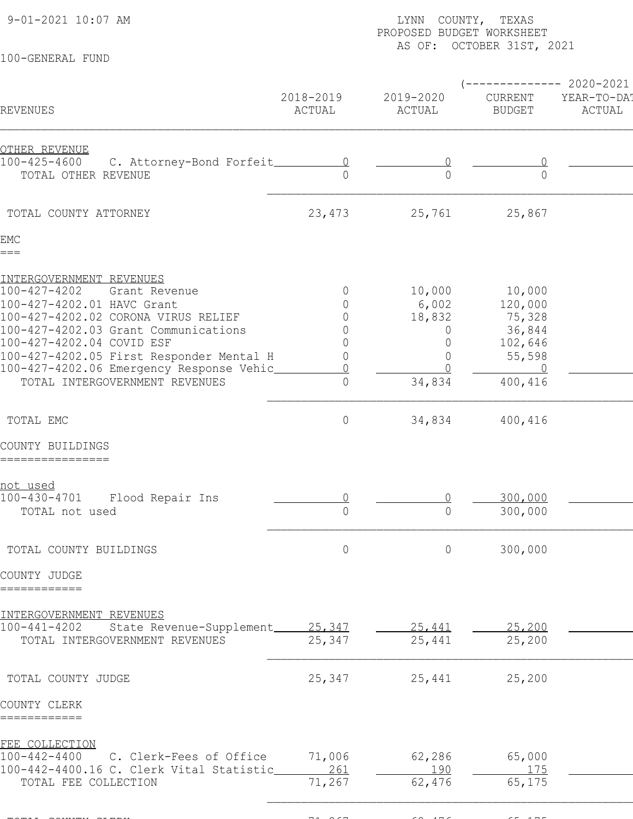9-01-2021 10:07 AM LYNN COUNTY, TEXAS PAGE: 3

100-GENERAL FUND

## PROPOSED BUDGET WORKSHEET AS OF: OCTOBER 31ST, 2021

|                                                                  |                     |                     | ---------                | 2020-2021             |
|------------------------------------------------------------------|---------------------|---------------------|--------------------------|-----------------------|
| REVENUES                                                         | 2018-2019<br>ACTUAL | 2019-2020<br>ACTUAL | CURRENT<br><b>BUDGET</b> | YEAR-TO-DAT<br>ACTUAL |
| OTHER REVENUE                                                    |                     |                     |                          |                       |
| 100-425-4600<br>C. Attorney-Bond Forfeit_                        |                     |                     |                          |                       |
| TOTAL OTHER REVENUE                                              |                     | $\Omega$            | $\Omega$                 |                       |
|                                                                  |                     |                     |                          |                       |
| TOTAL COUNTY ATTORNEY                                            | 23, 473             | 25,761              | 25,867                   |                       |
| EMC                                                              |                     |                     |                          |                       |
| $===$                                                            |                     |                     |                          |                       |
| INTERGOVERNMENT REVENUES                                         |                     |                     |                          |                       |
| $100 - 427 - 4202$<br>Grant Revenue                              | $\overline{0}$      | 10,000              | 10,000                   |                       |
| 100-427-4202.01 HAVC Grant                                       |                     | 6,002               | 120,000                  |                       |
| 100-427-4202.02 CORONA VIRUS RELIEF                              |                     | 18,832              | 75,328                   |                       |
| 100-427-4202.03 Grant Communications                             |                     | $\overline{0}$      | 36,844                   |                       |
| 100-427-4202.04 COVID ESF                                        |                     | $\Omega$            | 102,646                  |                       |
| 100-427-4202.05 First Responder Mental H                         |                     |                     | 55,598                   |                       |
| 100-427-4202.06 Emergency Response Vehic                         |                     |                     | - 0                      |                       |
| TOTAL INTERGOVERNMENT REVENUES                                   | 0                   | 34,834              | 400,416                  |                       |
| TOTAL EMC                                                        | $\overline{0}$      | 34,834              | 400,416                  |                       |
| COUNTY BUILDINGS                                                 |                     |                     |                          |                       |
| ================                                                 |                     |                     |                          |                       |
| <u>not used</u>                                                  |                     |                     |                          |                       |
| $100 - 430 - 4701$<br>Flood Repair Ins                           |                     |                     | 300,000                  |                       |
| TOTAL not used                                                   | $\Omega$            | $\overline{0}$      | 300,000                  |                       |
|                                                                  |                     |                     |                          |                       |
| TOTAL COUNTY BUILDINGS                                           | $\circ$             | $\circ$             | 300,000                  |                       |
| COUNTY JUDGE                                                     |                     |                     |                          |                       |
| ============                                                     |                     |                     |                          |                       |
| INTERGOVERNMENT REVENUES                                         |                     |                     |                          |                       |
| $100 - 441 - 4202$<br>State Revenue-Supplement_                  | 25,347              | 25,441              | 25,200                   |                       |
| TOTAL INTERGOVERNMENT REVENUES                                   | 25,347              | 25,441              | 25,200                   |                       |
|                                                                  |                     |                     |                          |                       |
| TOTAL COUNTY JUDGE                                               | 25,347              | 25,441              | 25,200                   |                       |
| COUNTY CLERK                                                     |                     |                     |                          |                       |
| ============                                                     |                     |                     |                          |                       |
| FEE COLLECTION                                                   |                     |                     |                          |                       |
| $100 - 442 - 4400$<br>C. Clerk-Fees of Office                    | 71,006              | 62,286              | 65,000                   |                       |
| 100-442-4400.16 C. Clerk Vital Statistic<br>TOTAL FEE COLLECTION | 261<br>71,267       | 190<br>62,476       | 175<br>65,175            |                       |
|                                                                  |                     |                     |                          |                       |
|                                                                  |                     |                     |                          |                       |

TOTAL COUNTY CLERK 71,267 63,176 65,176 65,175 65,175 65,175 65,175 65,175 65,175 65,175 65,175 65,175 0 65,175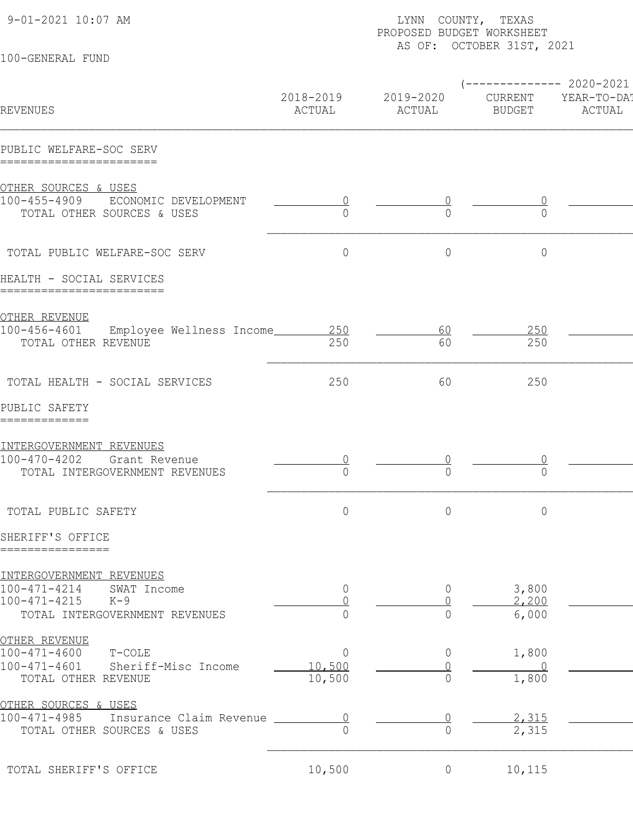| 9-01-2021 10:07 AM                                                          | LYNN COUNTY, TEXAS<br>PROPOSED BUDGET WORKSHEET<br>AS OF: OCTOBER 31ST, 2021 |                     |                          |                                                 |  |
|-----------------------------------------------------------------------------|------------------------------------------------------------------------------|---------------------|--------------------------|-------------------------------------------------|--|
| 100-GENERAL FUND                                                            |                                                                              |                     |                          |                                                 |  |
| REVENUES                                                                    | 2018-2019<br>ACTUAL                                                          | 2019-2020<br>ACTUAL | CURRENT<br><b>BUDGET</b> | ------------ 2020-2021<br>YEAR-TO-DA!<br>ACTUAL |  |
| PUBLIC WELFARE-SOC SERV<br>=======================                          |                                                                              |                     |                          |                                                 |  |
| OTHER SOURCES & USES                                                        |                                                                              |                     |                          |                                                 |  |
| 100-455-4909<br>ECONOMIC DEVELOPMENT<br>TOTAL OTHER SOURCES & USES          | ∩                                                                            | $\bigcap$           | $\Omega$                 |                                                 |  |
| TOTAL PUBLIC WELFARE-SOC SERV                                               | $\mathbf 0$                                                                  | $\mathbf 0$         | $\circ$                  |                                                 |  |
| HEALTH - SOCIAL SERVICES<br>=========================                       |                                                                              |                     |                          |                                                 |  |
| OTHER REVENUE                                                               |                                                                              |                     |                          |                                                 |  |
| 100-456-4601<br>Employee Wellness Income<br>TOTAL OTHER REVENUE             | 250<br>250                                                                   | <u>60</u><br>60     | 250<br>250               |                                                 |  |
| TOTAL HEALTH - SOCIAL SERVICES                                              | 250                                                                          | 60                  | 250                      |                                                 |  |
| PUBLIC SAFETY<br>=============                                              |                                                                              |                     |                          |                                                 |  |
| INTERGOVERNMENT REVENUES                                                    |                                                                              |                     |                          |                                                 |  |
| $100 - 470 - 4202$<br>Grant Revenue<br>TOTAL INTERGOVERNMENT REVENUES       | $\Omega$                                                                     | $\Omega$            |                          |                                                 |  |
| TOTAL PUBLIC SAFETY                                                         | $\circ$                                                                      | $\circ$             | $\circ$                  |                                                 |  |
| SHERIFF'S OFFICE<br>================                                        |                                                                              |                     |                          |                                                 |  |
| INTERGOVERNMENT REVENUES                                                    |                                                                              |                     |                          |                                                 |  |
| $100 - 471 - 4214$<br>SWAT Income                                           | $\overline{0}$                                                               | $\overline{0}$      | 3,800                    |                                                 |  |
| $100 - 471 - 4215$<br>$K-9$                                                 |                                                                              |                     | 2,200                    |                                                 |  |
| TOTAL INTERGOVERNMENT REVENUES                                              | 0                                                                            | $\overline{0}$      | 6,000                    |                                                 |  |
| <u>OTHER REVENUE</u>                                                        |                                                                              |                     |                          |                                                 |  |
| $100 - 471 - 4600$<br>T-COLE<br>$100 - 471 - 4601$<br>Sheriff-Misc Income   | $\overline{0}$<br>10,500                                                     | $\overline{0}$      | 1,800<br>$\Omega$        |                                                 |  |
| TOTAL OTHER REVENUE                                                         | 10,500                                                                       | $\overline{0}$      | 1,800                    |                                                 |  |
| <u>OTHER SOURCES &amp; USES</u>                                             |                                                                              |                     |                          |                                                 |  |
| $100 - 471 - 4985$<br>Insurance Claim Revenue<br>TOTAL OTHER SOURCES & USES | $\cap$                                                                       | $\Omega$            | 2,315<br>2,315           |                                                 |  |
| TOTAL SHERIFF'S OFFICE                                                      | 10,500                                                                       | $\overline{0}$      | 10,115                   |                                                 |  |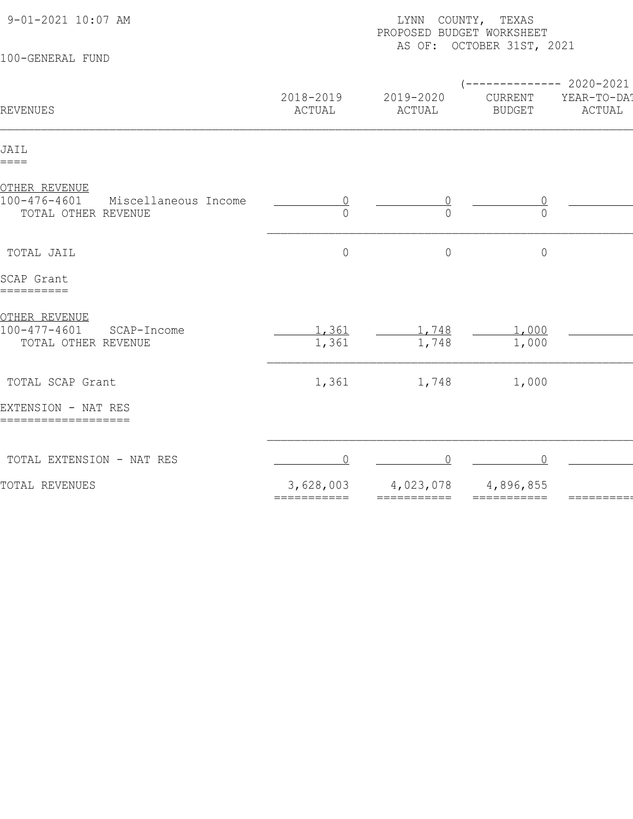| 9-01-2021 10:07 AM                                                           | LYNN COUNTY, TEXAS<br>PROPOSED BUDGET WORKSHEET |                              |                                                   |                       |  |  |  |
|------------------------------------------------------------------------------|-------------------------------------------------|------------------------------|---------------------------------------------------|-----------------------|--|--|--|
| 100-GENERAL FUND                                                             | AS OF: OCTOBER 31ST, 2021                       |                              |                                                   |                       |  |  |  |
| REVENUES                                                                     | 2018-2019<br>ACTUAL                             | 2019-2020<br>ACTUAL          | $--------- 2020-2021$<br>CURRENT<br><b>BUDGET</b> | YEAR-TO-DAT<br>ACTUAL |  |  |  |
| JAIL<br>$====$                                                               |                                                 |                              |                                                   |                       |  |  |  |
| OTHER REVENUE<br>100-476-4601<br>Miscellaneous Income<br>TOTAL OTHER REVENUE | $\cup$<br>$\cap$                                | $\bigcap$                    | $\overline{0}$<br>$\bigcap$                       |                       |  |  |  |
| TOTAL JAIL                                                                   | $\circ$                                         | $\overline{0}$               | $\circ$                                           |                       |  |  |  |
| SCAP Grant<br>==========                                                     |                                                 |                              |                                                   |                       |  |  |  |
| OTHER REVENUE<br>$100 - 477 - 4601$<br>SCAP-Income<br>TOTAL OTHER REVENUE    | 1,361<br>1,361                                  | 1,748<br>1,748               | 1,000<br>1,000                                    |                       |  |  |  |
| TOTAL SCAP Grant                                                             | 1,361                                           | 1,748                        | 1,000                                             |                       |  |  |  |
| EXTENSION - NAT RES<br>===================                                   |                                                 |                              |                                                   |                       |  |  |  |
| TOTAL EXTENSION - NAT RES                                                    | ∩                                               |                              |                                                   |                       |  |  |  |
| TOTAL REVENUES                                                               | 3,628,003<br>===========                        | 4,023,078<br>$=$ =========== | 4,896,855<br>===========                          |                       |  |  |  |
|                                                                              |                                                 |                              |                                                   |                       |  |  |  |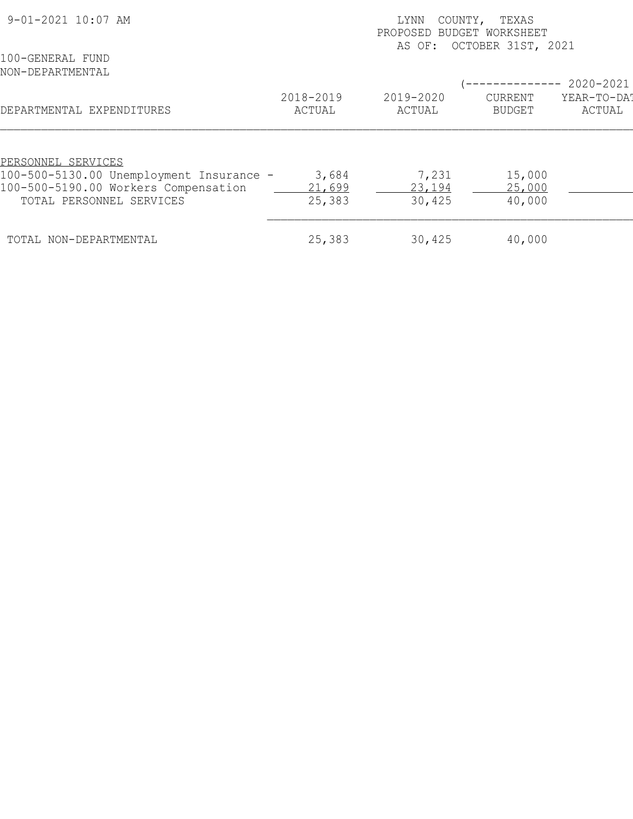| 9-01-2021 10:07 AM                       | COUNTY,<br>LYNN<br>TEXAS<br>PROPOSED BUDGET WORKSHEET<br>AS OF: OCTOBER 31ST, 2021 |                     |                          |                       |  |
|------------------------------------------|------------------------------------------------------------------------------------|---------------------|--------------------------|-----------------------|--|
| 100-GENERAL FUND<br>NON-DEPARTMENTAL     |                                                                                    |                     | -------------            | 2020-2021             |  |
| DEPARTMENTAL EXPENDITURES                | 2018-2019<br>ACTUAL                                                                | 2019-2020<br>ACTUAL | CURRENT<br><b>BUDGET</b> | YEAR-TO-DAT<br>ACTUAL |  |
|                                          |                                                                                    |                     |                          |                       |  |
| PERSONNEL SERVICES                       |                                                                                    |                     |                          |                       |  |
| 100-500-5130.00 Unemployment Insurance - | 3,684                                                                              | 7,231               | 15,000                   |                       |  |
| 100-500-5190.00 Workers Compensation     | 21,699                                                                             | 23,194              | 25,000                   |                       |  |
| TOTAL PERSONNEL SERVICES                 | 25,383                                                                             | 30,425              | 40,000                   |                       |  |
| TOTAL NON-DEPARTMENTAL                   | 25,383                                                                             | 30,425              | 40,000                   |                       |  |
|                                          |                                                                                    |                     |                          |                       |  |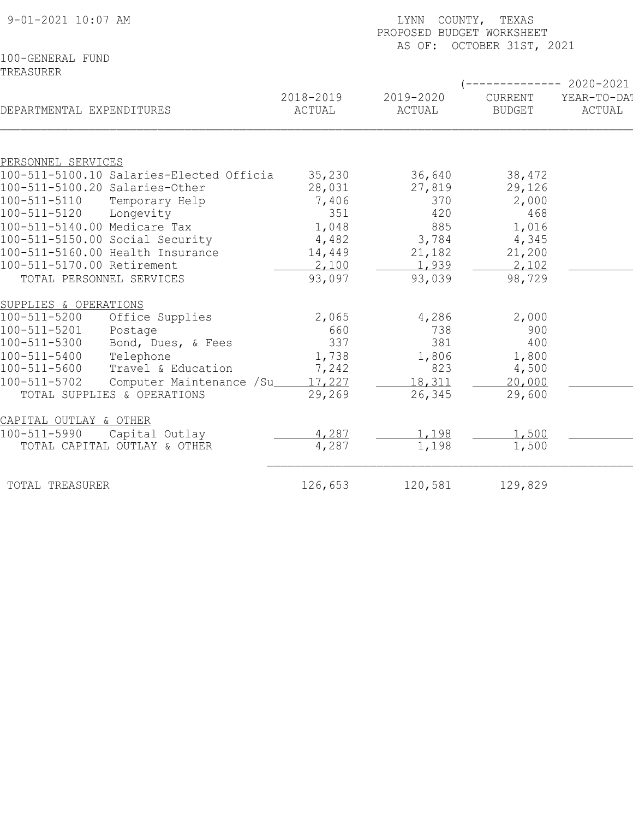| 9-01-2021 10:07 AM                       | COUNTY, TEXAS<br>LYNN<br>PROPOSED BUDGET WORKSHEET<br>AS OF: OCTOBER 31ST, 2021 |                     |                     |                          |                       |  |
|------------------------------------------|---------------------------------------------------------------------------------|---------------------|---------------------|--------------------------|-----------------------|--|
| 100-GENERAL FUND                         |                                                                                 |                     |                     |                          |                       |  |
| TREASURER                                |                                                                                 |                     |                     |                          |                       |  |
|                                          |                                                                                 |                     |                     |                          | ----------- 2020-2021 |  |
| DEPARTMENTAL EXPENDITURES                |                                                                                 | 2018-2019<br>ACTUAL | 2019-2020<br>ACTUAL | CURRENT<br><b>BUDGET</b> | YEAR-TO-DAT<br>ACTUAL |  |
|                                          |                                                                                 |                     |                     |                          |                       |  |
| PERSONNEL SERVICES                       |                                                                                 |                     |                     |                          |                       |  |
| 100-511-5100.10 Salaries-Elected Officia |                                                                                 | 35,230              | 36,640              | 38,472                   |                       |  |
| 100-511-5100.20 Salaries-Other           |                                                                                 | 28,031              | 27,819              | 29,126                   |                       |  |
| $100 - 511 - 5110$<br>Temporary Help     |                                                                                 | 7,406               | 370                 | 2,000                    |                       |  |
| 100-511-5120<br>Longevity                |                                                                                 | 351                 | 420                 | 468                      |                       |  |
| 100-511-5140.00 Medicare Tax             |                                                                                 | 1,048               | 885                 | 1,016                    |                       |  |
| 100-511-5150.00 Social Security          |                                                                                 | 4,482               | 3,784               | 4,345                    |                       |  |
| 100-511-5160.00 Health Insurance         |                                                                                 | 14,449              | 21,182              | 21,200                   |                       |  |
| 100-511-5170.00 Retirement               |                                                                                 | 2,100               | 1,939               | 2,102                    |                       |  |
| TOTAL PERSONNEL SERVICES                 |                                                                                 | 93,097              | 93,039              | 98,729                   |                       |  |
| SUPPLIES & OPERATIONS                    |                                                                                 |                     |                     |                          |                       |  |
| $100 - 511 - 5200$                       | Office Supplies                                                                 | 2,065               | 4,286               | 2,000                    |                       |  |
| 100-511-5201<br>Postage                  |                                                                                 | 660                 | 738                 | 900                      |                       |  |
| 100-511-5300                             | Bond, Dues, & Fees                                                              | 337                 | 381                 | 400                      |                       |  |
| $100 - 511 - 5400$<br>Telephone          |                                                                                 | 1,738               | 1,806               | 1,800                    |                       |  |
| 100-511-5600                             | Travel & Education                                                              | 7,242               | 823                 | 4,500                    |                       |  |
| 100-511-5702                             | Computer Maintenance /Su_                                                       | 17,227              | 18,311              | 20,000                   |                       |  |
| TOTAL SUPPLIES & OPERATIONS              |                                                                                 | 29,269              | 26,345              | 29,600                   |                       |  |
| CAPITAL OUTLAY & OTHER                   |                                                                                 |                     |                     |                          |                       |  |
| 100-511-5990<br>Capital Outlay           |                                                                                 | 4,287               | 1,198               | 1,500                    |                       |  |
| TOTAL CAPITAL OUTLAY & OTHER             |                                                                                 | 4,287               | 1,198               | 1,500                    |                       |  |
| TOTAL TREASURER                          |                                                                                 | 126,653             | 120,581             | 129,829                  |                       |  |
|                                          |                                                                                 |                     |                     |                          |                       |  |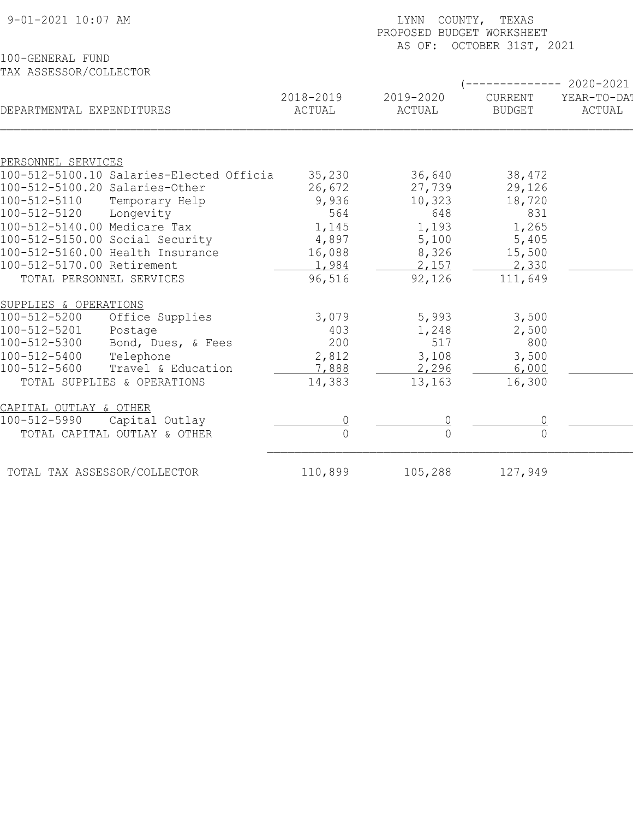| $9 - 01 - 2021$ 10:07 AM                                       | LYNN COUNTY, TEXAS<br>PROPOSED BUDGET WORKSHEET<br>AS OF: OCTOBER 31ST, 2021 |                     |                                 |                       |  |  |
|----------------------------------------------------------------|------------------------------------------------------------------------------|---------------------|---------------------------------|-----------------------|--|--|
| 100-GENERAL FUND                                               |                                                                              |                     |                                 |                       |  |  |
| TAX ASSESSOR/COLLECTOR                                         |                                                                              |                     |                                 |                       |  |  |
|                                                                |                                                                              |                     |                                 | 2020-2021             |  |  |
| DEPARTMENTAL EXPENDITURES                                      | 2018-2019<br>ACTUAL                                                          | 2019-2020<br>ACTUAL | <b>CURRENT</b><br><b>BUDGET</b> | YEAR-TO-DA!<br>ACTUAL |  |  |
|                                                                |                                                                              |                     |                                 |                       |  |  |
| PERSONNEL SERVICES<br>100-512-5100.10 Salaries-Elected Officia | 35,230                                                                       |                     | 38,472                          |                       |  |  |
| 100-512-5100.20 Salaries-Other                                 | 26,672                                                                       | 36,640<br>27,739    | 29,126                          |                       |  |  |
| $100 - 512 - 5110$<br>Temporary Help                           | 9,936                                                                        | 10,323              | 18,720                          |                       |  |  |
| 100-512-5120<br>Longevity                                      | 564                                                                          | 648                 | 831                             |                       |  |  |
| 100-512-5140.00 Medicare Tax                                   | 1,145                                                                        | 1,193               | 1,265                           |                       |  |  |
| 100-512-5150.00 Social Security                                | 4,897                                                                        | 5,100               | 5,405                           |                       |  |  |
| 100-512-5160.00 Health Insurance                               | 16,088                                                                       | 8,326               | 15,500                          |                       |  |  |
| 100-512-5170.00 Retirement                                     | 1,984                                                                        | 2,157               | 2,330                           |                       |  |  |
| TOTAL PERSONNEL SERVICES                                       | 96,516                                                                       | 92,126              | 111,649                         |                       |  |  |
| SUPPLIES & OPERATIONS                                          |                                                                              |                     |                                 |                       |  |  |
| 100-512-5200<br>Office Supplies                                | 3,079                                                                        | 5,993               | 3,500                           |                       |  |  |
| 100-512-5201<br>Postage                                        | 403                                                                          | 1,248               | 2,500                           |                       |  |  |
| $100 - 512 - 5300$<br>Bond, Dues, & Fees                       | 200                                                                          | 517                 | 800                             |                       |  |  |
| 100-512-5400<br>Telephone                                      | 2,812                                                                        | 3,108               | 3,500                           |                       |  |  |
| 100-512-5600<br>Travel & Education                             | 7,888                                                                        | 2,296               | 6,000                           |                       |  |  |
| TOTAL SUPPLIES & OPERATIONS                                    | 14,383                                                                       | 13,163              | 16,300                          |                       |  |  |
| CAPITAL OUTLAY & OTHER                                         |                                                                              |                     |                                 |                       |  |  |
| 100-512-5990<br>Capital Outlay                                 |                                                                              |                     |                                 |                       |  |  |
| TOTAL CAPITAL OUTLAY & OTHER                                   | $\Omega$                                                                     | $\overline{0}$      |                                 |                       |  |  |
| TOTAL TAX ASSESSOR/COLLECTOR                                   | 110,899                                                                      | 105,288             | 127,949                         |                       |  |  |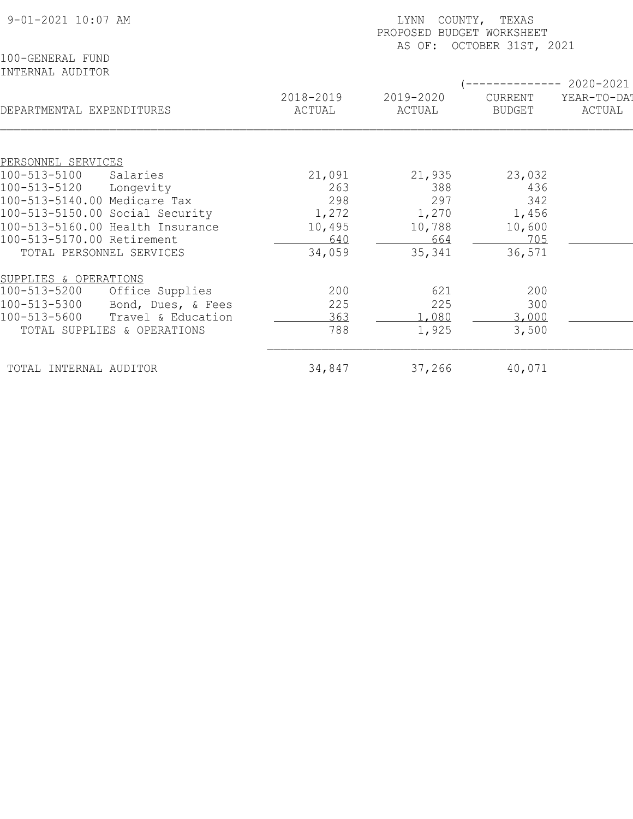| 9-01-2021 10:07 AM                    | COUNTY, TEXAS<br>LYNN<br>PROPOSED BUDGET WORKSHEET<br>OCTOBER 31ST, 2021<br>AS OF: |           |                |             |  |  |
|---------------------------------------|------------------------------------------------------------------------------------|-----------|----------------|-------------|--|--|
| 100-GENERAL FUND                      |                                                                                    |           |                |             |  |  |
| INTERNAL AUDITOR                      |                                                                                    |           |                |             |  |  |
|                                       |                                                                                    |           |                | 2020-2021   |  |  |
|                                       | 2018-2019                                                                          | 2019-2020 | <b>CURRENT</b> | YEAR-TO-DA! |  |  |
| DEPARTMENTAL EXPENDITURES             | ACTUAL                                                                             | ACTUAL    | <b>BUDGET</b>  | ACTUAL      |  |  |
|                                       |                                                                                    |           |                |             |  |  |
| PERSONNEL SERVICES                    |                                                                                    |           |                |             |  |  |
| 100-513-5100<br>Salaries              | 21,091                                                                             | 21,935    | 23,032         |             |  |  |
| 100-513-5120<br>Longevity             | 263                                                                                | 388       | 436            |             |  |  |
| 100-513-5140.00 Medicare Tax          | 298                                                                                | 297       | 342            |             |  |  |
| 100-513-5150.00 Social Security       | 1,272                                                                              | 1,270     | 1,456          |             |  |  |
| 100-513-5160.00 Health Insurance      | 10,495                                                                             | 10,788    | 10,600         |             |  |  |
| 100-513-5170.00 Retirement            | 640                                                                                | 664       | 705            |             |  |  |
| TOTAL PERSONNEL SERVICES              | 34,059                                                                             | 35,341    | 36,571         |             |  |  |
| SUPPLIES & OPERATIONS                 |                                                                                    |           |                |             |  |  |
| $100 - 513 - 5200$<br>Office Supplies | 200                                                                                | 621       | 200            |             |  |  |
| 100-513-5300<br>Bond, Dues, & Fees    | 225                                                                                | 225       | 300            |             |  |  |
| 100-513-5600<br>Travel & Education    | 363                                                                                | .080      | 3,000          |             |  |  |
| TOTAL SUPPLIES & OPERATIONS           | 788                                                                                | 1,925     | 3,500          |             |  |  |
| TOTAL INTERNAL AUDITOR                | 34,847                                                                             | 37,266    | 40,071         |             |  |  |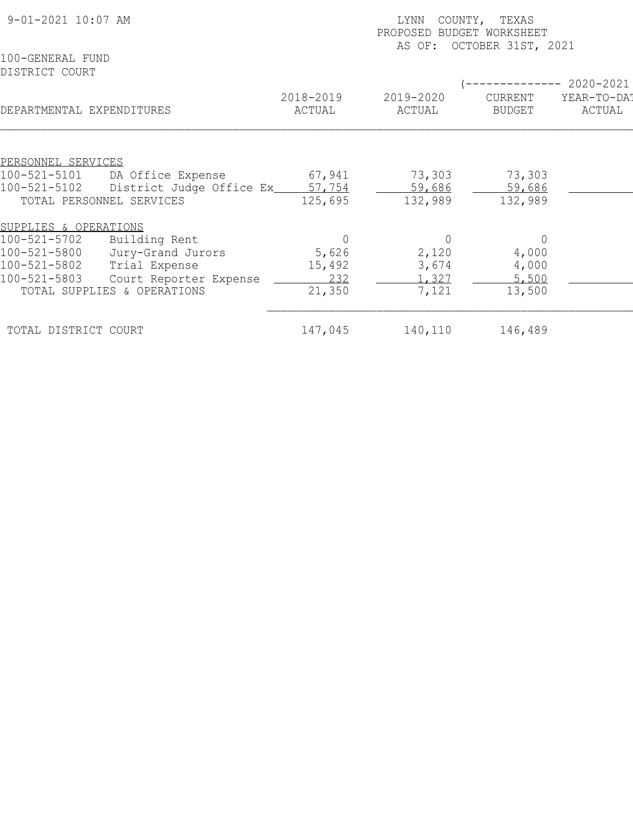| 9-01-2021 10:07 AM                 |                             | COUNTY, TEXAS<br>LYNN<br>PROPOSED BUDGET WORKSHEET<br>OCTOBER 31ST, 2021<br>AS OF: |                     |                          |                                    |  |
|------------------------------------|-----------------------------|------------------------------------------------------------------------------------|---------------------|--------------------------|------------------------------------|--|
| 100-GENERAL FUND<br>DISTRICT COURT |                             |                                                                                    |                     |                          |                                    |  |
| DEPARTMENTAL EXPENDITURES          |                             | 2018-2019<br>ACTUAL                                                                | 2019-2020<br>ACTUAL | CURRENT<br><b>BUDGET</b> | 2020-2021<br>YEAR-TO-DA!<br>ACTUAL |  |
|                                    |                             |                                                                                    |                     |                          |                                    |  |
| PERSONNEL SERVICES                 |                             |                                                                                    |                     |                          |                                    |  |
| 100-521-5101                       | DA Office Expense           | 67,941                                                                             | 73,303              | 73,303                   |                                    |  |
| 100-521-5102                       | District Judge Office Ex_   | 57,754                                                                             | 59,686              | 59,686                   |                                    |  |
| TOTAL PERSONNEL SERVICES           |                             | 125,695                                                                            | 132,989             | 132,989                  |                                    |  |
| SUPPLIES & OPERATIONS              |                             |                                                                                    |                     |                          |                                    |  |
| $100 - 521 - 5702$                 | Building Rent               |                                                                                    | $\Omega$            | $\Omega$                 |                                    |  |
| 100-521-5800                       | Jury-Grand Jurors           | 5,626                                                                              | 2,120               | 4,000                    |                                    |  |
| 100-521-5802                       | Trial Expense               | 15,492                                                                             | 3,674               | 4,000                    |                                    |  |
| 100-521-5803                       | Court Reporter Expense      | 232                                                                                | 1,327               | 5,500                    |                                    |  |
|                                    | TOTAL SUPPLIES & OPERATIONS | 21,350                                                                             | 7,121               | 13,500                   |                                    |  |
| TOTAL DISTRICT COURT               |                             | 147,045                                                                            | 140,110             | 146,489                  |                                    |  |
|                                    |                             |                                                                                    |                     |                          |                                    |  |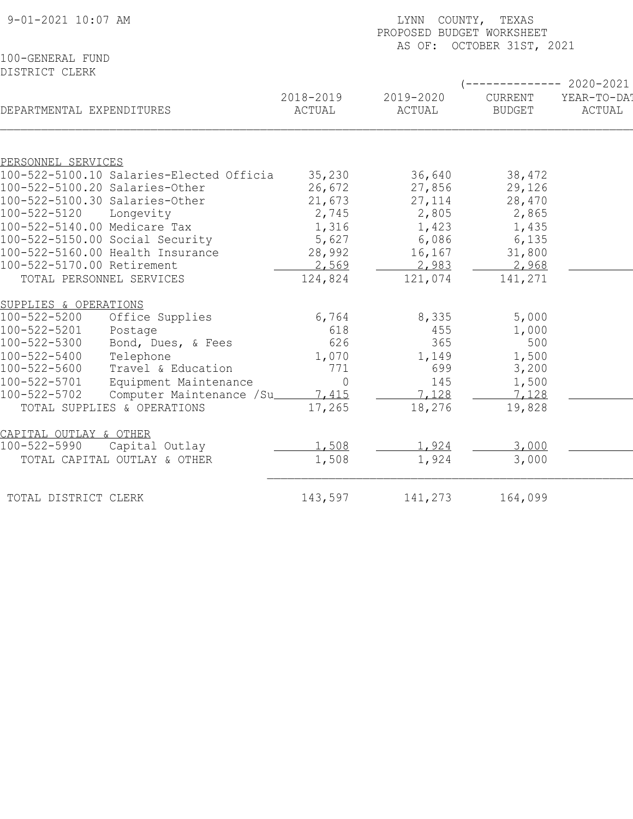| 9-01-2021 10:07 AM                        |                     | LYNN COUNTY, TEXAS<br>PROPOSED BUDGET WORKSHEET<br>AS OF: OCTOBER 31ST, 2021 |                          |                       |  |  |  |
|-------------------------------------------|---------------------|------------------------------------------------------------------------------|--------------------------|-----------------------|--|--|--|
| 100-GENERAL FUND<br>DISTRICT CLERK        |                     |                                                                              |                          |                       |  |  |  |
|                                           |                     |                                                                              |                          | $--------2020-2021$   |  |  |  |
| DEPARTMENTAL EXPENDITURES                 | 2018-2019<br>ACTUAL | 2019-2020<br>ACTUAL                                                          | CURRENT<br><b>BUDGET</b> | YEAR-TO-DA!<br>ACTUAL |  |  |  |
|                                           |                     |                                                                              |                          |                       |  |  |  |
| PERSONNEL SERVICES                        |                     |                                                                              |                          |                       |  |  |  |
| 100-522-5100.10 Salaries-Elected Officia  | 35,230              | 36,640                                                                       | 38,472                   |                       |  |  |  |
| 100-522-5100.20 Salaries-Other            | 26,672              | 27,856                                                                       | 29,126                   |                       |  |  |  |
| 100-522-5100.30 Salaries-Other            | 21,673              | 27,114                                                                       | 28,470                   |                       |  |  |  |
| 100-522-5120<br>Longevity                 | 2,745               | 2,805                                                                        | 2,865                    |                       |  |  |  |
| 100-522-5140.00 Medicare Tax              | 1,316               | 1,423                                                                        | 1,435                    |                       |  |  |  |
| 100-522-5150.00 Social Security           | 5,627               | 6,086                                                                        | 6,135                    |                       |  |  |  |
| 100-522-5160.00 Health Insurance          | 28,992              | 16,167                                                                       | 31,800                   |                       |  |  |  |
| 100-522-5170.00 Retirement                | 2,569               | 2,983                                                                        | 2,968                    |                       |  |  |  |
| TOTAL PERSONNEL SERVICES                  | 124,824             | 121,074                                                                      | 141,271                  |                       |  |  |  |
| SUPPLIES & OPERATIONS                     |                     |                                                                              |                          |                       |  |  |  |
| $100 - 522 - 5200$<br>Office Supplies     | 6,764               | 8,335                                                                        | 5,000                    |                       |  |  |  |
| 100-522-5201<br>Postage                   | 618                 | 455                                                                          | 1,000                    |                       |  |  |  |
| Bond, Dues, & Fees<br>100-522-5300        | 626                 | 365                                                                          | 500                      |                       |  |  |  |
| 100-522-5400<br>Telephone                 | 1,070               | 1,149                                                                        | 1,500                    |                       |  |  |  |
| 100-522-5600<br>Travel & Education        | 771                 | 699                                                                          | 3,200                    |                       |  |  |  |
| Equipment Maintenance<br>100-522-5701     | $\overline{0}$      | 145                                                                          | 1,500                    |                       |  |  |  |
| 100-522-5702<br>Computer Maintenance /Su_ | 7,415               | 7,128                                                                        | 7,128                    |                       |  |  |  |
| TOTAL SUPPLIES & OPERATIONS               | 17,265              | 18,276                                                                       | 19,828                   |                       |  |  |  |
|                                           |                     |                                                                              |                          |                       |  |  |  |
| CAPITAL OUTLAY & OTHER                    |                     |                                                                              |                          |                       |  |  |  |
| 100-522-5990<br>Capital Outlay            | 1,508               | 1,924                                                                        | 3,000                    |                       |  |  |  |
| TOTAL CAPITAL OUTLAY & OTHER              | 1,508               | 1,924                                                                        | 3,000                    |                       |  |  |  |
| TOTAL DISTRICT CLERK                      | 143,597             | 141,273                                                                      | 164,099                  |                       |  |  |  |
|                                           |                     |                                                                              |                          |                       |  |  |  |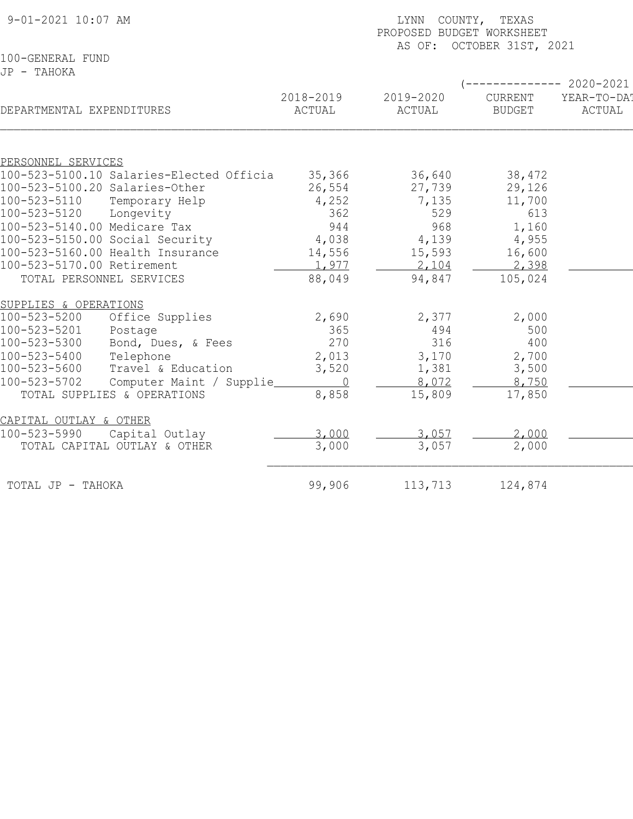| 9-01-2021 10:07 AM                       |           | COUNTY, TEXAS<br>LYNN<br>PROPOSED BUDGET WORKSHEET<br>AS OF: OCTOBER 31ST, 2021 |                |             |  |  |
|------------------------------------------|-----------|---------------------------------------------------------------------------------|----------------|-------------|--|--|
| 100-GENERAL FUND                         |           |                                                                                 |                |             |  |  |
| JP - TAHOKA                              |           |                                                                                 |                |             |  |  |
|                                          |           |                                                                                 |                | 2020-2021   |  |  |
|                                          | 2018-2019 | 2019-2020                                                                       | <b>CURRENT</b> | YEAR-TO-DA! |  |  |
| DEPARTMENTAL EXPENDITURES                | ACTUAL    | ACTUAL                                                                          | <b>BUDGET</b>  | ACTUAL      |  |  |
|                                          |           |                                                                                 |                |             |  |  |
| PERSONNEL SERVICES                       |           |                                                                                 |                |             |  |  |
| 100-523-5100.10 Salaries-Elected Officia | 35,366    | 36,640                                                                          | 38,472         |             |  |  |
| 100-523-5100.20 Salaries-Other           | 26,554    | 27,739                                                                          | 29,126         |             |  |  |
| 100-523-5110<br>Temporary Help           | 4,252     | 7,135                                                                           | 11,700         |             |  |  |
| 100-523-5120<br>Longevity                | 362       | 529                                                                             | 613            |             |  |  |
| 100-523-5140.00 Medicare Tax             | 944       | 968                                                                             | 1,160          |             |  |  |
| 100-523-5150.00 Social Security          | 4,038     | 4,139                                                                           | 4,955          |             |  |  |
| 100-523-5160.00 Health Insurance         | 14,556    | 15,593                                                                          | 16,600         |             |  |  |
| 100-523-5170.00 Retirement               | 1,977     | 2,104                                                                           | 2,398          |             |  |  |
| TOTAL PERSONNEL SERVICES                 | 88,049    | 94,847                                                                          | 105,024        |             |  |  |
| SUPPLIES & OPERATIONS                    |           |                                                                                 |                |             |  |  |
| 100-523-5200<br>Office Supplies          | 2,690     | 2,377                                                                           | 2,000          |             |  |  |
| 100-523-5201<br>Postage                  | 365       | 494                                                                             | 500            |             |  |  |
| Bond, Dues, & Fees<br>100-523-5300       | 270       | 316                                                                             | 400            |             |  |  |
| 100-523-5400<br>Telephone                | 2,013     | 3,170                                                                           | 2,700          |             |  |  |
| 100-523-5600<br>Travel & Education       | 3,520     | 1,381                                                                           | 3,500          |             |  |  |
| 100-523-5702<br>Computer Maint / Supplie | $\bigcap$ | 8,072                                                                           | 8,750          |             |  |  |
| TOTAL SUPPLIES & OPERATIONS              | 8,858     | 15,809                                                                          | 17,850         |             |  |  |
| CAPITAL OUTLAY & OTHER                   |           |                                                                                 |                |             |  |  |
| 100-523-5990<br>Capital Outlay           | 3,000     | 3,057                                                                           | 2,000          |             |  |  |
| TOTAL CAPITAL OUTLAY & OTHER             | 3,000     | 3,057                                                                           | 2,000          |             |  |  |
| TOTAL JP - TAHOKA                        | 99,906    | 113,713                                                                         | 124,874        |             |  |  |
|                                          |           |                                                                                 |                |             |  |  |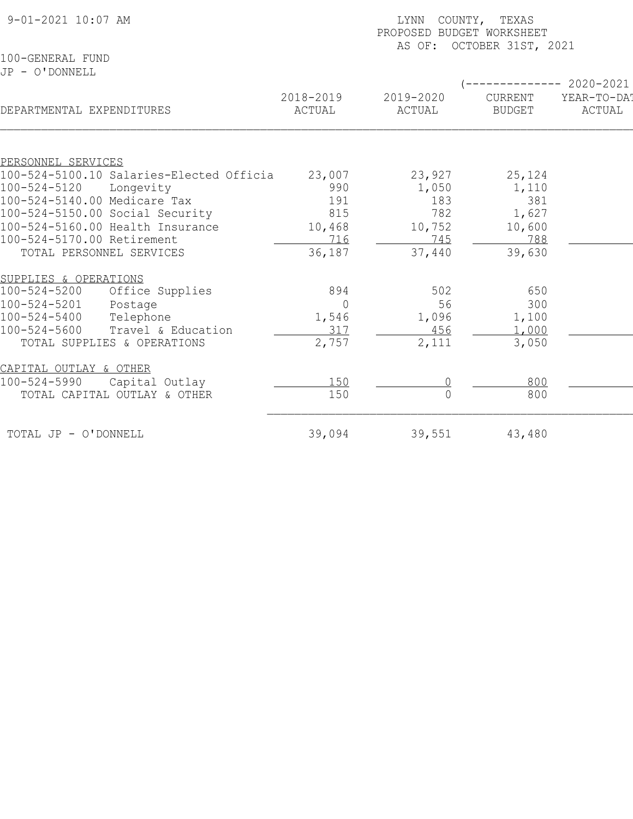| 9-01-2021 10:07 AM                                             |                    |                     | LYNN COUNTY, TEXAS<br>PROPOSED BUDGET WORKSHEET<br>AS OF: OCTOBER 31ST, 2021 |                          |                                                |  |  |
|----------------------------------------------------------------|--------------------|---------------------|------------------------------------------------------------------------------|--------------------------|------------------------------------------------|--|--|
| 100-GENERAL FUND<br>JP - O'DONNELL                             |                    |                     |                                                                              |                          |                                                |  |  |
| DEPARTMENTAL EXPENDITURES                                      |                    | 2018-2019<br>ACTUAL | 2019-2020<br>ACTUAL                                                          | CURRENT<br><b>BUDGET</b> | ----------- 2020-2021<br>YEAR-TO-DA!<br>ACTUAL |  |  |
|                                                                |                    |                     |                                                                              |                          |                                                |  |  |
| PERSONNEL SERVICES<br>100-524-5100.10 Salaries-Elected Officia |                    | 23,007              | 23,927                                                                       | 25,124                   |                                                |  |  |
| 100-524-5120<br>Longevity                                      |                    | 990                 | 1,050                                                                        | 1,110                    |                                                |  |  |
| 100-524-5140.00 Medicare Tax                                   |                    | 191                 | 183                                                                          | 381                      |                                                |  |  |
| 100-524-5150.00 Social Security                                |                    | 815                 | 782                                                                          | 1,627                    |                                                |  |  |
| 100-524-5160.00 Health Insurance                               |                    | 10,468              | 10,752                                                                       | 10,600                   |                                                |  |  |
| 100-524-5170.00 Retirement                                     |                    | 716                 | 745                                                                          | 788                      |                                                |  |  |
| TOTAL PERSONNEL SERVICES                                       |                    | 36,187              | 37,440                                                                       | 39,630                   |                                                |  |  |
| SUPPLIES & OPERATIONS                                          |                    |                     |                                                                              |                          |                                                |  |  |
| $100 - 524 - 5200$                                             | Office Supplies    | 894                 | 502                                                                          | 650                      |                                                |  |  |
| 100-524-5201<br>Postage                                        |                    | $\bigcap$           | 56                                                                           | 300                      |                                                |  |  |
| $100 - 524 - 5400$<br>Telephone                                |                    | 1,546               | 1,096                                                                        | 1,100                    |                                                |  |  |
| $100 - 524 - 5600$                                             | Travel & Education | 317                 | 456                                                                          | 1,000                    |                                                |  |  |
| TOTAL SUPPLIES & OPERATIONS                                    |                    | 2,757               | 2,111                                                                        | 3,050                    |                                                |  |  |
| CAPITAL OUTLAY & OTHER                                         |                    |                     |                                                                              |                          |                                                |  |  |
| 100-524-5990                                                   | Capital Outlay     | 150                 |                                                                              | 800                      |                                                |  |  |
| TOTAL CAPITAL OUTLAY & OTHER                                   |                    | 150                 | $\Omega$                                                                     | 800                      |                                                |  |  |
| TOTAL JP - O'DONNELL                                           |                    | 39,094              | 39,551                                                                       | 43,480                   |                                                |  |  |
|                                                                |                    |                     |                                                                              |                          |                                                |  |  |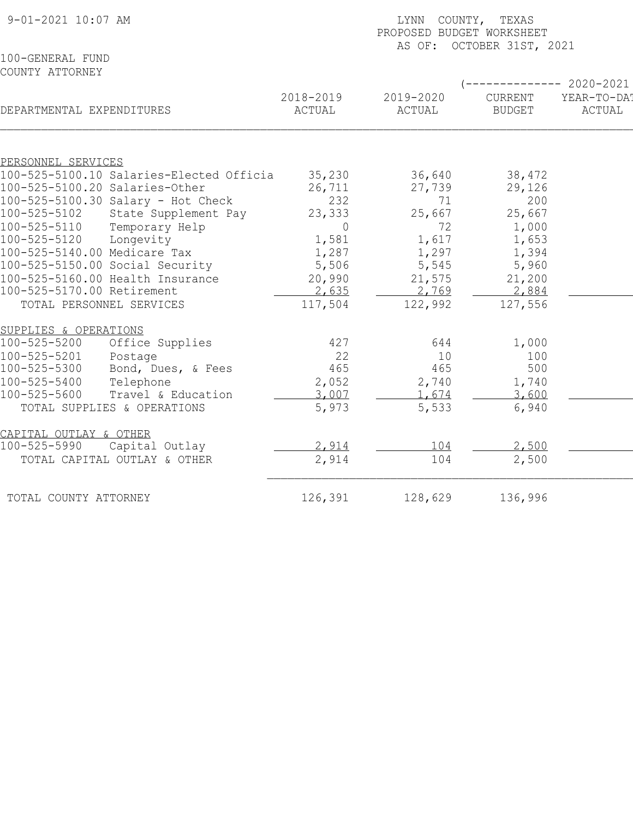| 9-01-2021 10:07 AM                                             | LYNN COUNTY, TEXAS<br>PROPOSED BUDGET WORKSHEET<br>AS OF: OCTOBER 31ST, 2021 |                     |                                 |                       |  |
|----------------------------------------------------------------|------------------------------------------------------------------------------|---------------------|---------------------------------|-----------------------|--|
| 100-GENERAL FUND<br>COUNTY ATTORNEY                            |                                                                              |                     | $---------2020-2021$            |                       |  |
| DEPARTMENTAL EXPENDITURES                                      | 2018-2019<br>ACTUAL                                                          | 2019-2020<br>ACTUAL | <b>CURRENT</b><br><b>BUDGET</b> | YEAR-TO-DAT<br>ACTUAL |  |
|                                                                |                                                                              |                     |                                 |                       |  |
| PERSONNEL SERVICES<br>100-525-5100.10 Salaries-Elected Officia | 35,230                                                                       | 36,640              | 38,472                          |                       |  |
| 100-525-5100.20 Salaries-Other                                 | 26,711                                                                       | 27,739              | 29,126                          |                       |  |
| 100-525-5100.30 Salary - Hot Check                             | 232                                                                          | 71                  | 200                             |                       |  |
| 100-525-5102<br>State Supplement Pay                           | 23,333                                                                       | 25,667              | 25,667                          |                       |  |
| 100-525-5110<br>Temporary Help                                 | $\overline{0}$                                                               | 72                  | 1,000                           |                       |  |
| 100-525-5120<br>Longevity                                      | 1,581                                                                        | 1,617               | 1,653                           |                       |  |
| 100-525-5140.00 Medicare Tax                                   | 1,287                                                                        | 1,297               | 1,394                           |                       |  |
| 100-525-5150.00 Social Security                                | 5,506                                                                        | 5,545               | 5,960                           |                       |  |
| 100-525-5160.00 Health Insurance                               | 20,990                                                                       | 21,575              | 21,200                          |                       |  |
| 100-525-5170.00 Retirement                                     | 2,635                                                                        | 2,769               | 2,884                           |                       |  |
| TOTAL PERSONNEL SERVICES                                       | 117,504                                                                      | 122,992             | 127,556                         |                       |  |
| SUPPLIES & OPERATIONS                                          |                                                                              |                     |                                 |                       |  |
| 100-525-5200<br>Office Supplies                                | 427                                                                          | 644                 | 1,000                           |                       |  |
| 100-525-5201<br>Postage                                        | 22                                                                           | 10                  | 100                             |                       |  |
| 100-525-5300<br>Bond, Dues, & Fees                             | 465                                                                          | 465                 | 500                             |                       |  |
| 100-525-5400<br>Telephone                                      | 2,052                                                                        | 2,740               | 1,740                           |                       |  |
| 100-525-5600<br>Travel & Education                             | 3,007                                                                        | 1,674               | 3,600                           |                       |  |
| TOTAL SUPPLIES & OPERATIONS                                    | 5,973                                                                        | 5,533               | 6,940                           |                       |  |
| CAPITAL OUTLAY & OTHER                                         |                                                                              |                     |                                 |                       |  |
| 100-525-5990<br>Capital Outlay                                 | 2,914                                                                        | 104                 | 2,500                           |                       |  |
| TOTAL CAPITAL OUTLAY & OTHER                                   | 2,914                                                                        | 104                 | 2,500                           |                       |  |
| TOTAL COUNTY ATTORNEY                                          | 126,391                                                                      | 128,629             | 136,996                         |                       |  |
|                                                                |                                                                              |                     |                                 |                       |  |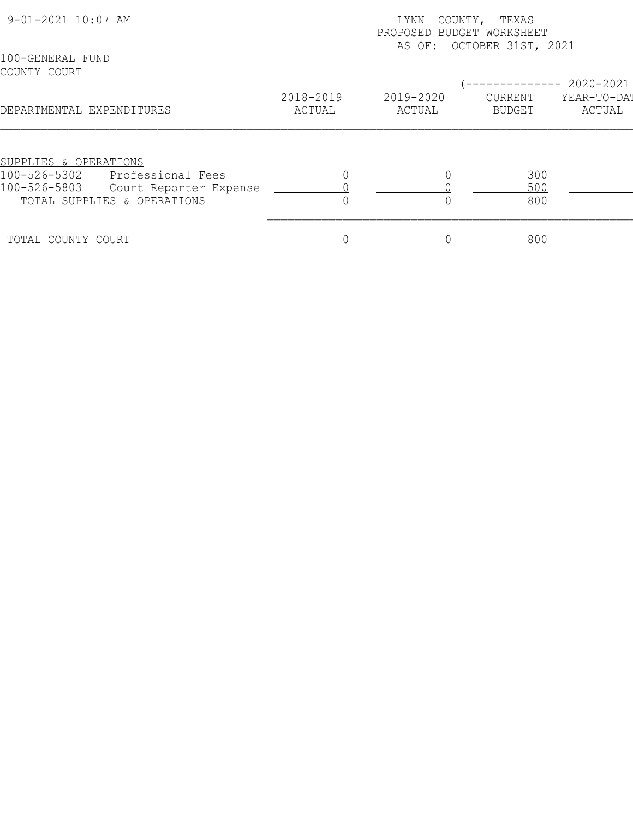| 9-01-2021 10:07 AM               |                             |                     | COUNTY, TEXAS<br>LYNN<br>PROPOSED BUDGET WORKSHEET<br>AS OF: OCTOBER 31ST, 2021 |                   |                       |  |  |
|----------------------------------|-----------------------------|---------------------|---------------------------------------------------------------------------------|-------------------|-----------------------|--|--|
| 100-GENERAL FUND<br>COUNTY COURT |                             |                     |                                                                                 |                   | 2020-2021             |  |  |
| DEPARTMENTAL EXPENDITURES        |                             | 2018-2019<br>ACTUAL | 2019-2020<br>ACTUAL                                                             | CURRENT<br>BUDGET | YEAR-TO-DAT<br>ACTUAL |  |  |
| SUPPLIES & OPERATIONS            |                             |                     |                                                                                 |                   |                       |  |  |
| 100-526-5302                     | Professional Fees           |                     |                                                                                 | 300               |                       |  |  |
| 100-526-5803                     | Court Reporter Expense      |                     |                                                                                 | 500               |                       |  |  |
|                                  | TOTAL SUPPLIES & OPERATIONS |                     |                                                                                 | 800               |                       |  |  |
| TOTAL COUNTY COURT               |                             |                     | $\overline{0}$                                                                  | 800               |                       |  |  |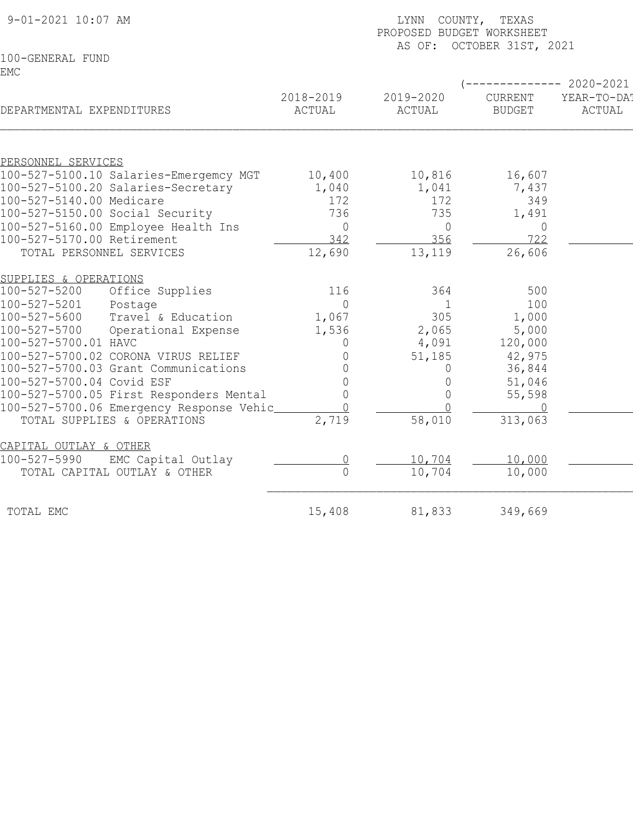| 9-01-2021 10:07 AM                       |                     | LYNN COUNTY, TEXAS<br>PROPOSED BUDGET WORKSHEET<br>AS OF: OCTOBER 31ST, 2021 |                          |                       |  |  |
|------------------------------------------|---------------------|------------------------------------------------------------------------------|--------------------------|-----------------------|--|--|
| 100-GENERAL FUND                         |                     |                                                                              |                          |                       |  |  |
| <b>EMC</b>                               |                     |                                                                              |                          | $--------2020-2021$   |  |  |
| DEPARTMENTAL EXPENDITURES                | 2018-2019<br>ACTUAL | 2019-2020<br>ACTUAL                                                          | CURRENT<br><b>BUDGET</b> | YEAR-TO-DA!<br>ACTUAL |  |  |
|                                          |                     |                                                                              |                          |                       |  |  |
| PERSONNEL SERVICES                       |                     |                                                                              |                          |                       |  |  |
| 100-527-5100.10 Salaries-Emergemcy MGT   | 10,400              | 10,816                                                                       | 16,607                   |                       |  |  |
| 100-527-5100.20 Salaries-Secretary       | 1,040               | 1,041                                                                        | 7,437                    |                       |  |  |
| 100-527-5140.00 Medicare                 | 172                 | 172                                                                          | 349                      |                       |  |  |
| 100-527-5150.00 Social Security          | 736                 | 735                                                                          | 1,491                    |                       |  |  |
| 100-527-5160.00 Employee Health Ins      | $\overline{0}$      | $\overline{0}$                                                               | $\overline{0}$           |                       |  |  |
| 100-527-5170.00 Retirement               | 342                 | 356                                                                          | 722                      |                       |  |  |
| TOTAL PERSONNEL SERVICES                 | 12,690              | 13,119                                                                       | 26,606                   |                       |  |  |
| SUPPLIES & OPERATIONS                    |                     |                                                                              |                          |                       |  |  |
| Office Supplies<br>100-527-5200          | 116                 | 364                                                                          | 500                      |                       |  |  |
| 100-527-5201<br>Postage                  | $\Omega$            | $\mathbf{1}$                                                                 | 100                      |                       |  |  |
| Travel & Education<br>100-527-5600       | 1,067               | 305                                                                          | 1,000                    |                       |  |  |
| 100-527-5700<br>Operational Expense      | 1,536               | 2,065                                                                        | 5,000                    |                       |  |  |
| 100-527-5700.01 HAVC                     | 0                   | 4,091                                                                        | 120,000                  |                       |  |  |
| 100-527-5700.02 CORONA VIRUS RELIEF      | 0                   | 51,185                                                                       | 42,975                   |                       |  |  |
| 100-527-5700.03 Grant Communications     |                     | 0                                                                            | 36,844                   |                       |  |  |
| 100-527-5700.04 Covid ESF                | 0                   | $\mathbf 0$                                                                  | 51,046                   |                       |  |  |
| 100-527-5700.05 First Responders Mental  | $\overline{0}$      | $\Omega$                                                                     | 55,598                   |                       |  |  |
| 100-527-5700.06 Emergency Response Vehic |                     | $\bigcap$                                                                    |                          |                       |  |  |
| TOTAL SUPPLIES & OPERATIONS              | 2,719               | 58,010                                                                       | 313,063                  |                       |  |  |
| CAPITAL OUTLAY & OTHER                   |                     |                                                                              |                          |                       |  |  |
| $100 - 527 - 5990$<br>EMC Capital Outlay |                     | 10,704                                                                       | 10,000                   |                       |  |  |
| TOTAL CAPITAL OUTLAY & OTHER             | $\overline{0}$      | 10,704                                                                       | 10,000                   |                       |  |  |
| TOTAL EMC                                | 15,408              | 81,833                                                                       | 349,669                  |                       |  |  |
|                                          |                     |                                                                              |                          |                       |  |  |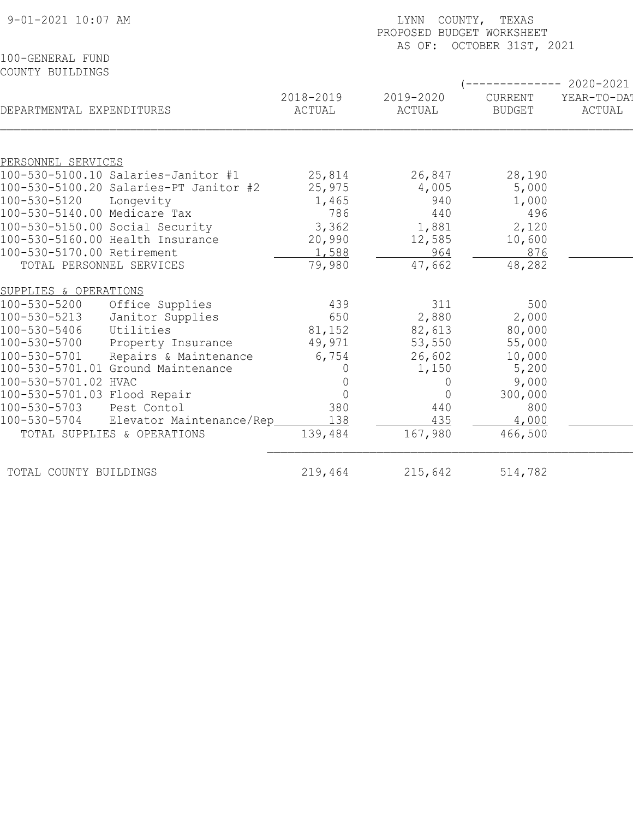| 9-01-2021 10:07 AM                                             |                     | COUNTY, TEXAS<br>LYNN<br>PROPOSED BUDGET WORKSHEET<br>AS OF: OCTOBER 31ST, 2021 |                          |                       |  |  |
|----------------------------------------------------------------|---------------------|---------------------------------------------------------------------------------|--------------------------|-----------------------|--|--|
| 100-GENERAL FUND                                               |                     |                                                                                 |                          |                       |  |  |
| COUNTY BUILDINGS                                               |                     |                                                                                 |                          |                       |  |  |
|                                                                |                     |                                                                                 |                          | ----------- 2020-2021 |  |  |
| DEPARTMENTAL EXPENDITURES                                      | 2018-2019<br>ACTUAL | 2019-2020<br>ACTUAL                                                             | CURRENT<br><b>BUDGET</b> | YEAR-TO-DA!<br>ACTUAL |  |  |
|                                                                |                     |                                                                                 |                          |                       |  |  |
| PERSONNEL SERVICES                                             |                     |                                                                                 |                          |                       |  |  |
| 100-530-5100.10 Salaries-Janitor #1                            | 25,814              | 26,847                                                                          | 28,190                   |                       |  |  |
| 100-530-5100.20 Salaries-PT Janitor #2                         | 25,975              | 4,005                                                                           | 5,000                    |                       |  |  |
| 100-530-5120<br>Longevity                                      | 1,465               | 940                                                                             | 1,000                    |                       |  |  |
| 100-530-5140.00 Medicare Tax                                   | 786                 | 440                                                                             | 496                      |                       |  |  |
| 100-530-5150.00 Social Security                                | 3,362               | 1,881                                                                           | 2,120                    |                       |  |  |
| 100-530-5160.00 Health Insurance<br>100-530-5170.00 Retirement | 20,990<br>1,588     | 12,585<br>964                                                                   | 10,600<br>876            |                       |  |  |
| TOTAL PERSONNEL SERVICES                                       | 79,980              | 47,662                                                                          | 48,282                   |                       |  |  |
|                                                                |                     |                                                                                 |                          |                       |  |  |
| SUPPLIES & OPERATIONS                                          |                     |                                                                                 |                          |                       |  |  |
| 100-530-5200<br>Office Supplies                                | 439                 | 311                                                                             | 500                      |                       |  |  |
| 100-530-5213<br>Janitor Supplies                               | 650                 | 2,880                                                                           | 2,000                    |                       |  |  |
| 100-530-5406<br>Utilities                                      | 81,152              | 82,613                                                                          | 80,000                   |                       |  |  |
| 100-530-5700<br>Property Insurance                             | 49,971              | 53,550                                                                          | 55,000                   |                       |  |  |
| Repairs & Maintenance<br>100-530-5701                          | 6,754               | 26,602                                                                          | 10,000                   |                       |  |  |
| 100-530-5701.01 Ground Maintenance                             | 0                   | 1,150                                                                           | 5,200                    |                       |  |  |
| 100-530-5701.02 HVAC                                           | $\Omega$            | $\mathbf 0$                                                                     | 9,000                    |                       |  |  |
| 100-530-5701.03 Flood Repair                                   | $\overline{0}$      | $\Omega$                                                                        | 300,000                  |                       |  |  |
| 100-530-5703<br>Pest Contol                                    | 380                 | 440                                                                             | 800                      |                       |  |  |
| 100-530-5704<br>Elevator Maintenance/Rep                       | 138                 | 435                                                                             | 4,000                    |                       |  |  |
| TOTAL SUPPLIES & OPERATIONS                                    | 139,484             | 167,980                                                                         | 466,500                  |                       |  |  |
| TOTAL COUNTY BUILDINGS                                         | 219,464             | 215,642                                                                         | 514,782                  |                       |  |  |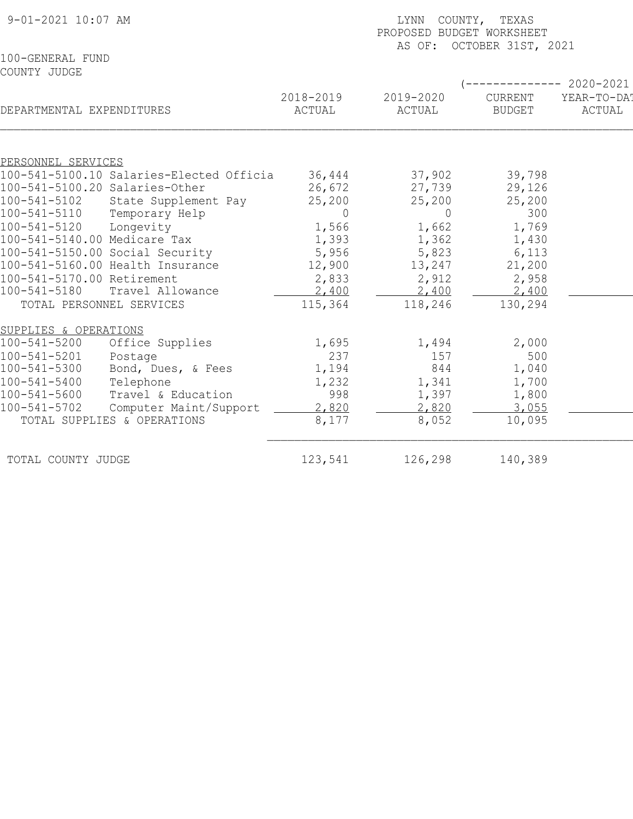|                                                                            | LYNN COUNTY, TEXAS<br>PROPOSED BUDGET WORKSHEET<br>AS OF: OCTOBER 31ST, 2021 |                     |                          |                                             |  |  |
|----------------------------------------------------------------------------|------------------------------------------------------------------------------|---------------------|--------------------------|---------------------------------------------|--|--|
| 100-GENERAL FUND<br>COUNTY JUDGE                                           |                                                                              |                     |                          |                                             |  |  |
| DEPARTMENTAL EXPENDITURES                                                  | 2018-2019<br>ACTUAL                                                          | 2019-2020<br>ACTUAL | CURRENT<br><b>BUDGET</b> | $------ 2020-2021$<br>YEAR-TO-DA!<br>ACTUAL |  |  |
|                                                                            |                                                                              |                     |                          |                                             |  |  |
| PERSONNEL SERVICES                                                         |                                                                              |                     |                          |                                             |  |  |
| 100-541-5100.10 Salaries-Elected Officia<br>100-541-5100.20 Salaries-Other | 36,444<br>26,672                                                             | 37,902<br>27,739    | 39,798<br>29,126         |                                             |  |  |
| 100-541-5102<br>State Supplement Pay                                       | 25,200                                                                       | 25,200              | 25,200                   |                                             |  |  |
| 100-541-5110<br>Temporary Help                                             | $\overline{0}$                                                               | $\circ$             | 300                      |                                             |  |  |
| $100 - 541 - 5120$<br>Longevity                                            | 1,566                                                                        | 1,662               | 1,769                    |                                             |  |  |
| 100-541-5140.00 Medicare Tax                                               | 1,393                                                                        | 1,362               | 1,430                    |                                             |  |  |
| 100-541-5150.00 Social Security                                            | 5,956                                                                        | 5,823               | 6,113                    |                                             |  |  |
| 100-541-5160.00 Health Insurance                                           | 12,900                                                                       | 13,247              | 21,200                   |                                             |  |  |
| 100-541-5170.00 Retirement                                                 | 2,833                                                                        | 2,912               | 2,958                    |                                             |  |  |
| $100 - 541 - 5180$<br>Travel Allowance                                     | 2,400                                                                        | 2,400               | 2,400                    |                                             |  |  |
| TOTAL PERSONNEL SERVICES                                                   | 115,364                                                                      | 118,246             | 130,294                  |                                             |  |  |
| SUPPLIES & OPERATIONS                                                      |                                                                              |                     |                          |                                             |  |  |
| $100 - 541 - 5200$<br>Office Supplies                                      | 1,695                                                                        | 1,494               | 2,000                    |                                             |  |  |
| 100-541-5201<br>Postage                                                    | 237                                                                          | 157                 | 500                      |                                             |  |  |
| 100-541-5300<br>Bond, Dues, & Fees                                         | 1,194                                                                        | 844                 | 1,040                    |                                             |  |  |
| $100 - 541 - 5400$<br>Telephone                                            | 1,232                                                                        | 1,341               | 1,700                    |                                             |  |  |
| $100 - 541 - 5600$<br>Travel & Education                                   | 998                                                                          | 1,397               | 1,800                    |                                             |  |  |
| $100 - 541 - 5702$<br>Computer Maint/Support                               | 2,820                                                                        | 2,820               | 3,055                    |                                             |  |  |
| TOTAL SUPPLIES & OPERATIONS                                                | 8,177                                                                        | 8,052               | 10,095                   |                                             |  |  |
| TOTAL COUNTY JUDGE                                                         | 123,541                                                                      | 126,298             | 140,389                  |                                             |  |  |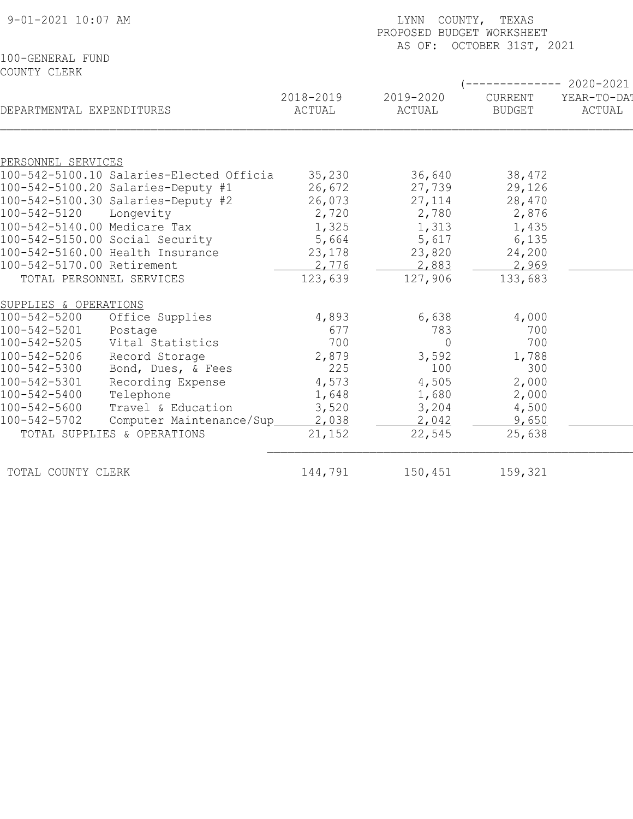| 9-01-2021 10:07 AM                                              | LYNN COUNTY, TEXAS<br>PROPOSED BUDGET WORKSHEET<br>AS OF: OCTOBER 31ST, 2021 |                     |                          |                       |  |
|-----------------------------------------------------------------|------------------------------------------------------------------------------|---------------------|--------------------------|-----------------------|--|
| 100-GENERAL FUND                                                |                                                                              |                     |                          |                       |  |
| COUNTY CLERK                                                    |                                                                              |                     |                          |                       |  |
|                                                                 |                                                                              |                     |                          | $------ 2020-2021$    |  |
| DEPARTMENTAL EXPENDITURES                                       | 2018-2019<br>ACTUAL                                                          | 2019-2020<br>ACTUAL | CURRENT<br><b>BUDGET</b> | YEAR-TO-DAT<br>ACTUAL |  |
|                                                                 |                                                                              |                     |                          |                       |  |
| PERSONNEL SERVICES                                              |                                                                              |                     |                          |                       |  |
| 100-542-5100.10 Salaries-Elected Officia                        | 35,230                                                                       | 36,640              | 38,472                   |                       |  |
| 100-542-5100.20 Salaries-Deputy #1                              | 26,672                                                                       | 27,739              | 29,126                   |                       |  |
| 100-542-5100.30 Salaries-Deputy #2<br>100-542-5120<br>Longevity | 26,073<br>2,720                                                              | 27, 114<br>2,780    | 28,470                   |                       |  |
| 100-542-5140.00 Medicare Tax                                    | 1,325                                                                        |                     | 2,876                    |                       |  |
| 100-542-5150.00 Social Security                                 | 5,664                                                                        | 1,313<br>5,617      | 1,435<br>6,135           |                       |  |
| 100-542-5160.00 Health Insurance                                | 23,178                                                                       | 23,820              | 24,200                   |                       |  |
| 100-542-5170.00 Retirement                                      | 2,776                                                                        | 2,883               | 2,969                    |                       |  |
| TOTAL PERSONNEL SERVICES                                        | 123,639                                                                      | 127,906             | 133,683                  |                       |  |
| SUPPLIES & OPERATIONS                                           |                                                                              |                     |                          |                       |  |
| 100-542-5200<br>Office Supplies                                 | 4,893                                                                        | 6,638               | 4,000                    |                       |  |
| 100-542-5201<br>Postage                                         | 677                                                                          | 783                 | 700                      |                       |  |
| 100-542-5205<br>Vital Statistics                                | 700                                                                          | $\overline{0}$      | 700                      |                       |  |
| 100-542-5206<br>Record Storage                                  | 2,879                                                                        | 3,592               | 1,788                    |                       |  |
| Bond, Dues, & Fees<br>100-542-5300                              | 225                                                                          | 100                 | 300                      |                       |  |
| 100-542-5301<br>Recording Expense                               | 4,573                                                                        | 4,505               | 2,000                    |                       |  |
| 100-542-5400<br>Telephone                                       | 1,648                                                                        | 1,680               | 2,000                    |                       |  |
| 100-542-5600<br>Travel & Education                              | 3,520                                                                        | 3,204               | 4,500                    |                       |  |
| 100-542-5702<br>Computer Maintenance/Sup                        | 2,038                                                                        | 2,042               | 9,650                    |                       |  |
| TOTAL SUPPLIES & OPERATIONS                                     | 21,152                                                                       | 22,545              | 25,638                   |                       |  |
| TOTAL COUNTY CLERK                                              | 144,791                                                                      | 150,451             | 159,321                  |                       |  |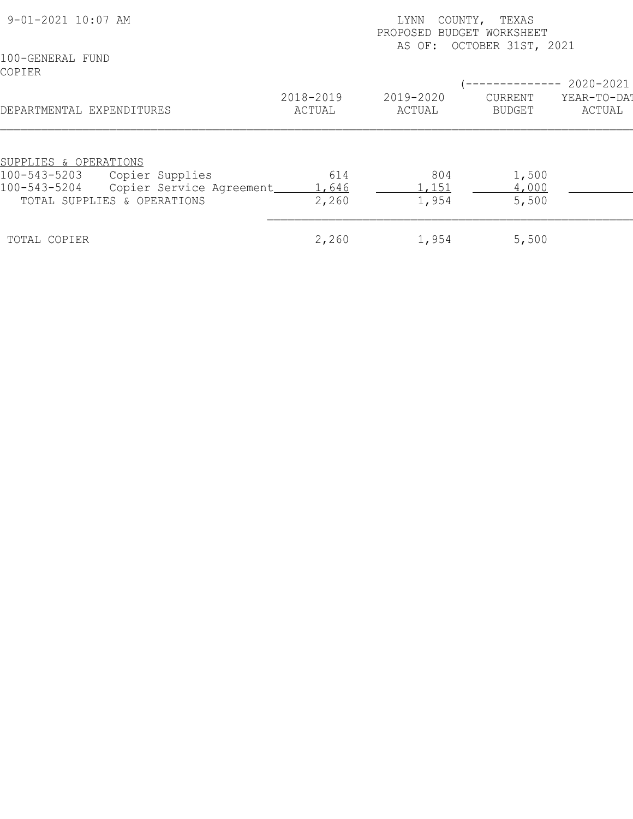| 9-01-2021 10:07 AM          |                          |                     | TEXAS<br>LYNN<br>COUNTY,<br>PROPOSED BUDGET WORKSHEET<br>AS OF: OCTOBER 31ST, 2021 |                                 |                       |  |
|-----------------------------|--------------------------|---------------------|------------------------------------------------------------------------------------|---------------------------------|-----------------------|--|
| 100-GENERAL FUND<br>COPIER  |                          |                     |                                                                                    |                                 | 2020-2021             |  |
| DEPARTMENTAL EXPENDITURES   |                          | 2018-2019<br>ACTUAL | 2019-2020<br>ACTUAL                                                                | <b>CURRENT</b><br><b>BUDGET</b> | YEAR-TO-DAT<br>ACTUAL |  |
| SUPPLIES & OPERATIONS       |                          |                     |                                                                                    |                                 |                       |  |
| 100-543-5203                | Copier Supplies          | 614                 | 804                                                                                | 1,500                           |                       |  |
| 100-543-5204                | Copier Service Agreement | 1,646               | ,151                                                                               | 4,000                           |                       |  |
| TOTAL SUPPLIES & OPERATIONS |                          | 2,260               | 1,954                                                                              | 5,500                           |                       |  |
| TOTAL COPIER                |                          | 2,260               | 1,954                                                                              | 5,500                           |                       |  |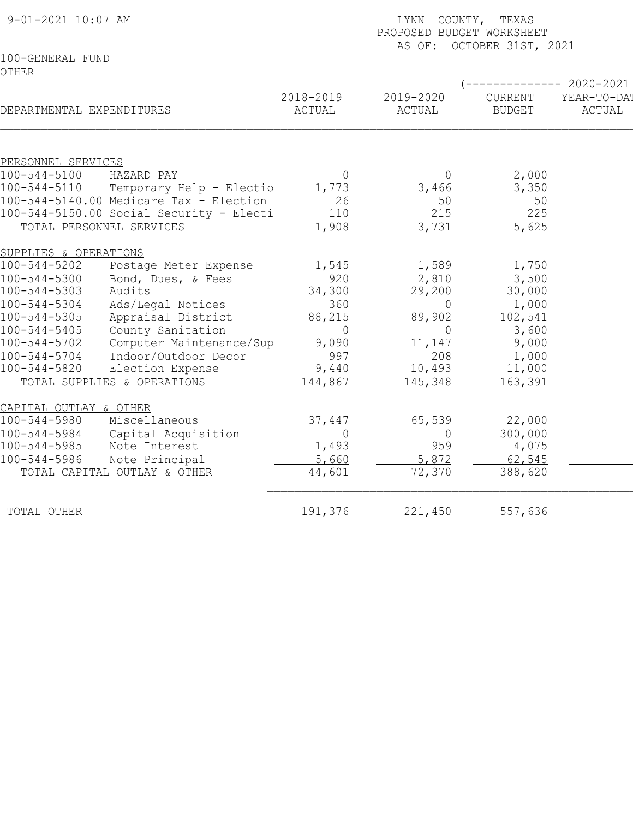| 9-01-2021 10:07 AM           |                                          |                     | LYNN COUNTY, TEXAS<br>PROPOSED BUDGET WORKSHEET<br>AS OF: OCTOBER 31ST, 2021 |                          |                       |  |
|------------------------------|------------------------------------------|---------------------|------------------------------------------------------------------------------|--------------------------|-----------------------|--|
| 100-GENERAL FUND             |                                          |                     |                                                                              |                          |                       |  |
| OTHER                        |                                          |                     |                                                                              |                          |                       |  |
|                              |                                          |                     |                                                                              |                          | $-2020 - 2021$        |  |
| DEPARTMENTAL EXPENDITURES    |                                          | 2018-2019<br>ACTUAL | 2019-2020<br>ACTUAL                                                          | CURRENT<br><b>BUDGET</b> | YEAR-TO-DAT<br>ACTUAL |  |
|                              |                                          |                     |                                                                              |                          |                       |  |
| PERSONNEL SERVICES           |                                          |                     |                                                                              |                          |                       |  |
| $100 - 544 - 5100$           | HAZARD PAY                               | $\Omega$            |                                                                              | 2,000                    |                       |  |
| 100-544-5110                 | Temporary Help - Electio                 | 1,773               | 3,466                                                                        | 3,350                    |                       |  |
|                              | 100-544-5140.00 Medicare Tax - Election  | 26                  | 50                                                                           | 50                       |                       |  |
|                              | 100-544-5150.00 Social Security - Electi | 110                 | 215                                                                          | 225                      |                       |  |
| TOTAL PERSONNEL SERVICES     |                                          | 1,908               | 3,731                                                                        | 5,625                    |                       |  |
| SUPPLIES & OPERATIONS        |                                          |                     |                                                                              |                          |                       |  |
| $100 - 544 - 5202$           | Postage Meter Expense                    | 1,545               | 1,589                                                                        | 1,750                    |                       |  |
| $100 - 544 - 5300$           | Bond, Dues, & Fees                       | 920                 | 2,810                                                                        | 3,500                    |                       |  |
| 100-544-5303                 | Audits                                   | 34,300              | 29,200                                                                       | 30,000                   |                       |  |
| $100 - 544 - 5304$           | Ads/Legal Notices                        | 360                 | $\circ$                                                                      | 1,000                    |                       |  |
| $100 - 544 - 5305$           | Appraisal District                       | 88,215              | 89,902                                                                       | 102,541                  |                       |  |
| $100 - 544 - 5405$           | County Sanitation                        | $\overline{0}$      | $\overline{0}$                                                               | 3,600                    |                       |  |
| $100 - 544 - 5702$           | Computer Maintenance/Sup                 | 9,090               | 11,147                                                                       | 9,000                    |                       |  |
| $100 - 544 - 5704$           | Indoor/Outdoor Decor                     | 997                 | 208                                                                          | 1,000                    |                       |  |
| $100 - 544 - 5820$           | Election Expense                         | 9,440               | 10,493                                                                       | 11,000                   |                       |  |
| TOTAL SUPPLIES & OPERATIONS  |                                          | 144,867             | 145,348                                                                      | 163,391                  |                       |  |
| CAPITAL OUTLAY & OTHER       |                                          |                     |                                                                              |                          |                       |  |
| $100 - 544 - 5980$           | Miscellaneous                            | 37,447              | 65,539                                                                       | 22,000                   |                       |  |
| $100 - 544 - 5984$           | Capital Acquisition                      | $\Omega$            | $\Omega$                                                                     | 300,000                  |                       |  |
| $100 - 544 - 5985$           | Note Interest                            | 1,493               | 959                                                                          | 4,075                    |                       |  |
| $100 - 544 - 5986$           | Note Principal                           | 5,660               | 5,872                                                                        | 62,545                   |                       |  |
| TOTAL CAPITAL OUTLAY & OTHER |                                          | 44,601              | 72,370                                                                       | 388,620                  |                       |  |
| TOTAL OTHER                  |                                          | 191,376             | 221,450                                                                      | 557,636                  |                       |  |
|                              |                                          |                     |                                                                              |                          |                       |  |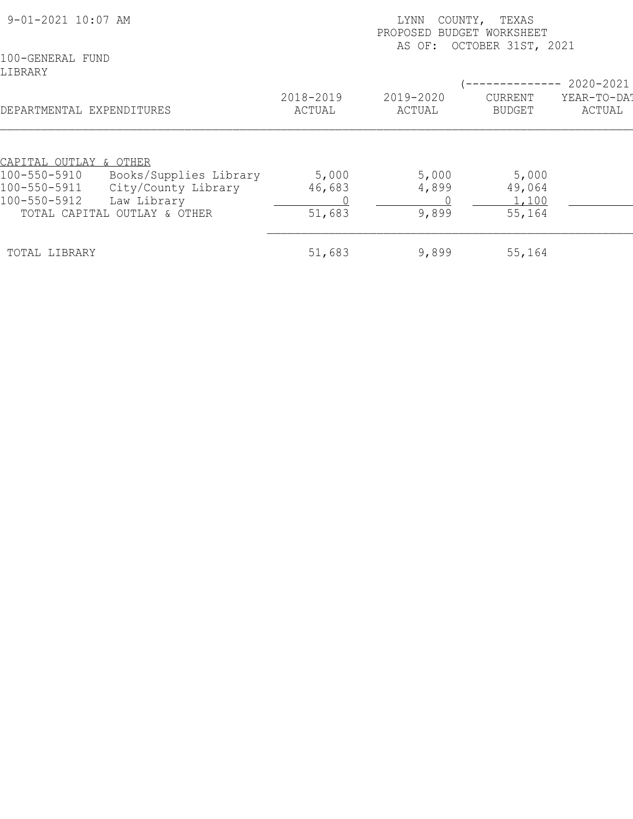| 9-01-2021 10:07 AM                                                                                 |                     | COUNTY,<br>TEXAS<br>LYNN<br>PROPOSED<br>BUDGET WORKSHEET<br>OCTOBER 31ST, 2021<br>AS OF: |                                 |                       |  |
|----------------------------------------------------------------------------------------------------|---------------------|------------------------------------------------------------------------------------------|---------------------------------|-----------------------|--|
| 100-GENERAL FUND<br>LIBRARY                                                                        |                     |                                                                                          |                                 | 2020-2021             |  |
| DEPARTMENTAL EXPENDITURES                                                                          | 2018-2019<br>ACTUAL | 2019-2020<br>ACTUAL                                                                      | <b>CURRENT</b><br><b>BUDGET</b> | YEAR-TO-DAT<br>ACTUAL |  |
| CAPITAL OUTLAY & OTHER<br>Books/Supplies Library<br>100-550-5910                                   | 5,000               | 5,000                                                                                    | 5,000                           |                       |  |
| City/County Library<br>100-550-5911<br>100-550-5912<br>Law Library<br>TOTAL CAPITAL OUTLAY & OTHER | 46,683<br>51,683    | 4,899<br>9,899                                                                           | 49,064<br>1,100<br>55,164       |                       |  |
| TOTAL LIBRARY                                                                                      | 51,683              | 9,899                                                                                    | 55,164                          |                       |  |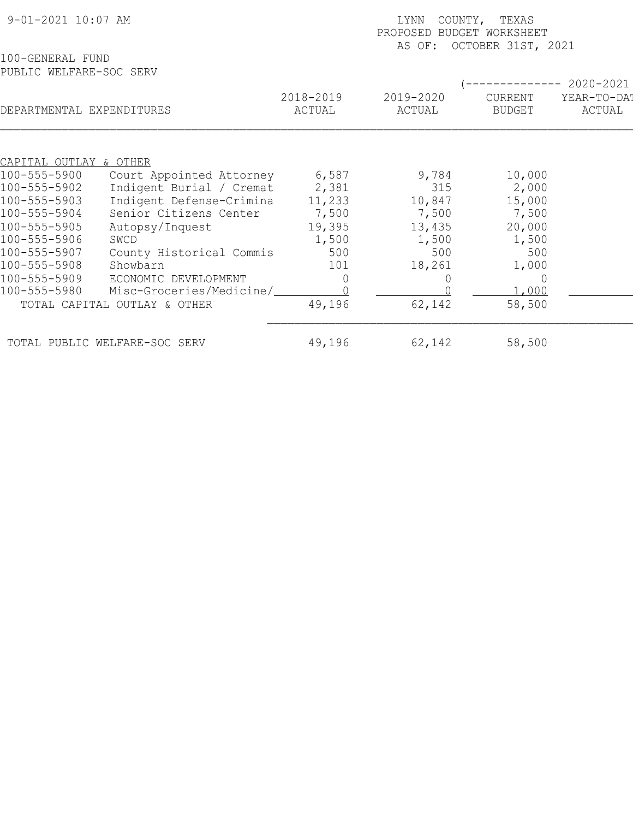| 9-01-2021 10:07 AM                          |                     | LYNN<br>COUNTY, TEXAS<br>PROPOSED BUDGET WORKSHEET<br>OCTOBER 31ST, 2021<br>AS OF: |                                 |                                    |  |
|---------------------------------------------|---------------------|------------------------------------------------------------------------------------|---------------------------------|------------------------------------|--|
| 100-GENERAL FUND<br>PUBLIC WELFARE-SOC SERV |                     |                                                                                    |                                 |                                    |  |
| DEPARTMENTAL EXPENDITURES                   | 2018-2019<br>ACTUAL | 2019-2020<br>ACTUAL                                                                | <b>CURRENT</b><br><b>BUDGET</b> | 2020-2021<br>YEAR-TO-DA!<br>ACTUAL |  |
|                                             |                     |                                                                                    |                                 |                                    |  |
| <u>CAPITAL OUTLAY &amp; OTHER</u>           |                     |                                                                                    |                                 |                                    |  |
| 100-555-5900<br>Court Appointed Attorney    | 6,587               | 9,784                                                                              | 10,000                          |                                    |  |
| Indigent Burial / Cremat<br>100-555-5902    | 2,381               | 315                                                                                | 2,000                           |                                    |  |
| Indigent Defense-Crimina<br>100-555-5903    | 11,233              | 10,847                                                                             | 15,000                          |                                    |  |
| Senior Citizens Center<br>100-555-5904      | 7,500               | 7,500                                                                              | 7,500                           |                                    |  |
| 100-555-5905<br>Autopsy/Inquest             | 19,395              | 13,435                                                                             | 20,000                          |                                    |  |
| 100-555-5906<br>SWCD                        | 1,500               | 1,500                                                                              | 1,500                           |                                    |  |
| 100-555-5907<br>County Historical Commis    | 500                 | 500                                                                                | 500                             |                                    |  |
| 100-555-5908<br>Showbarn                    | 101                 | 18,261                                                                             | 1,000                           |                                    |  |
| 100-555-5909<br>ECONOMIC DEVELOPMENT        |                     |                                                                                    | $\Omega$                        |                                    |  |
| Misc-Groceries/Medicine/<br>100-555-5980    |                     |                                                                                    | 1,000                           |                                    |  |
| TOTAL CAPITAL OUTLAY & OTHER                | 49,196              | 62,142                                                                             | 58,500                          |                                    |  |
| TOTAL PUBLIC WELFARE-SOC SERV               | 49,196              | 62,142                                                                             | 58,500                          |                                    |  |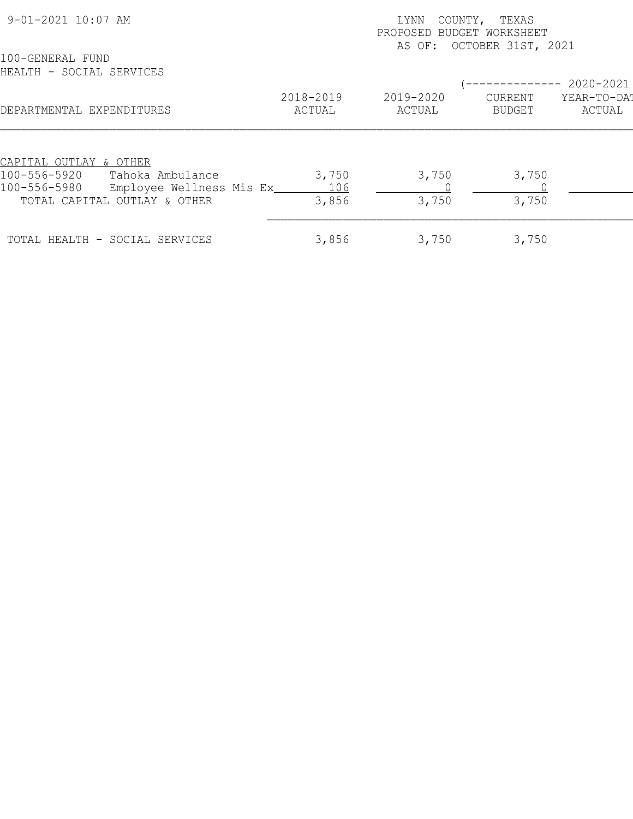| 9-01-2021 10:07 AM                                                                                                                      |                       | COUNTY, TEXAS<br>LYNN<br>PROPOSED BUDGET WORKSHEET<br>AS OF: OCTOBER 31ST, 2021 |                   |                       |  |
|-----------------------------------------------------------------------------------------------------------------------------------------|-----------------------|---------------------------------------------------------------------------------|-------------------|-----------------------|--|
| 100-GENERAL FUND<br>HEALTH - SOCIAL SERVICES                                                                                            |                       |                                                                                 |                   | $---------2020-2021$  |  |
| DEPARTMENTAL EXPENDITURES                                                                                                               | 2018-2019<br>ACTUAL   | 2019-2020<br>ACTUAL                                                             | CURRENT<br>BUDGET | YEAR-TO-DA!<br>ACTUAL |  |
| CAPITAL OUTLAY & OTHER<br>100-556-5920<br>Tahoka Ambulance<br>100-556-5980<br>Employee Wellness Mis Ex_<br>TOTAL CAPITAL OUTLAY & OTHER | 3,750<br>106<br>3,856 | 3,750<br>3,750                                                                  | 3,750<br>3,750    |                       |  |
| TOTAL HEALTH - SOCIAL SERVICES                                                                                                          | 3,856                 | 3,750                                                                           | 3,750             |                       |  |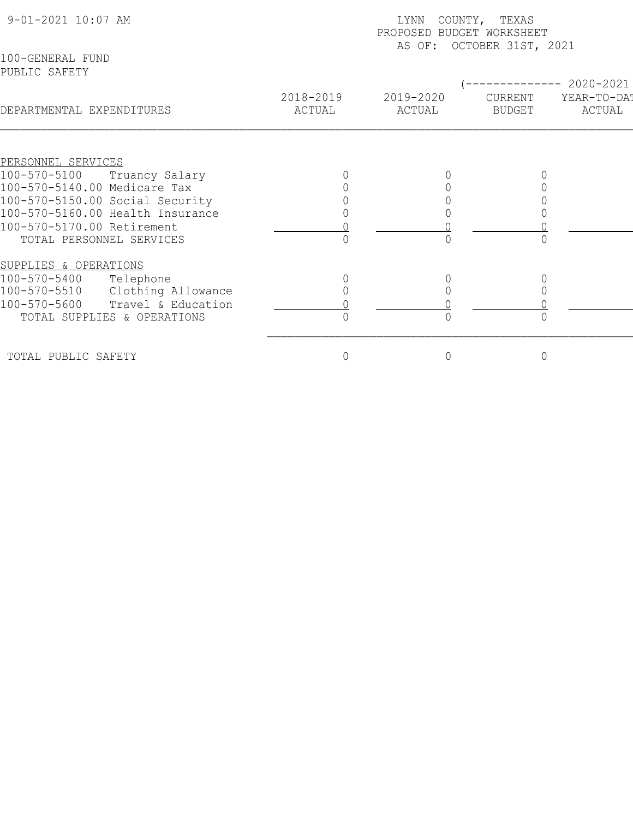| 9-01-2021 10:07 AM                 | COUNTY, TEXAS<br>LYNN<br>PROPOSED BUDGET WORKSHEET<br>AS OF: OCTOBER 31ST, 2021 |                     |                          |                                    |  |  |  |
|------------------------------------|---------------------------------------------------------------------------------|---------------------|--------------------------|------------------------------------|--|--|--|
| 100-GENERAL FUND<br>PUBLIC SAFETY  |                                                                                 |                     |                          |                                    |  |  |  |
| DEPARTMENTAL EXPENDITURES          | 2018-2019<br>ACTUAL                                                             | 2019-2020<br>ACTUAL | CURRENT<br><b>BUDGET</b> | 2020-2021<br>YEAR-TO-DA!<br>ACTUAL |  |  |  |
|                                    |                                                                                 |                     |                          |                                    |  |  |  |
| PERSONNEL SERVICES                 |                                                                                 |                     |                          |                                    |  |  |  |
| 100-570-5100<br>Truancy Salary     |                                                                                 |                     |                          |                                    |  |  |  |
| 100-570-5140.00 Medicare Tax       |                                                                                 |                     |                          |                                    |  |  |  |
| 100-570-5150.00 Social Security    |                                                                                 |                     |                          |                                    |  |  |  |
| 100-570-5160.00 Health Insurance   |                                                                                 |                     |                          |                                    |  |  |  |
| 100-570-5170.00 Retirement         |                                                                                 |                     |                          |                                    |  |  |  |
| TOTAL PERSONNEL SERVICES           |                                                                                 |                     |                          |                                    |  |  |  |
| SUPPLIES & OPERATIONS              |                                                                                 |                     |                          |                                    |  |  |  |
| 100-570-5400<br>Telephone          |                                                                                 |                     |                          |                                    |  |  |  |
| Clothing Allowance<br>100-570-5510 |                                                                                 |                     |                          |                                    |  |  |  |
| 100-570-5600<br>Travel & Education |                                                                                 |                     |                          |                                    |  |  |  |
| TOTAL SUPPLIES & OPERATIONS        |                                                                                 |                     |                          |                                    |  |  |  |
| TOTAL PUBLIC SAFETY                | 0                                                                               | $\mathbf 0$         | $\mathsf{O}\xspace$      |                                    |  |  |  |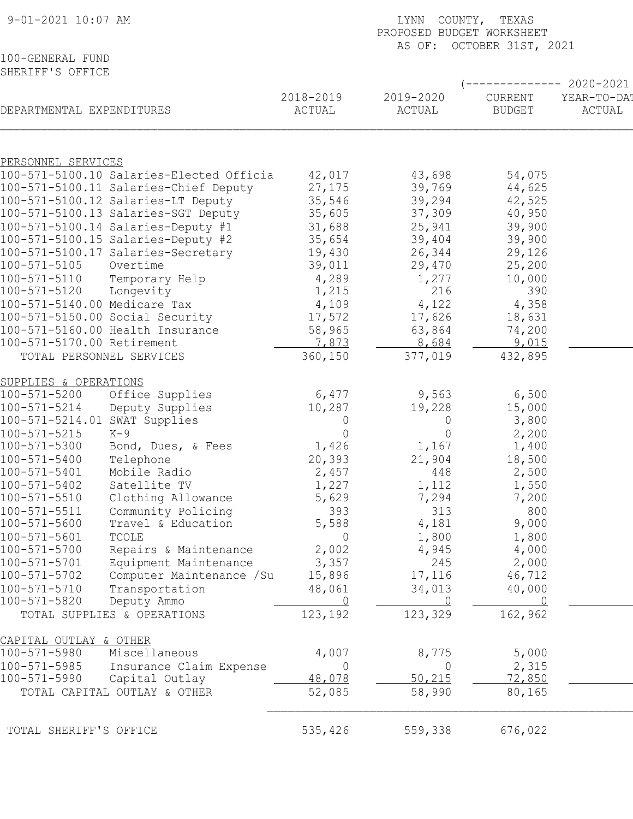| $9 - 01 - 2021$ 10:07 AM                        |                | LYNN COUNTY, TEXAS<br>PROPOSED BUDGET WORKSHEET |                           |                       |  |  |  |
|-------------------------------------------------|----------------|-------------------------------------------------|---------------------------|-----------------------|--|--|--|
|                                                 |                |                                                 | AS OF: OCTOBER 31ST, 2021 |                       |  |  |  |
| 100-GENERAL FUND<br>SHERIFF'S OFFICE            |                |                                                 |                           |                       |  |  |  |
|                                                 |                |                                                 |                           | ----------- 2020-2021 |  |  |  |
|                                                 | 2018-2019      | 2019-2020                                       | CURRENT                   | YEAR-TO-DA!           |  |  |  |
| DEPARTMENTAL EXPENDITURES                       | ACTUAL         | ACTUAL                                          | <b>BUDGET</b>             | ACTUAL                |  |  |  |
|                                                 |                |                                                 |                           |                       |  |  |  |
| PERSONNEL SERVICES                              |                |                                                 |                           |                       |  |  |  |
| 100-571-5100.10 Salaries-Elected Officia        | 42,017         | 43,698                                          | 54,075                    |                       |  |  |  |
| 100-571-5100.11 Salaries-Chief Deputy           | 27,175         | 39,769                                          | 44,625                    |                       |  |  |  |
| 100-571-5100.12 Salaries-LT Deputy              | 35,546         | 39,294                                          | 42,525                    |                       |  |  |  |
| 100-571-5100.13 Salaries-SGT Deputy             | 35,605         | 37,309                                          | 40,950                    |                       |  |  |  |
| 100-571-5100.14 Salaries-Deputy #1              | 31,688         | 25,941                                          | 39,900                    |                       |  |  |  |
| 100-571-5100.15 Salaries-Deputy #2              | 35,654         | 39,404                                          | 39,900                    |                       |  |  |  |
| 100-571-5100.17 Salaries-Secretary              | 19,430         | 26,344                                          | 29,126                    |                       |  |  |  |
| 100-571-5105<br>Overtime                        | 39,011         | 29,470                                          | 25,200                    |                       |  |  |  |
| 100-571-5110<br>Temporary Help                  | 4,289          | 1,277                                           | 10,000                    |                       |  |  |  |
| 100-571-5120<br>Longevity                       | 1,215          | 216                                             | 390                       |                       |  |  |  |
| 100-571-5140.00 Medicare Tax                    | 4,109          | 4,122                                           | 4,358                     |                       |  |  |  |
| 100-571-5150.00 Social Security                 | 17,572         | 17,626                                          | 18,631                    |                       |  |  |  |
| 100-571-5160.00 Health Insurance                | 58,965         | 63,864                                          | 74,200                    |                       |  |  |  |
| 100-571-5170.00 Retirement                      | 7,873          | 8,684                                           | 9,015                     |                       |  |  |  |
| TOTAL PERSONNEL SERVICES                        | 360,150        | 377,019                                         | 432,895                   |                       |  |  |  |
| SUPPLIES & OPERATIONS                           |                |                                                 |                           |                       |  |  |  |
| $100 - 571 - 5200$<br>Office Supplies           | 6,477          | 9,563                                           | 6,500                     |                       |  |  |  |
| $100 - 571 - 5214$<br>Deputy Supplies           | 10,287         | 19,228                                          | 15,000                    |                       |  |  |  |
| 100-571-5214.01<br>SWAT Supplies                | 0              | $\overline{0}$                                  | 3,800                     |                       |  |  |  |
| $100 - 571 - 5215$<br>K-9                       | $\circ$        | $\overline{0}$                                  | 2,200                     |                       |  |  |  |
| Bond, Dues, & Fees<br>100-571-5300              | 1,426          | 1,167                                           | 1,400                     |                       |  |  |  |
| 100-571-5400<br>Telephone                       | 20,393         | 21,904                                          | 18,500                    |                       |  |  |  |
| Mobile Radio<br>$100 - 571 - 5401$              | 2,457          | 448                                             | 2,500                     |                       |  |  |  |
| $100 - 571 - 5402$<br>Satellite TV              | 1,227          | 1,112                                           | 1,550                     |                       |  |  |  |
| $100 - 571 - 5510$<br>Clothing Allowance        | 5,629          | 7,294                                           | 7,200                     |                       |  |  |  |
| $100 - 571 - 5511$<br>Community Policing        | 393            | 313                                             | 800                       |                       |  |  |  |
| 100-571-5600<br>Travel & Education              | 5,588          | 4,181                                           | 9,000                     |                       |  |  |  |
| $100 - 571 - 5601$<br>TCOLE                     | $\overline{0}$ | 1,800                                           | 1,800                     |                       |  |  |  |
| 100-571-5700<br>Repairs & Maintenance           | 2,002          | 4,945                                           | 4,000                     |                       |  |  |  |
| $100 - 571 - 5701$<br>Equipment Maintenance     | 3,357          | 245                                             | 2,000                     |                       |  |  |  |
| $100 - 571 - 5702$<br>Computer Maintenance / Su | 15,896         | 17,116                                          | 46,712                    |                       |  |  |  |
| 100-571-5710<br>Transportation                  | 48,061         | 34,013                                          | 40,000                    |                       |  |  |  |
| 100-571-5820<br>Deputy Ammo                     | 0              |                                                 | - 0                       |                       |  |  |  |
| TOTAL SUPPLIES & OPERATIONS                     | 123,192        | 123,329                                         | 162,962                   |                       |  |  |  |
| CAPITAL OUTLAY & OTHER                          |                |                                                 |                           |                       |  |  |  |
| 100-571-5980<br>Miscellaneous                   | 4,007          | 8,775                                           | 5,000                     |                       |  |  |  |
| 100-571-5985<br>Insurance Claim Expense         | 0              | $\overline{0}$                                  | 2,315                     |                       |  |  |  |
| 100-571-5990<br>Capital Outlay                  | 48,078         | 50,215                                          | 72,850                    |                       |  |  |  |
| TOTAL CAPITAL OUTLAY & OTHER                    | 52,085         | 58,990                                          | 80,165                    |                       |  |  |  |
|                                                 |                |                                                 |                           |                       |  |  |  |
| TOTAL SHERIFF'S OFFICE                          | 535,426        | 559,338                                         | 676,022                   |                       |  |  |  |
|                                                 |                |                                                 |                           |                       |  |  |  |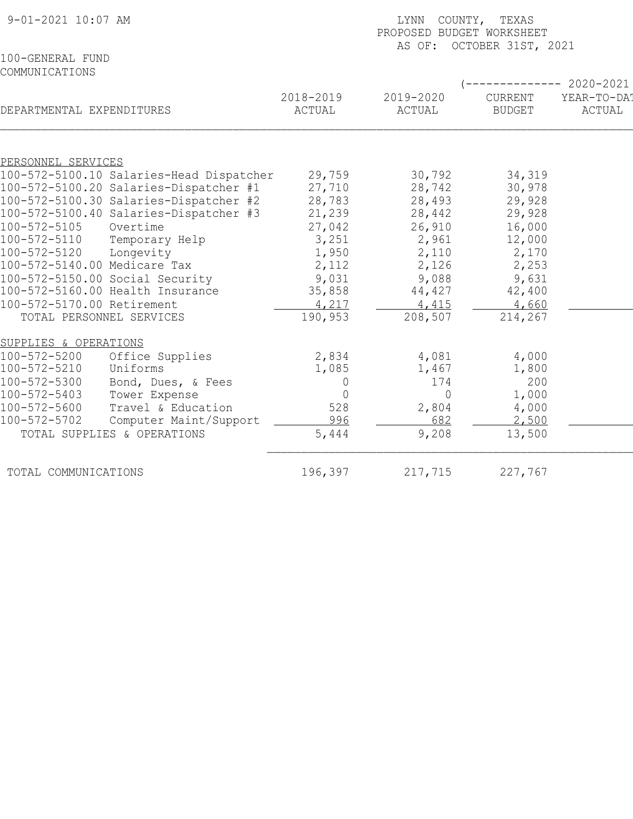| 9-01-2021 10:07 AM                 |                                          | LYNN<br>COUNTY, TEXAS<br>PROPOSED BUDGET WORKSHEET |                     |                           |                       |  |  |
|------------------------------------|------------------------------------------|----------------------------------------------------|---------------------|---------------------------|-----------------------|--|--|
|                                    |                                          |                                                    |                     | AS OF: OCTOBER 31ST, 2021 |                       |  |  |
| 100-GENERAL FUND<br>COMMUNICATIONS |                                          |                                                    |                     |                           |                       |  |  |
|                                    |                                          |                                                    |                     |                           | 2020-2021             |  |  |
| DEPARTMENTAL EXPENDITURES          |                                          | 2018-2019<br>ACTUAL                                | 2019-2020<br>ACTUAL | CURRENT<br><b>BUDGET</b>  | YEAR-TO-DA!<br>ACTUAL |  |  |
|                                    |                                          |                                                    |                     |                           |                       |  |  |
| PERSONNEL SERVICES                 |                                          |                                                    |                     |                           |                       |  |  |
|                                    | 100-572-5100.10 Salaries-Head Dispatcher | 29,759                                             | 30,792              | 34,319                    |                       |  |  |
|                                    | 100-572-5100.20 Salaries-Dispatcher #1   | 27,710                                             | 28,742              | 30,978                    |                       |  |  |
|                                    | 100-572-5100.30 Salaries-Dispatcher #2   | 28,783                                             | 28,493              | 29,928                    |                       |  |  |
|                                    | 100-572-5100.40 Salaries-Dispatcher #3   | 21,239                                             | 28,442              | 29,928                    |                       |  |  |
| 100-572-5105                       | Overtime                                 | 27,042                                             | 26,910              | 16,000                    |                       |  |  |
| $100 - 572 - 5110$<br>100-572-5120 | Temporary Help                           | 3,251                                              | 2,961               | 12,000                    |                       |  |  |
| 100-572-5140.00 Medicare Tax       | Longevity                                | 1,950<br>2,112                                     | 2,110<br>2,126      | 2,170<br>2,253            |                       |  |  |
| 100-572-5150.00 Social Security    |                                          | 9,031                                              | 9,088               | 9,631                     |                       |  |  |
| 100-572-5160.00 Health Insurance   |                                          | 35,858                                             | 44,427              | 42,400                    |                       |  |  |
| 100-572-5170.00 Retirement         |                                          | 4,217                                              | 4,415               | 4,660                     |                       |  |  |
| TOTAL PERSONNEL SERVICES           |                                          | 190,953                                            | 208,507             | 214,267                   |                       |  |  |
|                                    |                                          |                                                    |                     |                           |                       |  |  |
| SUPPLIES & OPERATIONS              |                                          |                                                    |                     |                           |                       |  |  |
| 100-572-5200<br>100-572-5210       | Office Supplies<br>Uniforms              | 2,834<br>1,085                                     | 4,081               | 4,000                     |                       |  |  |
| 100-572-5300                       |                                          |                                                    | 1,467<br>174        | 1,800<br>200              |                       |  |  |
| 100-572-5403                       | Bond, Dues, & Fees<br>Tower Expense      | 0<br>$\overline{0}$                                | 0                   | 1,000                     |                       |  |  |
| 100-572-5600                       | Travel & Education                       | 528                                                | 2,804               | 4,000                     |                       |  |  |
| 100-572-5702                       | Computer Maint/Support                   | 996                                                | 682                 | 2,500                     |                       |  |  |
| TOTAL SUPPLIES & OPERATIONS        |                                          | 5,444                                              | 9,208               | 13,500                    |                       |  |  |
|                                    |                                          |                                                    |                     |                           |                       |  |  |
| TOTAL COMMUNICATIONS               |                                          | 196,397                                            | 217,715             | 227,767                   |                       |  |  |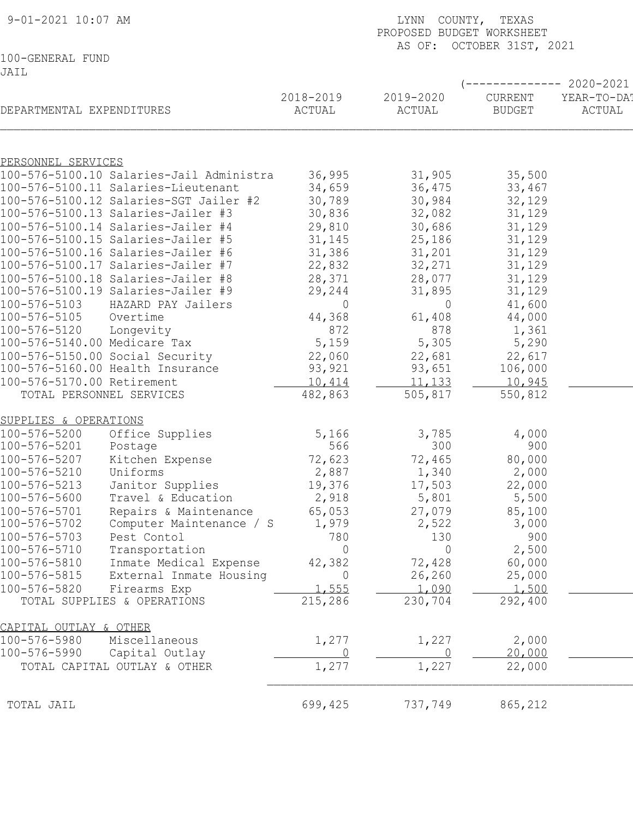| 9-01-2021 10:07 AM               |                                          | LYNN COUNTY, TEXAS<br>PROPOSED BUDGET WORKSHEET<br>AS OF: OCTOBER 31ST, 2021 |                   |                 |                  |  |  |
|----------------------------------|------------------------------------------|------------------------------------------------------------------------------|-------------------|-----------------|------------------|--|--|
|                                  |                                          |                                                                              |                   |                 |                  |  |  |
| 100-GENERAL FUND                 |                                          |                                                                              |                   |                 |                  |  |  |
| JAIL                             |                                          |                                                                              |                   |                 |                  |  |  |
|                                  |                                          |                                                                              |                   |                 | $-----2020-2021$ |  |  |
|                                  |                                          | 2018-2019                                                                    | 2019-2020         | CURRENT         | YEAR-TO-DA!      |  |  |
| DEPARTMENTAL EXPENDITURES        |                                          | ACTUAL                                                                       | ACTUAL            | <b>BUDGET</b>   | ACTUAL           |  |  |
|                                  |                                          |                                                                              |                   |                 |                  |  |  |
|                                  |                                          |                                                                              |                   |                 |                  |  |  |
| PERSONNEL SERVICES               |                                          |                                                                              |                   |                 |                  |  |  |
|                                  | 100-576-5100.10 Salaries-Jail Administra | 36,995                                                                       | 31,905            | 35,500          |                  |  |  |
|                                  | 100-576-5100.11 Salaries-Lieutenant      | 34,659                                                                       | 36,475            | 33,467          |                  |  |  |
|                                  | 100-576-5100.12 Salaries-SGT Jailer #2   | 30,789                                                                       | 30,984            | 32,129          |                  |  |  |
|                                  | 100-576-5100.13 Salaries-Jailer #3       | 30,836                                                                       | 32,082            | 31,129          |                  |  |  |
|                                  | 100-576-5100.14 Salaries-Jailer #4       | 29,810                                                                       | 30,686            | 31,129          |                  |  |  |
|                                  | 100-576-5100.15 Salaries-Jailer #5       | 31,145                                                                       | 25,186            | 31,129          |                  |  |  |
|                                  | 100-576-5100.16 Salaries-Jailer #6       | 31,386                                                                       | 31,201            | 31,129          |                  |  |  |
|                                  | 100-576-5100.17 Salaries-Jailer #7       | 22,832                                                                       | 32,271            | 31,129          |                  |  |  |
|                                  | 100-576-5100.18 Salaries-Jailer #8       | 28,371                                                                       | 28,077            | 31,129          |                  |  |  |
|                                  | 100-576-5100.19 Salaries-Jailer #9       | 29,244                                                                       | 31,895            | 31,129          |                  |  |  |
| 100-576-5103                     | HAZARD PAY Jailers                       | $\circ$                                                                      |                   |                 |                  |  |  |
| 100-576-5105                     | Overtime                                 |                                                                              | $\circ$<br>61,408 | 41,600          |                  |  |  |
| 100-576-5120                     |                                          | 44,368<br>872                                                                | 878               | 44,000<br>1,361 |                  |  |  |
|                                  | Longevity                                |                                                                              |                   |                 |                  |  |  |
| 100-576-5140.00 Medicare Tax     |                                          | 5,159                                                                        | 5,305             | 5,290           |                  |  |  |
| 100-576-5150.00 Social Security  |                                          | 22,060                                                                       | 22,681            | 22,617          |                  |  |  |
| 100-576-5160.00 Health Insurance |                                          | 93,921                                                                       | 93,651            | 106,000         |                  |  |  |
| 100-576-5170.00 Retirement       |                                          | 10,414                                                                       | 11,133            | 10,945          |                  |  |  |
| TOTAL PERSONNEL SERVICES         |                                          | 482,863                                                                      | 505,817           | 550,812         |                  |  |  |
| SUPPLIES & OPERATIONS            |                                          |                                                                              |                   |                 |                  |  |  |
| 100-576-5200                     | Office Supplies                          | 5,166                                                                        | 3,785             | 4,000           |                  |  |  |
| 100-576-5201                     | Postage                                  | 566                                                                          | 300               | 900             |                  |  |  |
| 100-576-5207                     |                                          |                                                                              |                   | 80,000          |                  |  |  |
|                                  | Kitchen Expense                          | 72,623                                                                       | 72,465            |                 |                  |  |  |
| 100-576-5210                     | Uniforms                                 | 2,887                                                                        | 1,340             | 2,000           |                  |  |  |
| 100-576-5213                     | Janitor Supplies                         | 19,376                                                                       | 17,503            | 22,000          |                  |  |  |
| 100-576-5600                     | Travel & Education                       | 2,918                                                                        | 5,801             | 5,500           |                  |  |  |
| 100-576-5701                     | Repairs & Maintenance                    | 65,053                                                                       | 27,079            | 85,100          |                  |  |  |
| 100-576-5702                     | Computer Maintenance / S                 | 1,979                                                                        | 2,522             | 3,000           |                  |  |  |
| 100-576-5703                     | Pest Contol                              | 780                                                                          | 130               | 900             |                  |  |  |
| 100-576-5710                     | Transportation                           | $\Omega$                                                                     | $\Omega$          | 2,500           |                  |  |  |
| 100-576-5810                     | Inmate Medical Expense                   | 42,382                                                                       | 72,428            | 60,000          |                  |  |  |
| 100-576-5815                     | External Inmate Housing                  | $\Omega$                                                                     | 26,260            | 25,000          |                  |  |  |
| 100-576-5820                     | Firearms Exp                             | 1,555                                                                        | 1,090             | 1,500           |                  |  |  |
| TOTAL SUPPLIES & OPERATIONS      |                                          | 215,286                                                                      | 230,704           | 292,400         |                  |  |  |
| CAPITAL OUTLAY & OTHER           |                                          |                                                                              |                   |                 |                  |  |  |
|                                  |                                          |                                                                              |                   |                 |                  |  |  |
| 100-576-5980                     | Miscellaneous                            | 1,277                                                                        | 1,227<br>$\Omega$ | 2,000           |                  |  |  |
| 100-576-5990                     | Capital Outlay                           | 0                                                                            |                   | 20,000          |                  |  |  |
| TOTAL CAPITAL OUTLAY & OTHER     |                                          | 1,277                                                                        | 1,227             | 22,000          |                  |  |  |
|                                  |                                          |                                                                              |                   |                 |                  |  |  |
| TOTAL JAIL                       |                                          | 699,425                                                                      | 737,749           | 865,212         |                  |  |  |
|                                  |                                          |                                                                              |                   |                 |                  |  |  |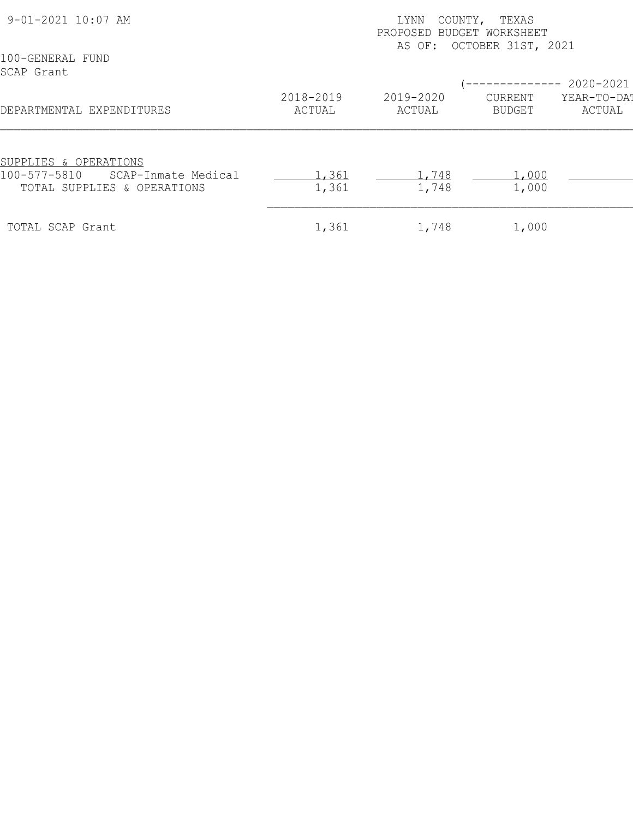| 9-01-2021 10:07 AM                                                                          |                     | COUNTY,<br>TEXAS<br>LYNN<br>PROPOSED BUDGET WORKSHEET<br>AS OF: OCTOBER 31ST, 2021 |                   |                        |  |  |  |
|---------------------------------------------------------------------------------------------|---------------------|------------------------------------------------------------------------------------|-------------------|------------------------|--|--|--|
| 100-GENERAL FUND<br>SCAP Grant                                                              |                     |                                                                                    |                   | ------------ 2020-2021 |  |  |  |
| DEPARTMENTAL EXPENDITURES                                                                   | 2018-2019<br>ACTUAL | 2019-2020<br>ACTUAL                                                                | CURRENT<br>BUDGET | YEAR-TO-DAT<br>ACTUAL  |  |  |  |
| SUPPLIES & OPERATIONS<br>100-577-5810<br>SCAP-Inmate Medical<br>TOTAL SUPPLIES & OPERATIONS | 1,361<br>1,361      | 1,748<br>1,748                                                                     | 1,000<br>1,000    |                        |  |  |  |
| TOTAL SCAP Grant                                                                            | 1,361               | 1,748                                                                              | 1,000             |                        |  |  |  |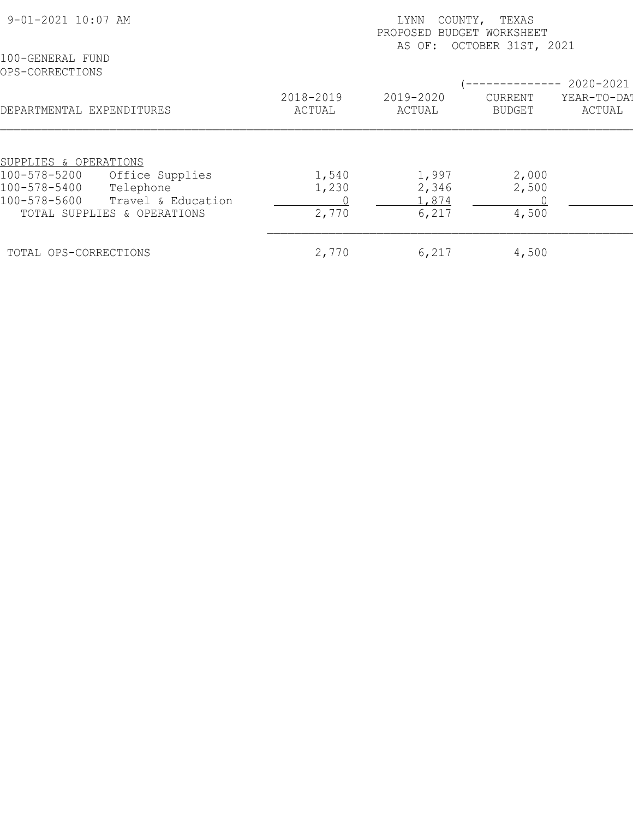| 9-01-2021 10:07 AM                              | LYNN<br>COUNTY, TEXAS<br>PROPOSED BUDGET WORKSHEET<br>AS OF: OCTOBER 31ST, 2021 |                     |                          |                       |  |  |
|-------------------------------------------------|---------------------------------------------------------------------------------|---------------------|--------------------------|-----------------------|--|--|
| 100-GENERAL FUND<br>OPS-CORRECTIONS             |                                                                                 |                     |                          | 2020-2021             |  |  |
| DEPARTMENTAL EXPENDITURES                       | 2018-2019<br>ACTUAL                                                             | 2019-2020<br>ACTUAL | CURRENT<br><b>BUDGET</b> | YEAR-TO-DAT<br>ACTUAL |  |  |
|                                                 |                                                                                 |                     |                          |                       |  |  |
| SUPPLIES & OPERATIONS                           |                                                                                 |                     |                          |                       |  |  |
| 100-578-5200<br>Office Supplies<br>100-578-5400 | 1,540                                                                           | 1,997               | 2,000                    |                       |  |  |
| Telephone<br>100-578-5600<br>Travel & Education | 1,230                                                                           | 2,346<br>1,874      | 2,500                    |                       |  |  |
| TOTAL SUPPLIES & OPERATIONS                     | 2,770                                                                           | 6,217               | 4,500                    |                       |  |  |
| TOTAL OPS-CORRECTIONS                           | 2,770                                                                           | 6,217               | 4,500                    |                       |  |  |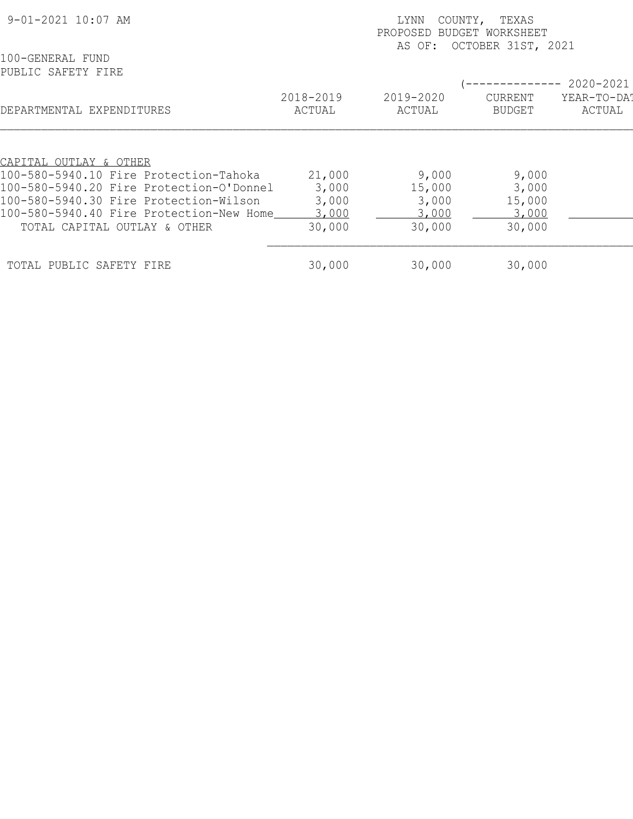| 9-01-2021 10:07 AM                       | LYNN<br>COUNTY, TEXAS<br>PROPOSED<br>BUDGET WORKSHEET<br>OCTOBER 31ST, 2021 |                     |                                 |                       |  |  |
|------------------------------------------|-----------------------------------------------------------------------------|---------------------|---------------------------------|-----------------------|--|--|
| 100-GENERAL FUND<br>PUBLIC SAFETY FIRE   |                                                                             | AS OF:              |                                 | 2020-2021             |  |  |
| DEPARTMENTAL EXPENDITURES                | 2018-2019<br>ACTUAL                                                         | 2019-2020<br>ACTUAL | <b>CURRENT</b><br><b>BUDGET</b> | YEAR-TO-DAT<br>ACTUAL |  |  |
|                                          |                                                                             |                     |                                 |                       |  |  |
| CAPITAL OUTLAY & OTHER                   |                                                                             |                     |                                 |                       |  |  |
| 100-580-5940.10 Fire Protection-Tahoka   | 21,000                                                                      | 9,000               | 9,000                           |                       |  |  |
| 100-580-5940.20 Fire Protection-O'Donnel | 3,000                                                                       | 15,000              | 3,000                           |                       |  |  |
| 100-580-5940.30 Fire Protection-Wilson   | 3,000                                                                       | 3,000               | 15,000                          |                       |  |  |
| 100-580-5940.40 Fire Protection-New Home | 3,000                                                                       | <u>3,000</u>        | 3,000                           |                       |  |  |
| TOTAL CAPITAL OUTLAY & OTHER             | 30,000                                                                      | 30,000              | 30,000                          |                       |  |  |
| TOTAL PUBLIC SAFETY FIRE                 | 30,000                                                                      | 30,000              | 30,000                          |                       |  |  |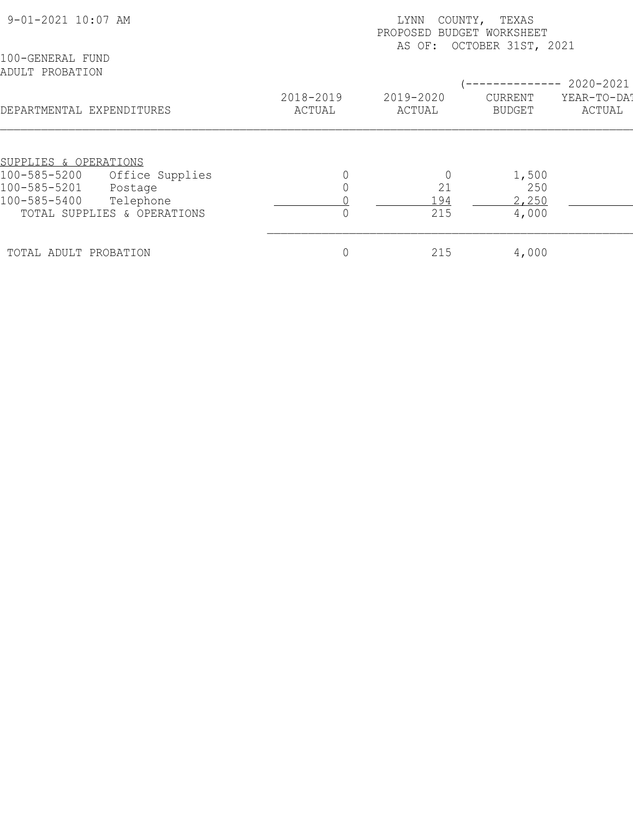| 9-01-2021 10:07 AM                  |                     | COUNTY,<br>TEXAS<br>LYNN<br>PROPOSED BUDGET WORKSHEET<br>AS OF: OCTOBER 31ST, 2021 |                          |                       |  |  |  |
|-------------------------------------|---------------------|------------------------------------------------------------------------------------|--------------------------|-----------------------|--|--|--|
| 100-GENERAL FUND<br>ADULT PROBATION |                     |                                                                                    |                          | 2020-2021             |  |  |  |
| DEPARTMENTAL EXPENDITURES           | 2018-2019<br>ACTUAL | 2019-2020<br>ACTUAL                                                                | CURRENT<br><b>BUDGET</b> | YEAR-TO-DAT<br>ACTUAL |  |  |  |
| SUPPLIES & OPERATIONS               |                     |                                                                                    |                          |                       |  |  |  |
| 100-585-5200<br>Office Supplies     |                     |                                                                                    | 1,500                    |                       |  |  |  |
| 100-585-5201<br>Postage             |                     | 21                                                                                 | 250                      |                       |  |  |  |
| 100-585-5400<br>Telephone           |                     | .94                                                                                | 2,250                    |                       |  |  |  |
| TOTAL SUPPLIES & OPERATIONS         |                     | 215                                                                                | 4,000                    |                       |  |  |  |
| TOTAL ADULT PROBATION               |                     | 215                                                                                | 4,000                    |                       |  |  |  |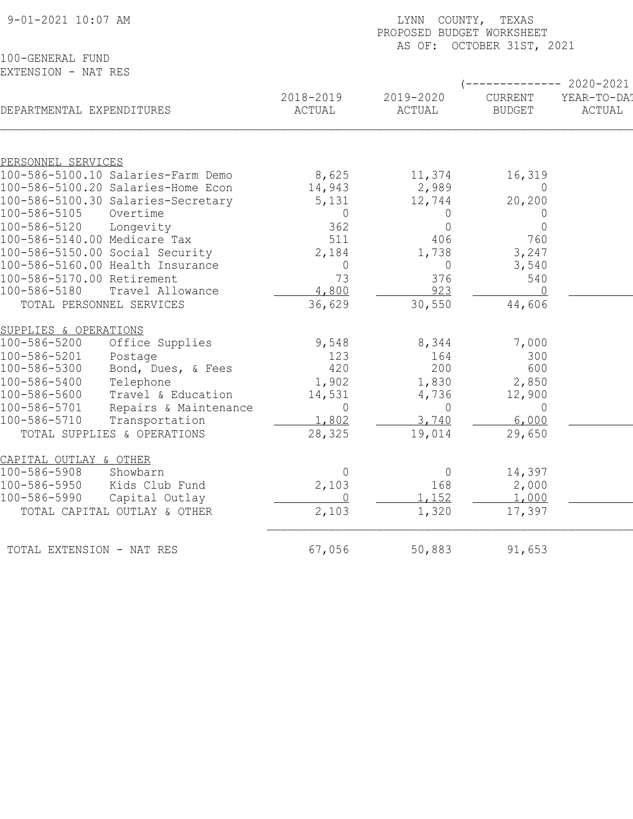| 9-01-2021 10:07 AM                   |                       | COUNTY, TEXAS<br>LYNN<br>PROPOSED BUDGET WORKSHEET<br>OCTOBER 31ST, 2021<br>AS OF: |                |                |                  |  |  |
|--------------------------------------|-----------------------|------------------------------------------------------------------------------------|----------------|----------------|------------------|--|--|
| 100-GENERAL FUND                     |                       |                                                                                    |                |                |                  |  |  |
| EXTENSION - NAT RES                  |                       |                                                                                    |                |                |                  |  |  |
|                                      |                       |                                                                                    |                |                | $-- 2020 - 2021$ |  |  |
|                                      |                       | 2018-2019                                                                          | 2019-2020      | CURRENT        | YEAR-TO-DAT      |  |  |
| DEPARTMENTAL EXPENDITURES            |                       | ACTUAL                                                                             | ACTUAL         | <b>BUDGET</b>  | ACTUAL           |  |  |
|                                      |                       |                                                                                    |                |                |                  |  |  |
| PERSONNEL SERVICES                   |                       |                                                                                    |                |                |                  |  |  |
| 100-586-5100.10 Salaries-Farm Demo   |                       | 8,625                                                                              | 11,374         | 16,319         |                  |  |  |
| 100-586-5100.20 Salaries-Home Econ   |                       | 14,943                                                                             | 2,989          | $\overline{0}$ |                  |  |  |
| 100-586-5100.30 Salaries-Secretary   |                       | 5,131                                                                              | 12,744         | 20, 200        |                  |  |  |
| 100-586-5105<br>Overtime             |                       | $\overline{0}$                                                                     | $\overline{0}$ | 0              |                  |  |  |
| 100-586-5120<br>Longevity            |                       | 362                                                                                | $\mathbf 0$    | $\mathbf 0$    |                  |  |  |
| 100-586-5140.00 Medicare Tax         |                       | 511                                                                                | 406            | 760            |                  |  |  |
| 100-586-5150.00 Social Security      |                       | 2,184                                                                              | 1,738          | 3,247          |                  |  |  |
| 100-586-5160.00 Health Insurance     |                       | 0                                                                                  | $\overline{0}$ | 3,540          |                  |  |  |
| 100-586-5170.00 Retirement           |                       | 73                                                                                 | 376            | 540            |                  |  |  |
| 100-586-5180                         | Travel Allowance      | 4,800                                                                              | 923            | $\Omega$       |                  |  |  |
| TOTAL PERSONNEL SERVICES             |                       | 36,629                                                                             | 30,550         | 44,606         |                  |  |  |
| SUPPLIES & OPERATIONS                |                       |                                                                                    |                |                |                  |  |  |
| 100-586-5200                         | Office Supplies       | 9,548                                                                              | 8,344          | 7,000          |                  |  |  |
| 100-586-5201<br>Postage              |                       | 123                                                                                | 164            | 300            |                  |  |  |
| 100-586-5300                         | Bond, Dues, & Fees    | 420                                                                                | 200            | 600            |                  |  |  |
| 100-586-5400<br>Telephone            |                       | 1,902                                                                              | 1,830          | 2,850          |                  |  |  |
| 100-586-5600                         | Travel & Education    | 14,531                                                                             | 4,736          | 12,900         |                  |  |  |
| 100-586-5701                         | Repairs & Maintenance | $\overline{0}$                                                                     | $\overline{0}$ | 0              |                  |  |  |
| $100 - 586 - 5710$<br>Transportation |                       | 1,802                                                                              | 3,740          | 6,000          |                  |  |  |
| TOTAL SUPPLIES & OPERATIONS          |                       | 28,325                                                                             | 19,014         | 29,650         |                  |  |  |
| CAPITAL OUTLAY & OTHER               |                       |                                                                                    |                |                |                  |  |  |
| 100-586-5908<br>Showbarn             |                       | $\overline{0}$                                                                     | $\circ$        | 14,397         |                  |  |  |
| 100-586-5950<br>Kids Club Fund       |                       | 2,103                                                                              | 168            | 2,000          |                  |  |  |
| 100-586-5990<br>Capital Outlay       |                       | $\overline{0}$                                                                     | 1,152          | 1,000          |                  |  |  |
| TOTAL CAPITAL OUTLAY & OTHER         |                       | 2,103                                                                              | 1,320          | 17,397         |                  |  |  |
| TOTAL EXTENSION - NAT RES            |                       | 67,056                                                                             | 50,883         | 91,653         |                  |  |  |
|                                      |                       |                                                                                    |                |                |                  |  |  |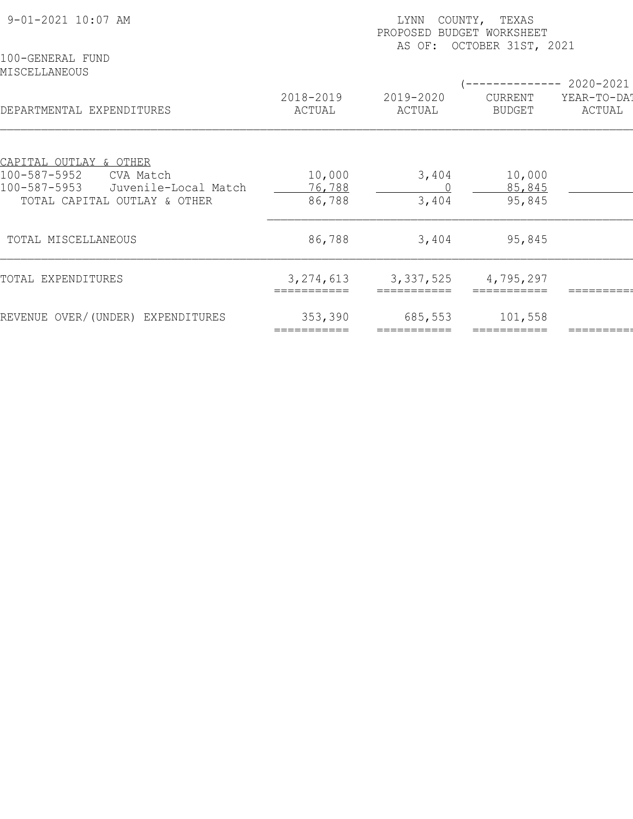| 9-01-2021 10:07 AM<br>100-GENERAL FUND                               | COUNTY, TEXAS<br>LYNN<br>PROPOSED BUDGET WORKSHEET<br>AS OF: OCTOBER 31ST, 2021 |                     |                          |                        |  |  |
|----------------------------------------------------------------------|---------------------------------------------------------------------------------|---------------------|--------------------------|------------------------|--|--|
| MISCELLANEOUS                                                        |                                                                                 |                     |                          | ------------ 2020-2021 |  |  |
| DEPARTMENTAL EXPENDITURES                                            | 2018-2019<br>ACTUAL                                                             | 2019-2020<br>ACTUAL | CURRENT<br><b>BUDGET</b> | YEAR-TO-DA!<br>ACTUAL  |  |  |
|                                                                      |                                                                                 |                     |                          |                        |  |  |
| CAPITAL OUTLAY & OTHER<br>100-587-5952<br>CVA Match                  | 10,000                                                                          | 3,404               | 10,000                   |                        |  |  |
| 100-587-5953<br>Juvenile-Local Match<br>TOTAL CAPITAL OUTLAY & OTHER | 76,788<br>86,788                                                                | 3,404               | 85,845<br>95,845         |                        |  |  |
| TOTAL MISCELLANEOUS                                                  | 86,788                                                                          | 3,404               | 95,845                   |                        |  |  |
| TOTAL EXPENDITURES                                                   | 3, 274, 613                                                                     | 3, 337, 525         | 4,795,297                |                        |  |  |
| REVENUE OVER/(UNDER) EXPENDITURES                                    | 353,390<br>===========                                                          | 685,553             | 101,558                  |                        |  |  |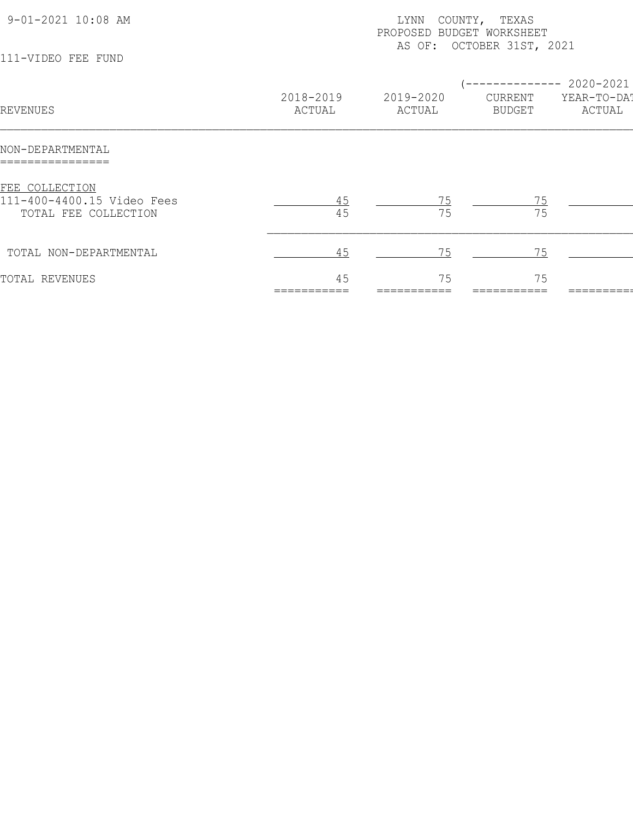| 9-01-2021 10:08 AM                                                   |                     | COUNTY, TEXAS<br>LYNN<br>PROPOSED BUDGET WORKSHEET<br>AS OF: OCTOBER 31ST, 2021 |                          |                                               |  |  |
|----------------------------------------------------------------------|---------------------|---------------------------------------------------------------------------------|--------------------------|-----------------------------------------------|--|--|
| 111-VIDEO FEE FUND                                                   |                     |                                                                                 |                          |                                               |  |  |
| REVENUES                                                             | 2018-2019<br>ACTUAL | 2019-2020<br>ACTUAL                                                             | CURRENT<br><b>BUDGET</b> | $---------2020-2021$<br>YEAR-TO-DA!<br>ACTUAL |  |  |
| NON-DEPARTMENTAL                                                     |                     |                                                                                 |                          |                                               |  |  |
| FEE COLLECTION<br>111-400-4400.15 Video Fees<br>TOTAL FEE COLLECTION | 45                  | 75                                                                              | 75                       |                                               |  |  |
| TOTAL NON-DEPARTMENTAL                                               | 45                  | 75                                                                              | 75                       |                                               |  |  |
| TOTAL REVENUES                                                       | 45                  | 75                                                                              | 75                       |                                               |  |  |
|                                                                      |                     |                                                                                 |                          |                                               |  |  |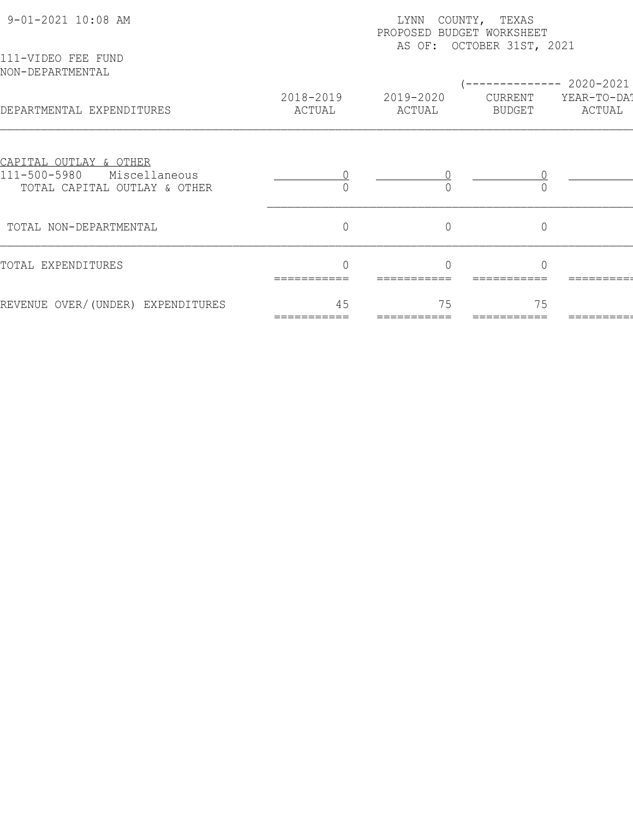| 9-01-2021 10:08 AM                                                                      | LYNN<br>COUNTY, TEXAS<br>PROPOSED BUDGET WORKSHEET<br>AS OF: OCTOBER 31ST, 2021 |                     |                   |                       |  |  |
|-----------------------------------------------------------------------------------------|---------------------------------------------------------------------------------|---------------------|-------------------|-----------------------|--|--|
| 111-VIDEO FEE FUND<br>NON-DEPARTMENTAL                                                  |                                                                                 |                     |                   | 2020-2021             |  |  |
| DEPARTMENTAL EXPENDITURES                                                               | 2018-2019<br>ACTUAL                                                             | 2019-2020<br>ACTUAL | CURRENT<br>BUDGET | YEAR-TO-DAT<br>ACTUAL |  |  |
| CAPITAL OUTLAY & OTHER<br>111-500-5980<br>Miscellaneous<br>TOTAL CAPITAL OUTLAY & OTHER |                                                                                 |                     |                   |                       |  |  |
| TOTAL NON-DEPARTMENTAL                                                                  | $\overline{0}$                                                                  | $\overline{0}$      | $\overline{0}$    |                       |  |  |
| TOTAL EXPENDITURES                                                                      | ===========                                                                     |                     |                   |                       |  |  |
| REVENUE OVER/(UNDER) EXPENDITURES                                                       | 45                                                                              | 75                  | 75                |                       |  |  |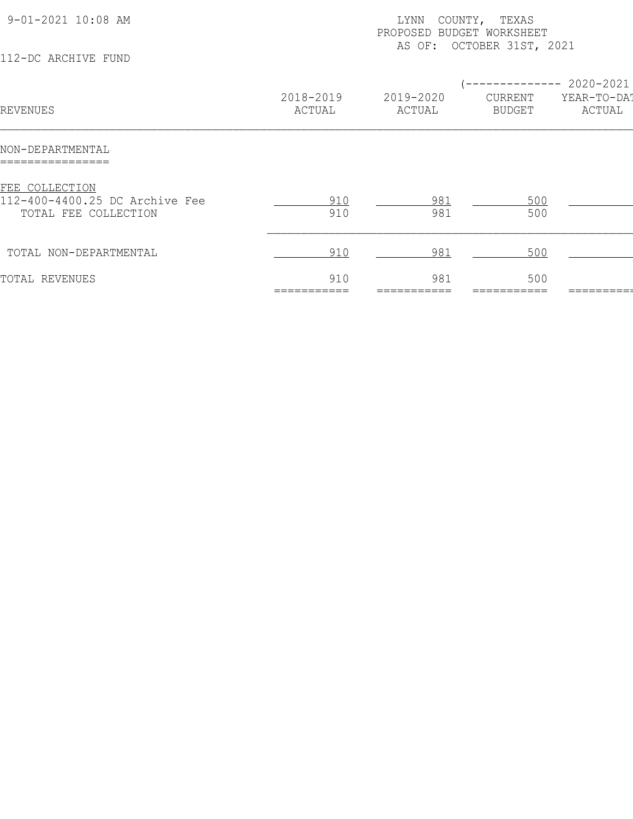| 9-01-2021 10:08 AM<br>112-DC ARCHIVE FUND                                | COUNTY, TEXAS<br>LYNN<br>PROPOSED BUDGET WORKSHEET<br>AS OF: OCTOBER 31ST, 2021 |                     |                                   |                                                |  |
|--------------------------------------------------------------------------|---------------------------------------------------------------------------------|---------------------|-----------------------------------|------------------------------------------------|--|
| REVENUES                                                                 | 2018-2019<br>ACTUAL                                                             | 2019-2020<br>ACTUAL | $- -$<br>CURRENT<br><b>BUDGET</b> | $--------- 2020-2021$<br>YEAR-TO-DAT<br>ACTUAL |  |
| NON-DEPARTMENTAL                                                         |                                                                                 |                     |                                   |                                                |  |
| FEE COLLECTION<br>112-400-4400.25 DC Archive Fee<br>TOTAL FEE COLLECTION | 910<br>910                                                                      | 981<br>981          | 500<br>500                        |                                                |  |
| TOTAL NON-DEPARTMENTAL                                                   | 910                                                                             | 981                 | 500                               |                                                |  |
| TOTAL REVENUES                                                           | 910                                                                             | 981                 | 500                               |                                                |  |
|                                                                          |                                                                                 |                     |                                   |                                                |  |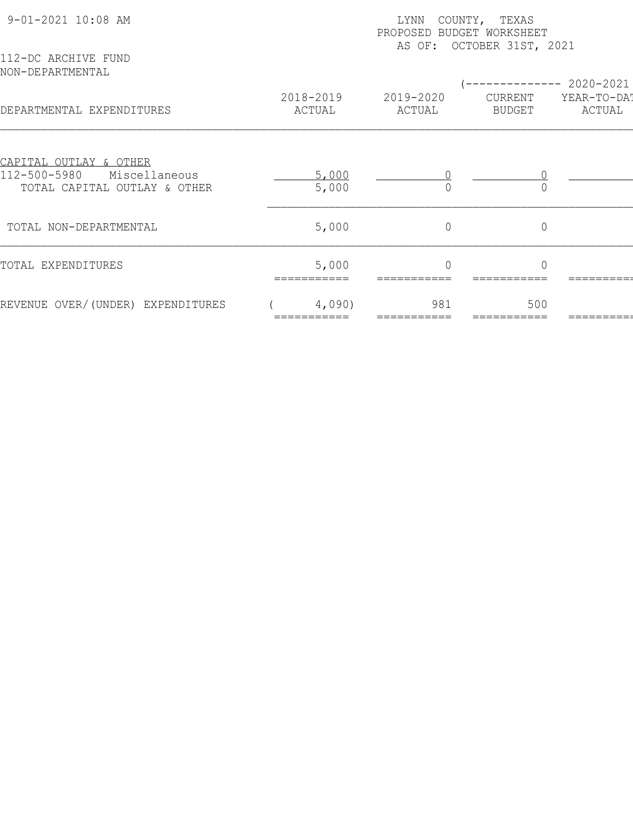| 9-01-2021 10:08 AM                                                                      | COUNTY, TEXAS<br>LYNN<br>PROPOSED BUDGET WORKSHEET<br>AS OF: OCTOBER 31ST, 2021 |                     |                          |                       |  |  |
|-----------------------------------------------------------------------------------------|---------------------------------------------------------------------------------|---------------------|--------------------------|-----------------------|--|--|
| 112-DC ARCHIVE FUND<br>NON-DEPARTMENTAL                                                 |                                                                                 |                     |                          | 2020-2021             |  |  |
| DEPARTMENTAL EXPENDITURES                                                               | 2018-2019<br>ACTUAL                                                             | 2019-2020<br>ACTUAL | CURRENT<br><b>BUDGET</b> | YEAR-TO-DAT<br>ACTUAL |  |  |
| CAPITAL OUTLAY & OTHER<br>112-500-5980<br>Miscellaneous<br>TOTAL CAPITAL OUTLAY & OTHER | 5,000<br>5,000                                                                  |                     |                          |                       |  |  |
| TOTAL NON-DEPARTMENTAL                                                                  | 5,000                                                                           | $\circ$             | $\mathbf 0$              |                       |  |  |
| TOTAL EXPENDITURES                                                                      | 5,000                                                                           |                     |                          |                       |  |  |
| REVENUE OVER/(UNDER) EXPENDITURES                                                       | 4,090)                                                                          | 981                 | 500                      |                       |  |  |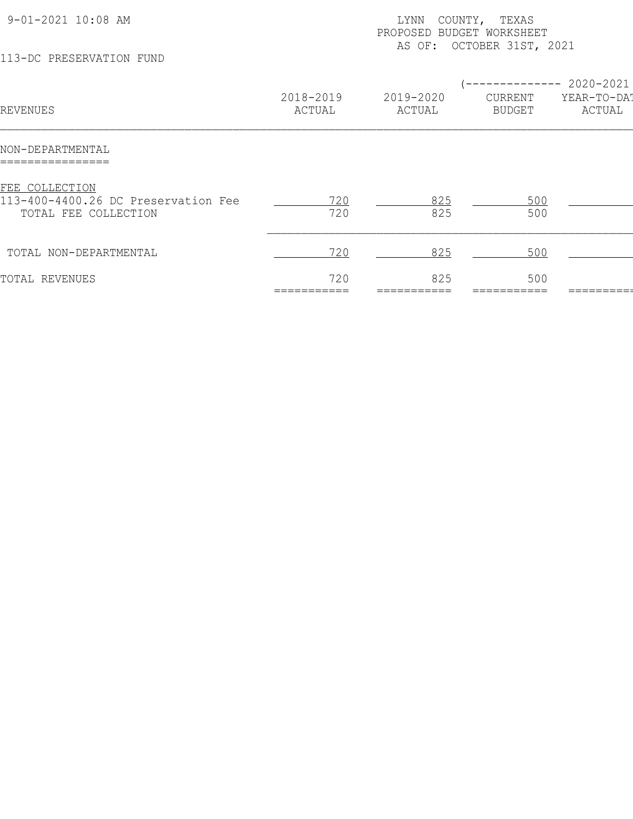| 9-01-2021 10:08 AM<br>113-DC PRESERVATION FUND                                | COUNTY, TEXAS<br>LYNN<br>PROPOSED BUDGET WORKSHEET<br>AS OF: OCTOBER 31ST, 2021 |                     |                   |                                                 |
|-------------------------------------------------------------------------------|---------------------------------------------------------------------------------|---------------------|-------------------|-------------------------------------------------|
| REVENUES                                                                      | 2018-2019<br>ACTUAL                                                             | 2019-2020<br>ACTUAL | CURRENT<br>BUDGET | ------------ 2020-2021<br>YEAR-TO-DA!<br>ACTUAL |
| NON-DEPARTMENTAL<br>=========-------                                          |                                                                                 |                     |                   |                                                 |
| FEE COLLECTION<br>113-400-4400.26 DC Preservation Fee<br>TOTAL FEE COLLECTION | 720<br>720                                                                      | 825<br>825          | 500<br>500        |                                                 |
| TOTAL NON-DEPARTMENTAL                                                        | 720                                                                             | 825                 | 500               |                                                 |
| TOTAL REVENUES                                                                | 720                                                                             | 825                 | 500               |                                                 |
|                                                                               |                                                                                 |                     |                   |                                                 |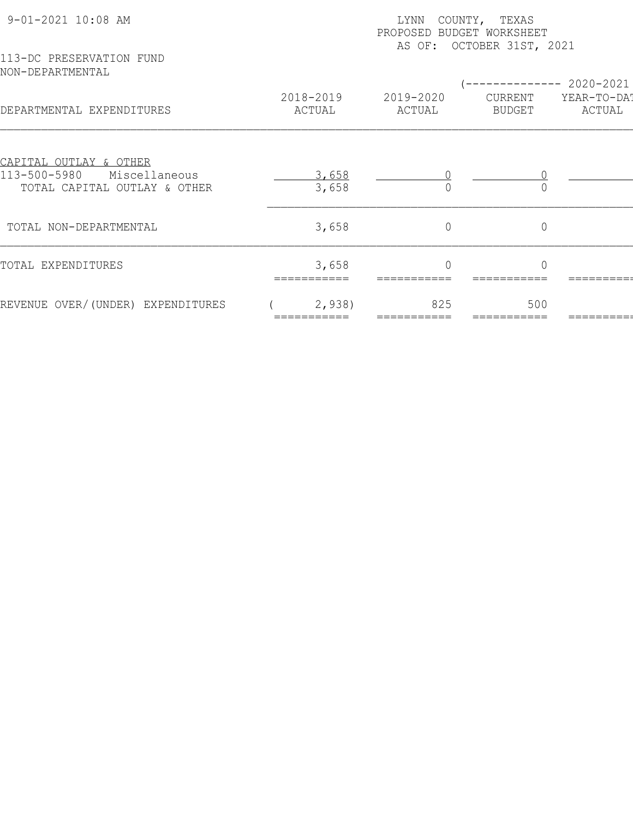| 9-01-2021 10:08 AM                                            | COUNTY, TEXAS<br>LYNN<br>PROPOSED BUDGET WORKSHEET<br>AS OF: OCTOBER 31ST, 2021 |                     |                          |                       |  |  |
|---------------------------------------------------------------|---------------------------------------------------------------------------------|---------------------|--------------------------|-----------------------|--|--|
| 113-DC PRESERVATION FUND<br>NON-DEPARTMENTAL                  |                                                                                 |                     |                          | ----------- 2020-2021 |  |  |
| DEPARTMENTAL EXPENDITURES                                     | 2018-2019<br>ACTUAL                                                             | 2019-2020<br>ACTUAL | CURRENT<br><b>BUDGET</b> | YEAR-TO-DAT<br>ACTUAL |  |  |
| <u>CAPITAL OUTLAY &amp; OTHER</u>                             |                                                                                 |                     |                          |                       |  |  |
| 113-500-5980<br>Miscellaneous<br>TOTAL CAPITAL OUTLAY & OTHER | 3,658<br>3,658                                                                  |                     |                          |                       |  |  |
| TOTAL NON-DEPARTMENTAL                                        | 3,658                                                                           | $\circ$             | $\mathbf 0$              |                       |  |  |
| TOTAL EXPENDITURES                                            | 3,658                                                                           | $\Omega$            | $\bigcap$                |                       |  |  |
| REVENUE OVER/(UNDER) EXPENDITURES                             | 2,938                                                                           | 825                 | 500                      |                       |  |  |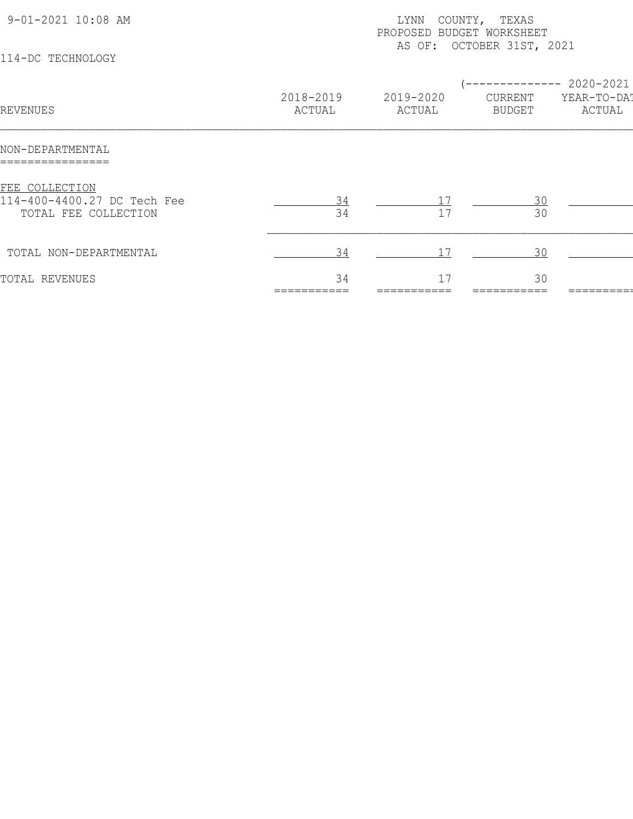| 9-01-2021 10:08 AM<br>114-DC TECHNOLOGY                               |                     | COUNTY, TEXAS<br>LYNN<br>PROPOSED BUDGET WORKSHEET<br>AS OF: OCTOBER 31ST, 2021 |                                       |                                           |  |  |  |
|-----------------------------------------------------------------------|---------------------|---------------------------------------------------------------------------------|---------------------------------------|-------------------------------------------|--|--|--|
| REVENUES                                                              | 2018-2019<br>ACTUAL | 2019-2020<br>ACTUAL                                                             | ---------<br>CURRENT<br><b>BUDGET</b> | $-- 2020 - 2021$<br>YEAR-TO-DAT<br>ACTUAL |  |  |  |
| NON-DEPARTMENTAL                                                      |                     |                                                                                 |                                       |                                           |  |  |  |
| FEE COLLECTION<br>114-400-4400.27 DC Tech Fee<br>TOTAL FEE COLLECTION | 34                  | 17                                                                              | 30<br>30                              |                                           |  |  |  |
| TOTAL NON-DEPARTMENTAL                                                | 34                  |                                                                                 | 30                                    |                                           |  |  |  |
| TOTAL REVENUES                                                        | 34                  | 17                                                                              | 30                                    |                                           |  |  |  |
|                                                                       |                     |                                                                                 |                                       |                                           |  |  |  |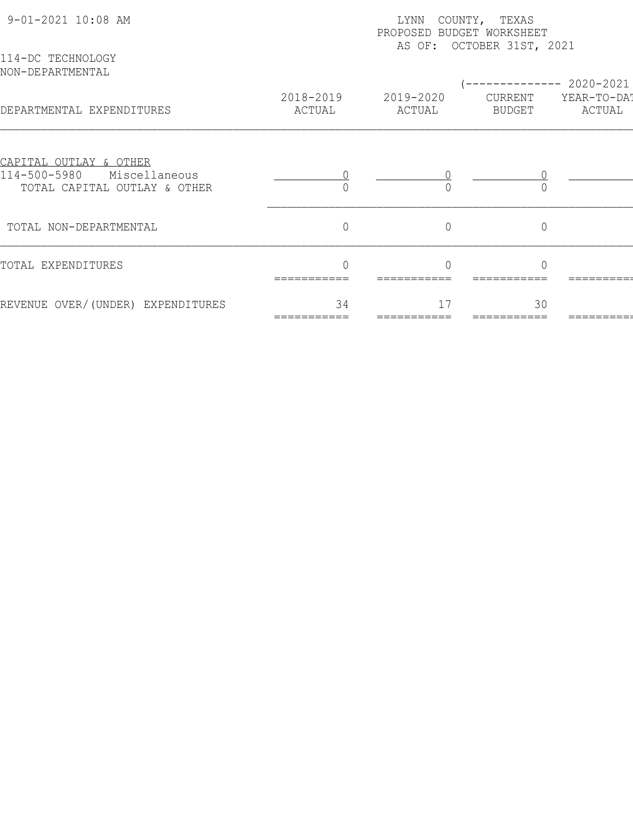| 9-01-2021 10:08 AM                                                                      | LYNN<br>COUNTY, TEXAS<br>PROPOSED BUDGET WORKSHEET<br>AS OF: OCTOBER 31ST, 2021 |                     |                   |                       |  |  |
|-----------------------------------------------------------------------------------------|---------------------------------------------------------------------------------|---------------------|-------------------|-----------------------|--|--|
| 114-DC TECHNOLOGY<br>NON-DEPARTMENTAL                                                   |                                                                                 |                     |                   | 2020-2021             |  |  |
| DEPARTMENTAL EXPENDITURES                                                               | 2018-2019<br>ACTUAL                                                             | 2019-2020<br>ACTUAL | CURRENT<br>BUDGET | YEAR-TO-DAT<br>ACTUAL |  |  |
| CAPITAL OUTLAY & OTHER<br>114-500-5980<br>Miscellaneous<br>TOTAL CAPITAL OUTLAY & OTHER |                                                                                 |                     |                   |                       |  |  |
| TOTAL NON-DEPARTMENTAL                                                                  | $\overline{0}$                                                                  | $\overline{0}$      | $\overline{0}$    |                       |  |  |
| TOTAL EXPENDITURES                                                                      | ===========                                                                     |                     |                   |                       |  |  |
| REVENUE OVER/(UNDER) EXPENDITURES                                                       | 34                                                                              | 17                  | 30                |                       |  |  |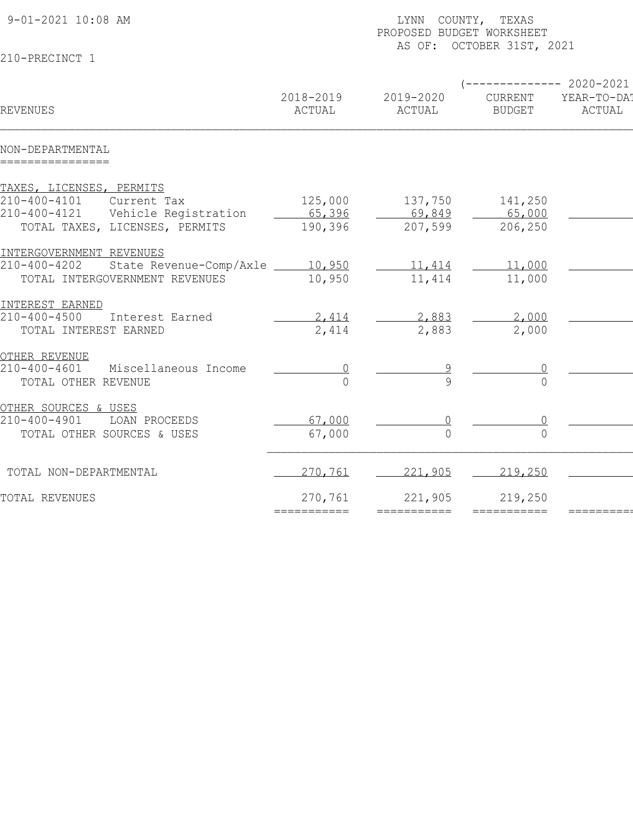| 9-01-2021 10:08 AM                                         |                     | LYNN COUNTY, TEXAS<br>PROPOSED BUDGET WORKSHEET<br>AS OF: OCTOBER 31ST, 2021 |                          |                                                 |  |  |
|------------------------------------------------------------|---------------------|------------------------------------------------------------------------------|--------------------------|-------------------------------------------------|--|--|
| 210-PRECINCT 1                                             |                     |                                                                              |                          |                                                 |  |  |
| <b>REVENUES</b>                                            | 2018-2019<br>ACTUAL | 2019-2020<br>ACTUAL                                                          | CURRENT<br><b>BUDGET</b> | ------------ 2020-2021<br>YEAR-TO-DA!<br>ACTUAL |  |  |
| NON-DEPARTMENTAL<br>================                       |                     |                                                                              |                          |                                                 |  |  |
| TAXES, LICENSES, PERMITS                                   |                     |                                                                              |                          |                                                 |  |  |
| $210 - 400 - 4101$<br>Current Tax                          | 125,000             | 137,750                                                                      | 141,250                  |                                                 |  |  |
| $210 - 400 - 4121$<br>Vehicle Registration                 | 65,396              | 69,849                                                                       | 65,000                   |                                                 |  |  |
| TOTAL TAXES, LICENSES, PERMITS                             | 190,396             | 207,599                                                                      | 206,250                  |                                                 |  |  |
| INTERGOVERNMENT REVENUES                                   |                     |                                                                              |                          |                                                 |  |  |
| $210 - 400 - 4202$<br>State Revenue-Comp/Axle _____ 10,950 |                     | 11,414                                                                       | 11,000                   |                                                 |  |  |
| TOTAL INTERGOVERNMENT REVENUES                             | 10,950              | 11,414                                                                       | 11,000                   |                                                 |  |  |
| INTEREST EARNED                                            |                     |                                                                              |                          |                                                 |  |  |
| $210 - 400 - 4500$<br>Interest Earned                      | 2,414               | 2,883                                                                        | 2,000                    |                                                 |  |  |
| TOTAL INTEREST EARNED                                      | 2,414               | 2,883                                                                        | 2,000                    |                                                 |  |  |
| OTHER REVENUE                                              |                     |                                                                              |                          |                                                 |  |  |
| $210 - 400 - 4601$<br>Miscellaneous Income                 |                     |                                                                              |                          |                                                 |  |  |
| TOTAL OTHER REVENUE                                        | $\Omega$            |                                                                              | $\Omega$                 |                                                 |  |  |
| OTHER SOURCES & USES                                       |                     |                                                                              |                          |                                                 |  |  |
| $210 - 400 - 4901$<br>LOAN PROCEEDS                        | 67,000              |                                                                              |                          |                                                 |  |  |
| TOTAL OTHER SOURCES & USES                                 | 67,000              | $\bigcap$                                                                    | $\bigcap$                |                                                 |  |  |
| TOTAL NON-DEPARTMENTAL                                     | 270,761             | 221,905                                                                      | 219,250                  |                                                 |  |  |
| TOTAL REVENUES                                             | 270,761             | 221,905                                                                      | 219,250                  |                                                 |  |  |
|                                                            | ===========         | ===========                                                                  | ===========              |                                                 |  |  |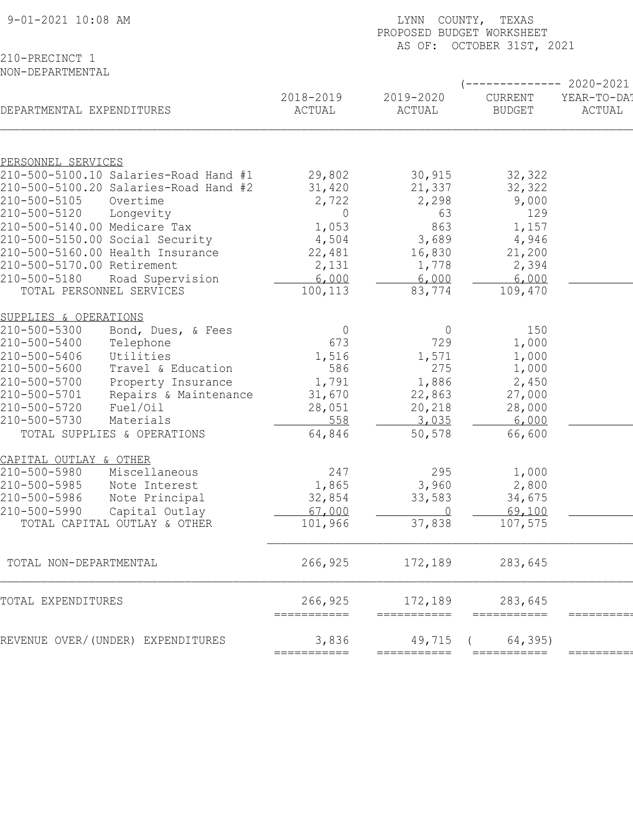| 9-01-2021 10:08 AM                                          |                       |                        | LYNN COUNTY, TEXAS<br>PROPOSED BUDGET WORKSHEET<br>AS OF: OCTOBER 31ST, 2021 |                          |                                               |  |  |  |
|-------------------------------------------------------------|-----------------------|------------------------|------------------------------------------------------------------------------|--------------------------|-----------------------------------------------|--|--|--|
| 210-PRECINCT 1<br>NON-DEPARTMENTAL                          |                       |                        |                                                                              |                          |                                               |  |  |  |
| DEPARTMENTAL EXPENDITURES                                   |                       | 2018-2019<br>ACTUAL    | 2019-2020<br>ACTUAL                                                          | CURRENT<br><b>BUDGET</b> | ---------- 2020-2021<br>YEAR-TO-DA!<br>ACTUAL |  |  |  |
|                                                             |                       |                        |                                                                              |                          |                                               |  |  |  |
| PERSONNEL SERVICES<br>210-500-5100.10 Salaries-Road Hand #1 |                       | 29,802                 | 30,915                                                                       | 32,322                   |                                               |  |  |  |
| 210-500-5100.20 Salaries-Road Hand #2                       |                       | 31,420                 | 21,337                                                                       | 32,322                   |                                               |  |  |  |
| 210-500-5105                                                | Overtime              | 2,722                  | 2,298                                                                        | 9,000                    |                                               |  |  |  |
| 210-500-5120                                                | Longevity             | 0                      | 63                                                                           | 129                      |                                               |  |  |  |
| 210-500-5140.00 Medicare Tax                                |                       | 1,053                  | 863                                                                          | 1,157                    |                                               |  |  |  |
| 210-500-5150.00 Social Security                             |                       | 4,504                  | 3,689                                                                        | 4,946                    |                                               |  |  |  |
| 210-500-5160.00 Health Insurance                            |                       | 22,481                 | 16,830                                                                       | 21,200                   |                                               |  |  |  |
| 210-500-5170.00 Retirement                                  |                       | 2,131<br>6,000         | 1,778                                                                        | 2,394                    |                                               |  |  |  |
| 210-500-5180<br>TOTAL PERSONNEL SERVICES                    | Road Supervision      | 100,113                | 6,000<br>83,774                                                              | 6,000<br>109,470         |                                               |  |  |  |
|                                                             |                       |                        |                                                                              |                          |                                               |  |  |  |
| SUPPLIES & OPERATIONS                                       |                       |                        |                                                                              |                          |                                               |  |  |  |
| 210-500-5300                                                | Bond, Dues, & Fees    | $\overline{0}$         | $\circ$                                                                      | 150                      |                                               |  |  |  |
| 210-500-5400                                                | Telephone             | 673                    | 729                                                                          | 1,000                    |                                               |  |  |  |
| 210-500-5406                                                | Utilities             | 1,516                  | 1,571                                                                        | 1,000                    |                                               |  |  |  |
| 210-500-5600                                                | Travel & Education    | 586                    | 275                                                                          | 1,000                    |                                               |  |  |  |
| 210-500-5700                                                | Property Insurance    | 1,791                  | 1,886                                                                        | 2,450                    |                                               |  |  |  |
| 210-500-5701<br>210-500-5720                                | Repairs & Maintenance | 31,670                 | 22,863                                                                       | 27,000                   |                                               |  |  |  |
| 210-500-5730                                                | Fuel/Oil<br>Materials | 28,051<br>558          | 20,218<br>3,035                                                              | 28,000<br>6,000          |                                               |  |  |  |
| TOTAL SUPPLIES & OPERATIONS                                 |                       | 64,846                 | 50,578                                                                       | 66,600                   |                                               |  |  |  |
|                                                             |                       |                        |                                                                              |                          |                                               |  |  |  |
| CAPITAL OUTLAY & OTHER                                      |                       |                        |                                                                              |                          |                                               |  |  |  |
| 210-500-5980                                                | Miscellaneous         | 247                    | 295                                                                          | 1,000                    |                                               |  |  |  |
| 210-500-5985                                                | Note Interest         | 1,865                  | 3,960                                                                        | 2,800                    |                                               |  |  |  |
| 210-500-5986                                                | Note Principal        | 32,854                 | 33,583                                                                       | 34,675                   |                                               |  |  |  |
| 210-500-5990                                                | Capital Outlay        | 67,000                 | $\bigcap$                                                                    | 69,100                   |                                               |  |  |  |
| TOTAL CAPITAL OUTLAY & OTHER                                |                       | 101,966                | 37,838                                                                       | 107,575                  |                                               |  |  |  |
| TOTAL NON-DEPARTMENTAL                                      |                       | 266,925                | 172,189                                                                      | 283,645                  |                                               |  |  |  |
| TOTAL EXPENDITURES                                          |                       | 266,925<br>=========== | 172,189<br>===========                                                       | 283,645<br>===========   | =========                                     |  |  |  |
| REVENUE OVER/(UNDER) EXPENDITURES                           |                       | 3,836<br>===========   | 49,715<br>===========                                                        | 64,395)<br>===========   | ========                                      |  |  |  |
|                                                             |                       |                        |                                                                              |                          |                                               |  |  |  |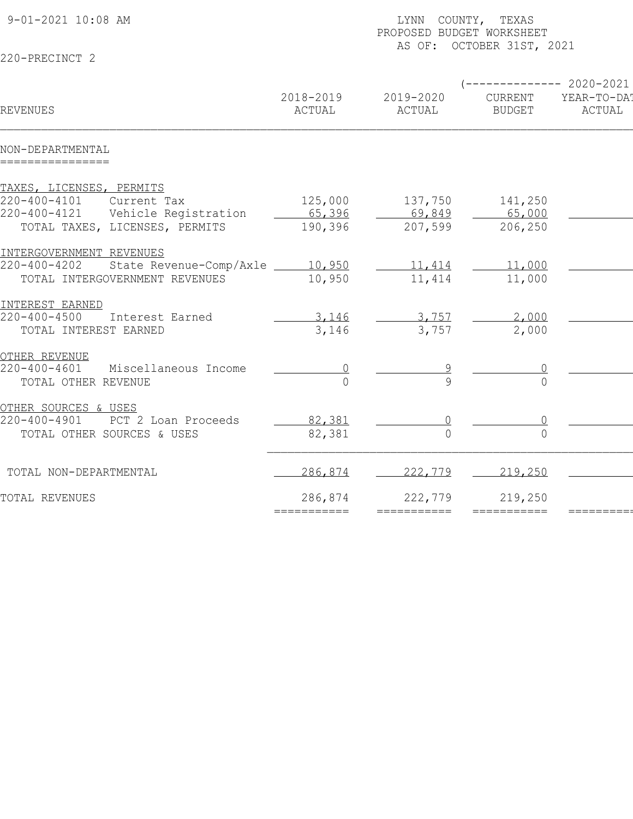| 9-01-2021 10:08 AM                                   |                     | LYNN COUNTY, TEXAS<br>PROPOSED BUDGET WORKSHEET<br>AS OF: OCTOBER 31ST, 2021 |                          |                                                |  |  |
|------------------------------------------------------|---------------------|------------------------------------------------------------------------------|--------------------------|------------------------------------------------|--|--|
| 220-PRECINCT 2                                       |                     |                                                                              |                          |                                                |  |  |
| <b>REVENUES</b>                                      | 2018-2019<br>ACTUAL | 2019-2020<br>ACTUAL                                                          | CURRENT<br><b>BUDGET</b> | $--------- 2020-2021$<br>YEAR-TO-DA!<br>ACTUAL |  |  |
| NON-DEPARTMENTAL<br>================                 |                     |                                                                              |                          |                                                |  |  |
| TAXES, LICENSES, PERMITS                             |                     |                                                                              |                          |                                                |  |  |
| $220 - 400 - 4101$<br>Current Tax                    | 125,000             | 137,750                                                                      | 141,250                  |                                                |  |  |
| $220 - 400 - 4121$<br>Vehicle Registration           | 65,396              | 69,849                                                                       | 65,000                   |                                                |  |  |
| TOTAL TAXES, LICENSES, PERMITS                       | 190,396             | 207,599                                                                      | 206,250                  |                                                |  |  |
| INTERGOVERNMENT REVENUES                             |                     |                                                                              |                          |                                                |  |  |
| $220 - 400 - 4202$<br>State Revenue-Comp/Axle 10,950 |                     | 11,414                                                                       | 11,000                   |                                                |  |  |
| TOTAL INTERGOVERNMENT REVENUES                       | 10,950              | 11,414                                                                       | 11,000                   |                                                |  |  |
| INTEREST EARNED                                      |                     |                                                                              |                          |                                                |  |  |
| $220 - 400 - 4500$<br>Interest Earned                | 3,146               | 3,757                                                                        | 2,000                    |                                                |  |  |
| TOTAL INTEREST EARNED                                | 3,146               | 3,757                                                                        | 2,000                    |                                                |  |  |
| OTHER REVENUE                                        |                     |                                                                              |                          |                                                |  |  |
| $220 - 400 - 4601$<br>Miscellaneous Income           |                     |                                                                              |                          |                                                |  |  |
| TOTAL OTHER REVENUE                                  | $\Omega$            |                                                                              |                          |                                                |  |  |
| OTHER SOURCES & USES                                 |                     |                                                                              |                          |                                                |  |  |
| $220 - 400 - 4901$<br>PCT 2 Loan Proceeds            | 82,381              |                                                                              |                          |                                                |  |  |
| TOTAL OTHER SOURCES & USES                           | 82,381              | $\bigcap$                                                                    | $\bigcap$                |                                                |  |  |
| TOTAL NON-DEPARTMENTAL                               | 286,874             | 222,779                                                                      | 219,250                  |                                                |  |  |
| TOTAL REVENUES                                       | 286,874             | 222,779                                                                      | 219,250                  |                                                |  |  |
|                                                      |                     | ===========                                                                  | ===========              |                                                |  |  |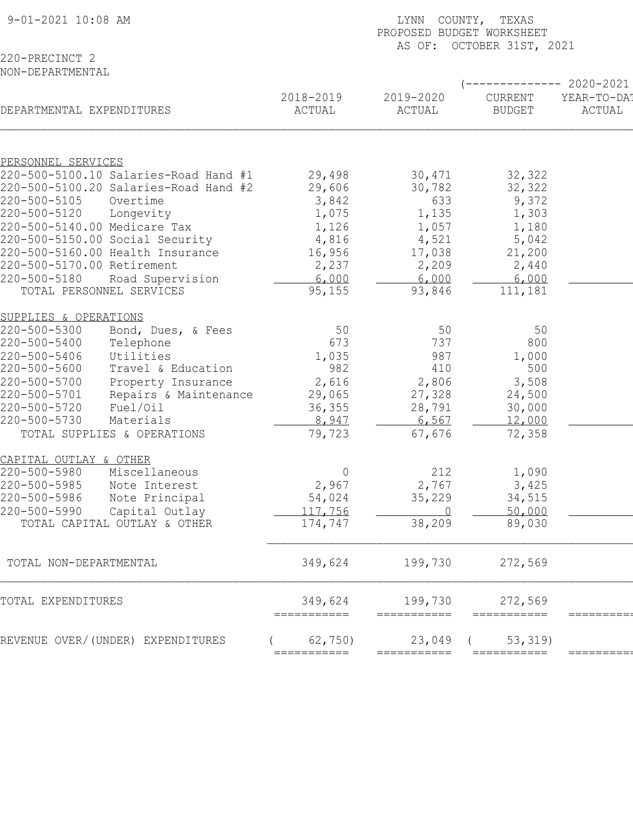| 9-01-2021 10:08 AM           |                                       | COUNTY, TEXAS<br>LYNN<br>PROPOSED BUDGET WORKSHEET<br>AS OF: OCTOBER 31ST, 2021 |                       |                          |                       |  |  |
|------------------------------|---------------------------------------|---------------------------------------------------------------------------------|-----------------------|--------------------------|-----------------------|--|--|
| 220-PRECINCT 2               |                                       |                                                                                 |                       |                          |                       |  |  |
| NON-DEPARTMENTAL             |                                       |                                                                                 |                       |                          |                       |  |  |
|                              |                                       |                                                                                 |                       |                          | $-2020-2021$          |  |  |
| DEPARTMENTAL EXPENDITURES    |                                       | 2018-2019<br>ACTUAL                                                             | 2019-2020<br>ACTUAL   | CURRENT<br><b>BUDGET</b> | YEAR-TO-DA!<br>ACTUAL |  |  |
|                              |                                       |                                                                                 |                       |                          |                       |  |  |
| PERSONNEL SERVICES           | 220-500-5100.10 Salaries-Road Hand #1 |                                                                                 |                       |                          |                       |  |  |
|                              | 220-500-5100.20 Salaries-Road Hand #2 | 29,498                                                                          | 30,471                | 32,322                   |                       |  |  |
|                              |                                       | 29,606                                                                          | 30,782                | 32,322                   |                       |  |  |
| 220-500-5105                 | Overtime                              | 3,842                                                                           | 633                   | 9,372                    |                       |  |  |
| 220-500-5120                 | Longevity                             | 1,075                                                                           | 1,135                 | 1,303                    |                       |  |  |
| 220-500-5140.00 Medicare Tax |                                       | 1,126                                                                           | 1,057                 | 1,180                    |                       |  |  |
|                              | 220-500-5150.00 Social Security       | 4,816                                                                           | 4,521                 | 5,042                    |                       |  |  |
|                              | 220-500-5160.00 Health Insurance      | 16,956                                                                          | 17,038                | 21,200                   |                       |  |  |
| 220-500-5170.00 Retirement   |                                       | 2,237                                                                           | 2,209                 | 2,440                    |                       |  |  |
| 220-500-5180                 | Road Supervision                      | 6,000                                                                           | 6,000                 | 6,000                    |                       |  |  |
|                              | TOTAL PERSONNEL SERVICES              | 95, 155                                                                         | 93,846                | 111,181                  |                       |  |  |
| SUPPLIES & OPERATIONS        |                                       |                                                                                 |                       |                          |                       |  |  |
| 220-500-5300                 | Bond, Dues, & Fees                    | 50                                                                              | 50                    | 50                       |                       |  |  |
| 220-500-5400                 | Telephone                             | 673                                                                             | 737                   | 800                      |                       |  |  |
| 220-500-5406                 | Utilities                             | 1,035                                                                           | 987                   | 1,000                    |                       |  |  |
| 220-500-5600                 | Travel & Education                    | 982                                                                             | 410                   | 500                      |                       |  |  |
| 220-500-5700                 | Property Insurance                    | 2,616                                                                           | 2,806                 | 3,508                    |                       |  |  |
| 220-500-5701                 | Repairs & Maintenance                 | 29,065                                                                          | 27,328                | 24,500                   |                       |  |  |
| 220-500-5720                 | Fuel/Oil                              | 36, 355                                                                         | 28,791                | 30,000                   |                       |  |  |
| 220-500-5730                 | Materials                             | 8,947                                                                           | 6,567                 | 12,000                   |                       |  |  |
|                              | TOTAL SUPPLIES & OPERATIONS           | 79,723                                                                          | 67,676                | 72,358                   |                       |  |  |
| CAPITAL OUTLAY & OTHER       |                                       |                                                                                 |                       |                          |                       |  |  |
| 220-500-5980                 | Miscellaneous                         | 0                                                                               | 212                   | 1,090                    |                       |  |  |
| 220-500-5985                 | Note Interest                         | 2,967                                                                           | 2,767                 | 3,425                    |                       |  |  |
| 220-500-5986                 | Note Principal                        | 54,024                                                                          | 35,229                | 34,515                   |                       |  |  |
| 220-500-5990                 | Capital Outlay                        | 117,756                                                                         | - 0                   | 50,000                   |                       |  |  |
|                              | TOTAL CAPITAL OUTLAY & OTHER          | 174,747                                                                         | 38,209                | 89,030                   |                       |  |  |
|                              |                                       |                                                                                 |                       |                          |                       |  |  |
| TOTAL NON-DEPARTMENTAL       |                                       | 349,624                                                                         | 199,730               | 272,569                  |                       |  |  |
| TOTAL EXPENDITURES           |                                       | 349,624                                                                         | 199,730               | 272,569                  |                       |  |  |
|                              | REVENUE OVER/(UNDER) EXPENDITURES     | ===========<br>62,750)                                                          | ===========<br>23,049 | ===========<br>53, 319   | =========             |  |  |
|                              |                                       | ===========                                                                     | ===========           | ===========              | ========              |  |  |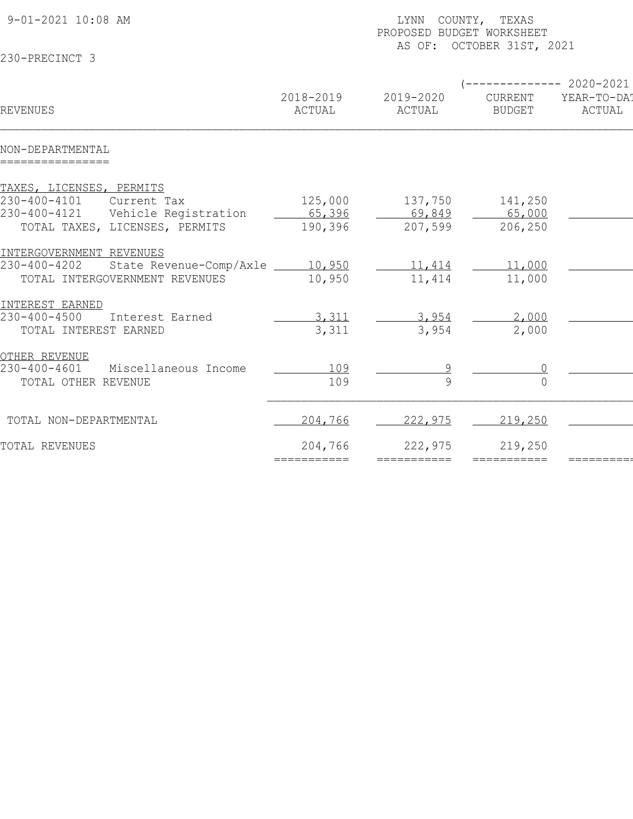| 9-01-2021 10:08 AM                           |                     | LYNN COUNTY, TEXAS<br>PROPOSED BUDGET WORKSHEET<br>AS OF: OCTOBER 31ST, 2021 |                          |                                              |  |  |
|----------------------------------------------|---------------------|------------------------------------------------------------------------------|--------------------------|----------------------------------------------|--|--|
| 230-PRECINCT 3                               |                     |                                                                              |                          |                                              |  |  |
| REVENUES                                     | 2018-2019<br>ACTUAL | 2019-2020<br>ACTUAL                                                          | CURRENT<br><b>BUDGET</b> | $--------2020-2021$<br>YEAR-TO-DAT<br>ACTUAL |  |  |
| NON-DEPARTMENTAL<br>================         |                     |                                                                              |                          |                                              |  |  |
| TAXES, LICENSES, PERMITS                     |                     |                                                                              |                          |                                              |  |  |
| 230-400-4101<br>Current Tax                  | 125,000             | 137,750                                                                      | 141,250                  |                                              |  |  |
| 230-400-4121<br>Vehicle Registration         | 65,396              | 69,849                                                                       | 65,000                   |                                              |  |  |
| TOTAL TAXES, LICENSES, PERMITS               | 190,396             | 207,599                                                                      | 206,250                  |                                              |  |  |
| INTERGOVERNMENT REVENUES                     |                     |                                                                              |                          |                                              |  |  |
| 230-400-4202 State Revenue-Comp/Axle 200.950 |                     | 11,414                                                                       | 11,000                   |                                              |  |  |
| TOTAL INTERGOVERNMENT REVENUES               | 10,950              | 11,414                                                                       | 11,000                   |                                              |  |  |
| INTEREST EARNED                              |                     |                                                                              |                          |                                              |  |  |
| $230 - 400 - 4500$<br>Interest Earned        | 3,311               | 3,954                                                                        | 2,000                    |                                              |  |  |
| TOTAL INTEREST EARNED                        | 3,311               | 3,954                                                                        | 2,000                    |                                              |  |  |
| OTHER REVENUE                                |                     |                                                                              |                          |                                              |  |  |
| 230-400-4601<br>Miscellaneous Income         | 109                 |                                                                              |                          |                                              |  |  |
| TOTAL OTHER REVENUE                          | 109                 |                                                                              |                          |                                              |  |  |
|                                              |                     |                                                                              |                          |                                              |  |  |
| TOTAL NON-DEPARTMENTAL                       | 204,766             | 222,975                                                                      | 219,250                  |                                              |  |  |
| TOTAL REVENUES                               | 204,766             | 222,975                                                                      | 219,250                  |                                              |  |  |
|                                              | ===========         | ===========                                                                  |                          |                                              |  |  |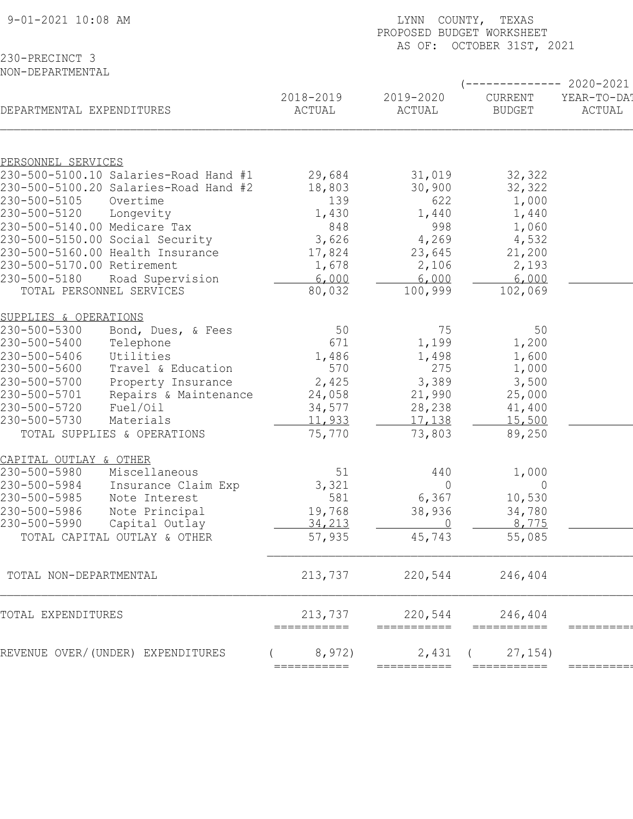| 9-01-2021 10:08 AM                                              | COUNTY, TEXAS<br>LYNN<br>PROPOSED BUDGET WORKSHEET<br>AS OF: OCTOBER 31ST, 2021 |                         |                 |                                   |  |  |
|-----------------------------------------------------------------|---------------------------------------------------------------------------------|-------------------------|-----------------|-----------------------------------|--|--|
| 230-PRECINCT 3<br>NON-DEPARTMENTAL                              |                                                                                 |                         |                 |                                   |  |  |
|                                                                 | 2018-2019                                                                       | 2019-2020               | CURRENT         | $------ 2020-2021$<br>YEAR-TO-DA! |  |  |
| DEPARTMENTAL EXPENDITURES                                       | ACTUAL                                                                          | ACTUAL                  | <b>BUDGET</b>   | ACTUAL                            |  |  |
| PERSONNEL SERVICES                                              |                                                                                 |                         |                 |                                   |  |  |
| 230-500-5100.10 Salaries-Road Hand #1                           | 29,684                                                                          | 31,019                  | 32,322          |                                   |  |  |
| 230-500-5100.20 Salaries-Road Hand #2                           | 18,803                                                                          | 30,900                  | 32,322          |                                   |  |  |
| 230-500-5105<br>Overtime                                        | 139                                                                             | 622                     | 1,000           |                                   |  |  |
| 230-500-5120<br>Longevity                                       | 1,430                                                                           | 1,440                   | 1,440           |                                   |  |  |
| 230-500-5140.00 Medicare Tax<br>230-500-5150.00 Social Security | 848<br>3,626                                                                    | 998<br>4,269            | 1,060<br>4,532  |                                   |  |  |
| 230-500-5160.00 Health Insurance                                | 17,824                                                                          | 23,645                  | 21,200          |                                   |  |  |
| 230-500-5170.00 Retirement                                      | 1,678                                                                           | 2,106                   | 2,193           |                                   |  |  |
| 230-500-5180<br>Road Supervision                                | 6,000                                                                           | 6,000                   | 6,000           |                                   |  |  |
| TOTAL PERSONNEL SERVICES                                        | 80,032                                                                          | 100,999                 | 102,069         |                                   |  |  |
| SUPPLIES & OPERATIONS                                           |                                                                                 |                         |                 |                                   |  |  |
| 230-500-5300<br>Bond, Dues, & Fees                              | 50                                                                              | 75                      | 50              |                                   |  |  |
| 230-500-5400<br>Telephone                                       | 671                                                                             | 1,199                   | 1,200           |                                   |  |  |
| 230-500-5406<br>Utilities                                       | 1,486                                                                           | 1,498                   | 1,600           |                                   |  |  |
| 230-500-5600<br>Travel & Education                              | 570                                                                             | 275                     | 1,000           |                                   |  |  |
| 230-500-5700<br>Property Insurance                              | 2,425                                                                           | 3,389                   | 3,500           |                                   |  |  |
| 230-500-5701<br>Repairs & Maintenance                           | 24,058                                                                          | 21,990                  | 25,000          |                                   |  |  |
| 230-500-5720<br>Fuel/Oil                                        | 34,577                                                                          | 28,238                  | 41,400          |                                   |  |  |
| 230-500-5730<br>Materials                                       | 11,933                                                                          | 17,138                  | 15,500          |                                   |  |  |
| TOTAL SUPPLIES & OPERATIONS                                     | 75,770                                                                          | 73,803                  | 89,250          |                                   |  |  |
| CAPITAL OUTLAY & OTHER                                          |                                                                                 |                         |                 |                                   |  |  |
| 230-500-5980<br>Miscellaneous                                   | 51                                                                              | 440                     | 1,000           |                                   |  |  |
| 230-500-5984<br>Insurance Claim Exp<br>230-500-5985             | 3,321<br>581                                                                    | $\overline{0}$<br>6,367 | $\overline{0}$  |                                   |  |  |
| Note Interest<br>230-500-5986<br>Note Principal                 | 19,768                                                                          | 38,936                  | 10,530          |                                   |  |  |
| 230-500-5990<br>Capital Outlay                                  | 34,213                                                                          |                         | 34,780<br>8,775 |                                   |  |  |
| TOTAL CAPITAL OUTLAY & OTHER                                    | 57,935                                                                          | 45,743                  | 55,085          |                                   |  |  |
|                                                                 |                                                                                 |                         |                 |                                   |  |  |
| TOTAL NON-DEPARTMENTAL                                          | 213,737                                                                         | 220,544                 | 246,404         |                                   |  |  |
| TOTAL EXPENDITURES                                              | 213,737<br>===========                                                          | 220,544<br>===========  | 246,404         |                                   |  |  |
| REVENUE OVER/(UNDER) EXPENDITURES                               | 8,972)                                                                          | 2,431                   | 27, 154)        |                                   |  |  |
|                                                                 | ===========                                                                     | ===========             | ===========     | ========                          |  |  |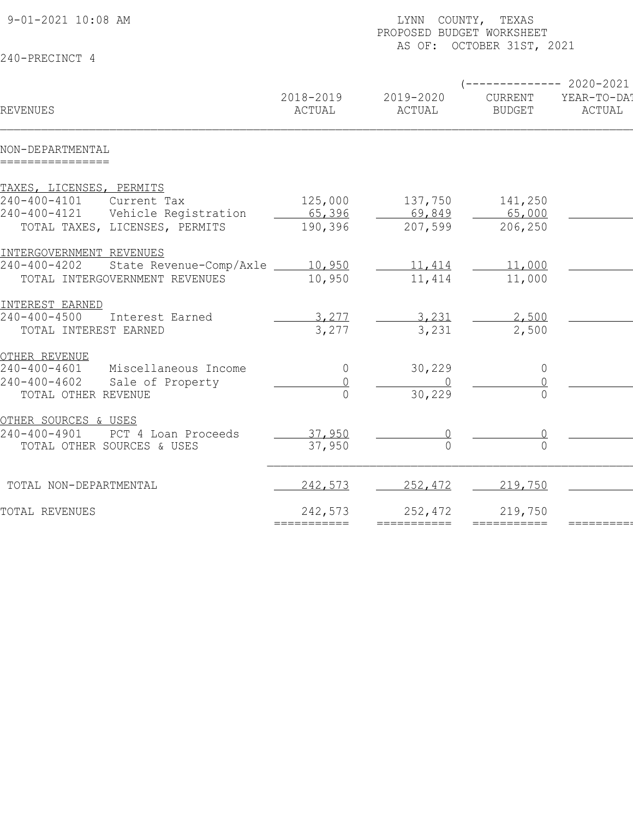| 9-01-2021 10:08 AM                                                                                                                |                              | LYNN COUNTY, TEXAS<br>PROPOSED BUDGET WORKSHEET<br>AS OF: OCTOBER 31ST, 2021 |                                                  |                       |  |  |  |
|-----------------------------------------------------------------------------------------------------------------------------------|------------------------------|------------------------------------------------------------------------------|--------------------------------------------------|-----------------------|--|--|--|
| 240-PRECINCT 4                                                                                                                    |                              |                                                                              |                                                  |                       |  |  |  |
| <b>REVENUES</b>                                                                                                                   | 2018-2019<br>ACTUAL          | 2019-2020<br>ACTUAL                                                          | $---------2020-2021$<br>CURRENT<br><b>BUDGET</b> | YEAR-TO-DA!<br>ACTUAL |  |  |  |
| NON-DEPARTMENTAL<br>================                                                                                              |                              |                                                                              |                                                  |                       |  |  |  |
| TAXES, LICENSES, PERMITS<br>240-400-4101<br>Current Tax<br>240-400-4121<br>Vehicle Registration<br>TOTAL TAXES, LICENSES, PERMITS | 125,000<br>65,396<br>190,396 | 137,750<br>69,849<br>207,599                                                 | 141,250<br>65,000<br>206,250                     |                       |  |  |  |
| INTERGOVERNMENT REVENUES<br>State Revenue-Comp/Axle 10,950<br>240-400-4202<br>TOTAL INTERGOVERNMENT REVENUES                      | 10,950                       | 11,414<br>11,414                                                             | 11,000<br>11,000                                 |                       |  |  |  |
| INTEREST EARNED<br>$240 - 400 - 4500$<br>Interest Earned<br>TOTAL INTEREST EARNED                                                 | 3,277<br>3,277               | 3,231<br>3,231                                                               | 2,500<br>2,500                                   |                       |  |  |  |
| OTHER REVENUE<br>240-400-4601<br>Miscellaneous Income<br>$240 - 400 - 4602$<br>Sale of Property<br>TOTAL OTHER REVENUE            | $\overline{0}$               | 30,229<br>30,229                                                             | $\overline{0}$                                   |                       |  |  |  |
| OTHER SOURCES & USES<br>$240 - 400 - 4901$<br>PCT 4 Loan Proceeds<br>TOTAL OTHER SOURCES & USES                                   | 37,950<br>37,950             |                                                                              |                                                  |                       |  |  |  |
| TOTAL NON-DEPARTMENTAL                                                                                                            | 242,573                      | 252,472                                                                      | 219,750                                          |                       |  |  |  |
| TOTAL REVENUES                                                                                                                    | 242,573                      | 252,472<br>===========                                                       | 219,750<br>===========                           |                       |  |  |  |
|                                                                                                                                   |                              |                                                                              |                                                  |                       |  |  |  |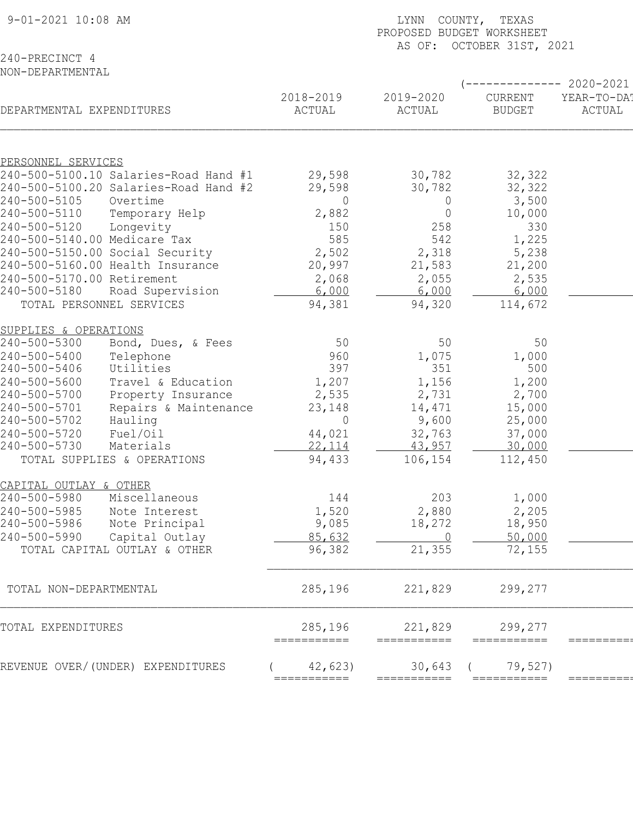| 9-01-2021 10:08 AM                                    | LYNN COUNTY, TEXAS<br>PROPOSED BUDGET WORKSHEET<br>AS OF: OCTOBER 31ST, 2021 |                        |                          |                                               |  |  |
|-------------------------------------------------------|------------------------------------------------------------------------------|------------------------|--------------------------|-----------------------------------------------|--|--|
| 240-PRECINCT 4                                        |                                                                              |                        |                          |                                               |  |  |
| NON-DEPARTMENTAL                                      |                                                                              |                        |                          |                                               |  |  |
| DEPARTMENTAL EXPENDITURES                             | 2018-2019<br>ACTUAL                                                          | 2019-2020<br>ACTUAL    | CURRENT<br><b>BUDGET</b> | ---------- 2020-2021<br>YEAR-TO-DA!<br>ACTUAL |  |  |
|                                                       |                                                                              |                        |                          |                                               |  |  |
| PERSONNEL SERVICES                                    |                                                                              |                        |                          |                                               |  |  |
| 240-500-5100.10 Salaries-Road Hand #1                 | 29,598                                                                       | 30,782                 | 32,322                   |                                               |  |  |
| 240-500-5100.20 Salaries-Road Hand #2                 | 29,598                                                                       | 30,782                 | 32,322                   |                                               |  |  |
| 240-500-5105<br>Overtime                              | 0                                                                            | $\overline{0}$         | 3,500                    |                                               |  |  |
| 240-500-5110<br>Temporary Help                        | 2,882                                                                        | $\overline{0}$         | 10,000                   |                                               |  |  |
| 240-500-5120<br>Longevity                             | 150                                                                          | 258                    | 330                      |                                               |  |  |
| 240-500-5140.00 Medicare Tax                          | 585                                                                          | 542                    | 1,225                    |                                               |  |  |
| 240-500-5150.00 Social Security                       | 2,502                                                                        | 2,318                  | 5,238                    |                                               |  |  |
| 240-500-5160.00 Health Insurance                      | 20,997                                                                       | 21,583                 | 21,200                   |                                               |  |  |
| 240-500-5170.00 Retirement<br>240-500-5180            | 2,068                                                                        | 2,055                  | 2,535                    |                                               |  |  |
| Road Supervision<br>TOTAL PERSONNEL SERVICES          | 6,000<br>94,381                                                              | 6,000<br>94,320        | 6,000<br>114,672         |                                               |  |  |
|                                                       |                                                                              |                        |                          |                                               |  |  |
| SUPPLIES & OPERATIONS                                 |                                                                              |                        |                          |                                               |  |  |
| 240-500-5300<br>Bond, Dues, & Fees                    | 50                                                                           | 50                     | 50                       |                                               |  |  |
| 240-500-5400<br>Telephone                             | 960                                                                          | 1,075                  | 1,000                    |                                               |  |  |
| 240-500-5406<br>Utilities                             | 397                                                                          | 351                    | 500                      |                                               |  |  |
| 240-500-5600<br>Travel & Education                    | 1,207                                                                        | 1,156                  | 1,200                    |                                               |  |  |
| 240-500-5700<br>Property Insurance                    | 2,535                                                                        | 2,731                  | 2,700                    |                                               |  |  |
| 240-500-5701<br>Repairs & Maintenance                 | 23,148                                                                       | 14,471                 | 15,000                   |                                               |  |  |
| 240-500-5702<br>Hauling                               | $\overline{0}$                                                               | 9,600                  | 25,000                   |                                               |  |  |
| 240-500-5720<br>Fuel/Oil<br>240-500-5730<br>Materials | 44,021<br>22, 114                                                            | 32,763<br>43,957       | 37,000<br>30,000         |                                               |  |  |
| TOTAL SUPPLIES & OPERATIONS                           | 94,433                                                                       | 106,154                | 112,450                  |                                               |  |  |
|                                                       |                                                                              |                        |                          |                                               |  |  |
| CAPITAL OUTLAY & OTHER                                |                                                                              |                        |                          |                                               |  |  |
| 240-500-5980<br>Miscellaneous                         | 144                                                                          | 203                    | 1,000                    |                                               |  |  |
| 240-500-5985<br>Note Interest                         | 1,520                                                                        | 2,880                  | 2,205                    |                                               |  |  |
| 240-500-5986<br>Note Principal                        | 9,085                                                                        | 18,272                 | 18,950                   |                                               |  |  |
| 240-500-5990<br>Capital Outlay                        | 85,632                                                                       | $\overline{0}$         | 50,000                   |                                               |  |  |
| TOTAL CAPITAL OUTLAY & OTHER                          | 96,382                                                                       | 21,355                 | 72,155                   |                                               |  |  |
|                                                       |                                                                              |                        |                          |                                               |  |  |
| TOTAL NON-DEPARTMENTAL                                | 285,196                                                                      | 221,829                | 299,277                  |                                               |  |  |
| TOTAL EXPENDITURES                                    | 285,196<br>===========                                                       | 221,829<br>=========== | 299,277                  |                                               |  |  |
| REVENUE OVER/(UNDER) EXPENDITURES                     | 42,623                                                                       | 30,643                 | 79,527)                  |                                               |  |  |
|                                                       | ===========                                                                  |                        |                          |                                               |  |  |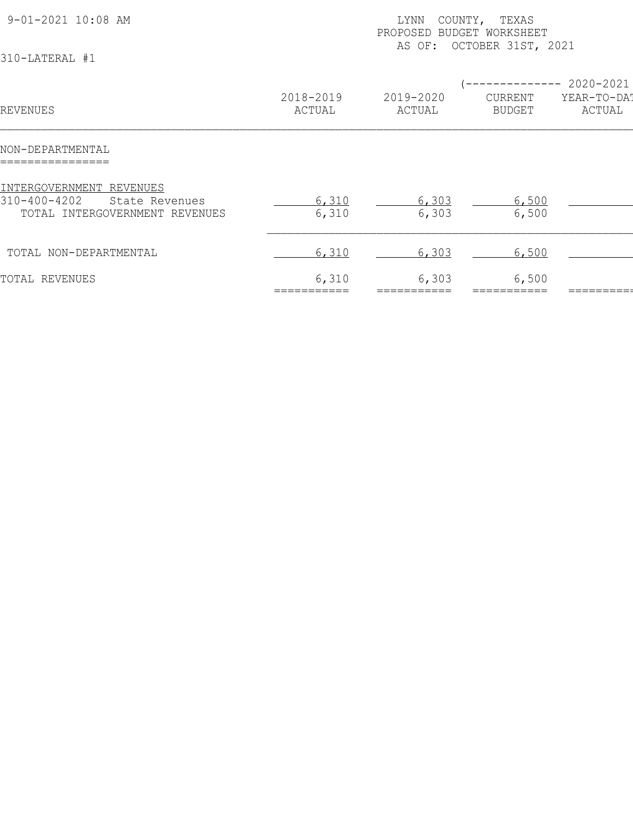| 9-01-2021 10:08 AM<br>310-LATERAL #1                                                         |                     | COUNTY, TEXAS<br>LYNN<br>PROPOSED BUDGET WORKSHEET<br>AS OF: OCTOBER 31ST, 2021 |                                         |                                    |  |  |
|----------------------------------------------------------------------------------------------|---------------------|---------------------------------------------------------------------------------|-----------------------------------------|------------------------------------|--|--|
| REVENUES                                                                                     | 2018-2019<br>ACTUAL | 2019-2020<br>ACTUAL                                                             | -----------<br>CURRENT<br><b>BUDGET</b> | 2020-2021<br>YEAR-TO-DAT<br>ACTUAL |  |  |
| NON-DEPARTMENTAL<br>================                                                         |                     |                                                                                 |                                         |                                    |  |  |
| INTERGOVERNMENT REVENUES<br>310-400-4202<br>State Revenues<br>TOTAL INTERGOVERNMENT REVENUES | 6,310<br>6,310      | 6,303<br>6,303                                                                  | 6,500<br>6,500                          |                                    |  |  |
| TOTAL NON-DEPARTMENTAL                                                                       | 6,310               | 6,303                                                                           | 6,500                                   |                                    |  |  |
| TOTAL REVENUES                                                                               | 6,310               | 6,303                                                                           | 6,500                                   |                                    |  |  |
|                                                                                              |                     |                                                                                 |                                         |                                    |  |  |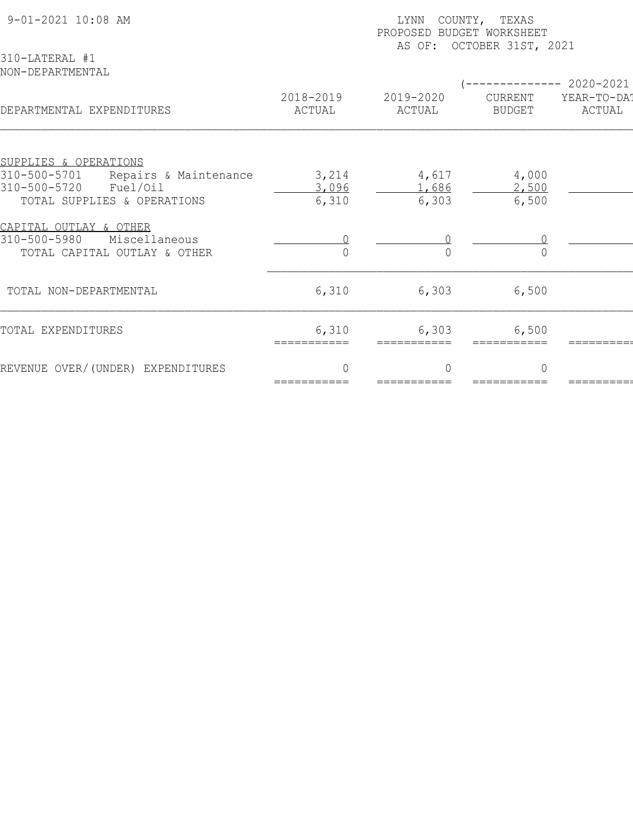| 9-01-2021 10:08 AM<br>310-LATERAL #1                                                                                      | COUNTY, TEXAS<br>LYNN<br>PROPOSED BUDGET WORKSHEET<br>AS OF: OCTOBER 31ST, 2021 |                          |                          |                                    |  |  |
|---------------------------------------------------------------------------------------------------------------------------|---------------------------------------------------------------------------------|--------------------------|--------------------------|------------------------------------|--|--|
| NON-DEPARTMENTAL<br>DEPARTMENTAL EXPENDITURES                                                                             | 2018-2019<br>ACTUAL                                                             | 2019-2020<br>ACTUAL      | CURRENT<br><b>BUDGET</b> | 2020-2021<br>YEAR-TO-DAT<br>ACTUAL |  |  |
|                                                                                                                           |                                                                                 |                          |                          |                                    |  |  |
| SUPPLIES & OPERATIONS<br>310-500-5701<br>Repairs & Maintenance<br>310-500-5720<br>Fuel/Oil<br>TOTAL SUPPLIES & OPERATIONS | 3,214<br>3,096<br>6,310                                                         | 4,617<br>1,686<br>6,303  | 4,000<br>2,500<br>6,500  |                                    |  |  |
| CAPITAL OUTLAY & OTHER<br>310-500-5980<br>Miscellaneous<br>TOTAL CAPITAL OUTLAY & OTHER                                   |                                                                                 |                          |                          |                                    |  |  |
| TOTAL NON-DEPARTMENTAL                                                                                                    | 6,310                                                                           | 6,303                    | 6,500                    |                                    |  |  |
| TOTAL EXPENDITURES                                                                                                        | 6,310<br>===========                                                            | 6,303<br>===========     | 6,500                    |                                    |  |  |
| REVENUE OVER/(UNDER) EXPENDITURES                                                                                         | $\Omega$<br>===========                                                         | $\bigcap$<br>=========== | $\Omega$                 |                                    |  |  |
|                                                                                                                           |                                                                                 |                          |                          |                                    |  |  |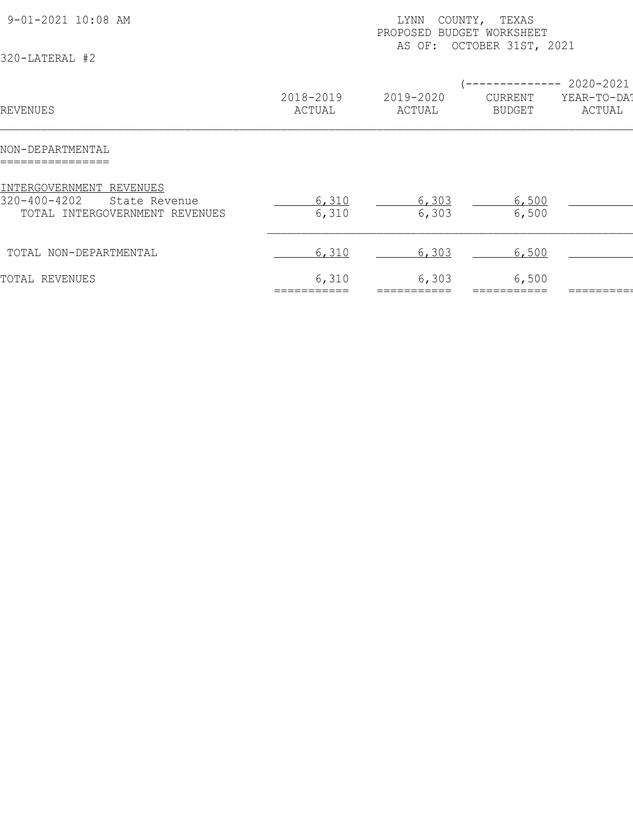| 9-01-2021 10:08 AM<br>320-LATERAL #2                                                              |                     | COUNTY, TEXAS<br>LYNN<br>PROPOSED BUDGET WORKSHEET<br>AS OF: OCTOBER 31ST, 2021 |                                 |                                    |  |  |
|---------------------------------------------------------------------------------------------------|---------------------|---------------------------------------------------------------------------------|---------------------------------|------------------------------------|--|--|
| REVENUES                                                                                          | 2018-2019<br>ACTUAL | 2019-2020<br>ACTUAL                                                             | <b>CURRENT</b><br><b>BUDGET</b> | 2020-2021<br>YEAR-TO-DAT<br>ACTUAL |  |  |
| NON-DEPARTMENTAL                                                                                  |                     |                                                                                 |                                 |                                    |  |  |
| INTERGOVERNMENT REVENUES<br>$320 - 400 - 4202$<br>State Revenue<br>TOTAL INTERGOVERNMENT REVENUES | 6,310<br>6,310      | 6,303<br>6,303                                                                  | 6,500<br>6,500                  |                                    |  |  |
| TOTAL NON-DEPARTMENTAL                                                                            | 6,310               | 6,303                                                                           | 6,500                           |                                    |  |  |
| TOTAL REVENUES                                                                                    | 6,310               | 6,303                                                                           | 6,500                           |                                    |  |  |
|                                                                                                   |                     |                                                                                 |                                 |                                    |  |  |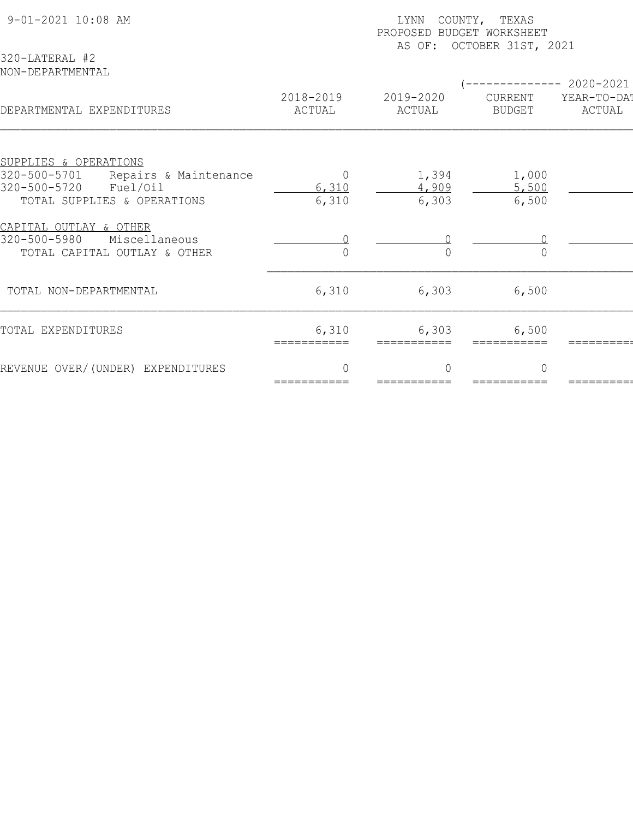| 9-01-2021 10:08 AM<br>320-LATERAL #2                              | COUNTY, TEXAS<br>LYNN<br>PROPOSED BUDGET WORKSHEET<br>AS OF: OCTOBER 31ST, 2021 |                     |                          |                                       |  |  |
|-------------------------------------------------------------------|---------------------------------------------------------------------------------|---------------------|--------------------------|---------------------------------------|--|--|
| NON-DEPARTMENTAL<br>DEPARTMENTAL EXPENDITURES                     | 2018-2019<br>ACTUAL                                                             | 2019-2020<br>ACTUAL | CURRENT<br><b>BUDGET</b> | $-2020-2021$<br>YEAR-TO-DAT<br>ACTUAL |  |  |
|                                                                   |                                                                                 |                     |                          |                                       |  |  |
| SUPPLIES & OPERATIONS                                             |                                                                                 |                     |                          |                                       |  |  |
| 320-500-5701<br>Repairs & Maintenance<br>320-500-5720<br>Fuel/Oil | $\Omega$<br>6,310                                                               | 1,394<br>4,909      | 1,000<br>5,500           |                                       |  |  |
| TOTAL SUPPLIES & OPERATIONS                                       | 6,310                                                                           | 6,303               | 6,500                    |                                       |  |  |
|                                                                   |                                                                                 |                     |                          |                                       |  |  |
| CAPITAL OUTLAY & OTHER                                            |                                                                                 |                     |                          |                                       |  |  |
| 320-500-5980<br>Miscellaneous                                     |                                                                                 |                     |                          |                                       |  |  |
| TOTAL CAPITAL OUTLAY & OTHER                                      |                                                                                 |                     |                          |                                       |  |  |
|                                                                   |                                                                                 |                     |                          |                                       |  |  |
| TOTAL NON-DEPARTMENTAL                                            | 6,310                                                                           | 6,303               | 6,500                    |                                       |  |  |
| TOTAL EXPENDITURES                                                | 6,310                                                                           | 6,303               |                          |                                       |  |  |
|                                                                   | ===========                                                                     | ===========         | 6,500                    |                                       |  |  |
|                                                                   |                                                                                 |                     |                          |                                       |  |  |
| REVENUE OVER/(UNDER) EXPENDITURES                                 | $\Omega$                                                                        | $\bigcap$           | $\Omega$                 |                                       |  |  |
|                                                                   | ===========                                                                     | ===========         |                          |                                       |  |  |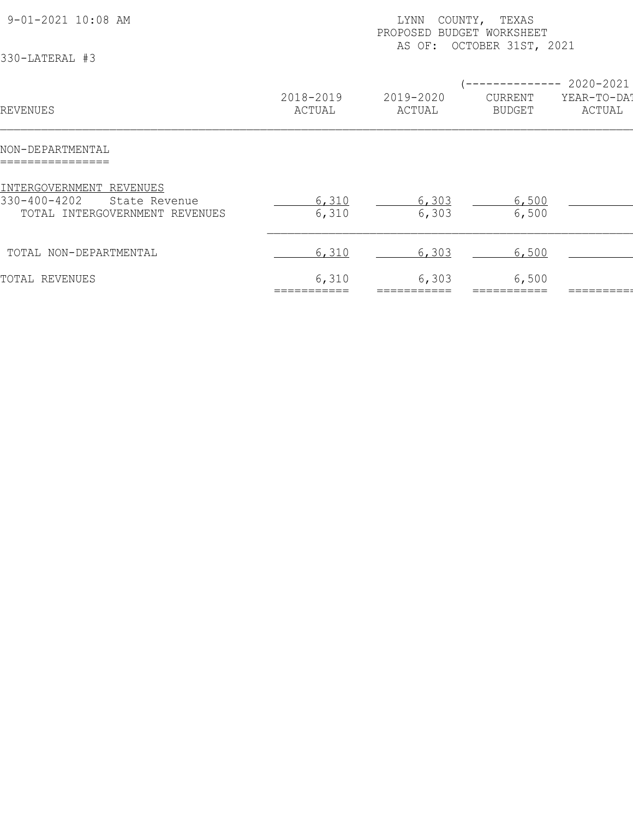| 9-01-2021 10:08 AM<br>330-LATERAL #3                                                        |                     | COUNTY, TEXAS<br>LYNN<br>PROPOSED BUDGET WORKSHEET<br>AS OF: OCTOBER 31ST, 2021 |                                 |                                    |  |  |
|---------------------------------------------------------------------------------------------|---------------------|---------------------------------------------------------------------------------|---------------------------------|------------------------------------|--|--|
| REVENUES                                                                                    | 2018-2019<br>ACTUAL | 2019-2020<br>ACTUAL                                                             | <b>CURRENT</b><br><b>BUDGET</b> | 2020-2021<br>YEAR-TO-DAT<br>ACTUAL |  |  |
| NON-DEPARTMENTAL                                                                            |                     |                                                                                 |                                 |                                    |  |  |
| INTERGOVERNMENT REVENUES<br>330-400-4202<br>State Revenue<br>TOTAL INTERGOVERNMENT REVENUES | 6,310<br>6,310      | 6,303<br>6,303                                                                  | 6,500<br>6,500                  |                                    |  |  |
| TOTAL NON-DEPARTMENTAL                                                                      | 6,310               | 6,303                                                                           | 6,500                           |                                    |  |  |
| TOTAL REVENUES                                                                              | 6,310               | 6,303                                                                           | 6,500                           |                                    |  |  |
|                                                                                             |                     |                                                                                 |                                 |                                    |  |  |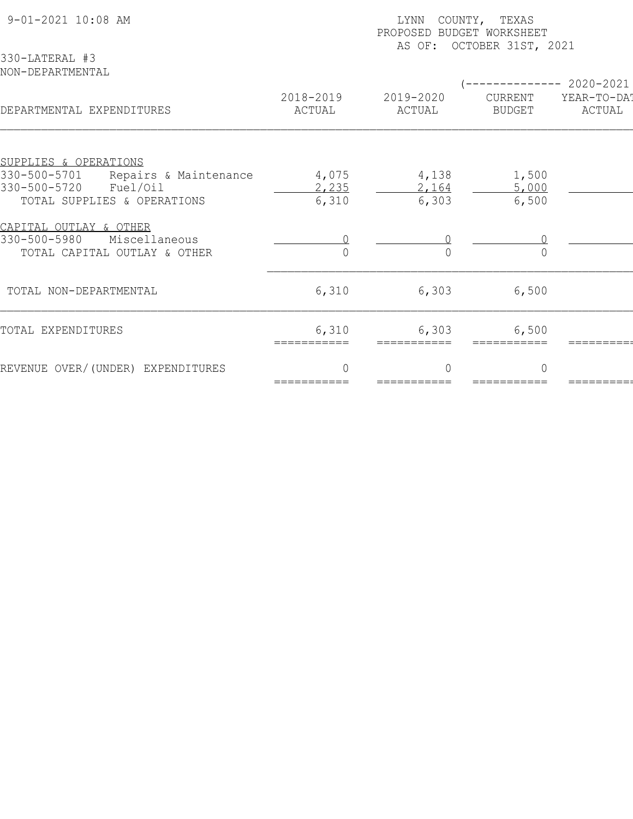| 9-01-2021 10:08 AM<br>330-LATERAL #3                                                       | COUNTY, TEXAS<br>LYNN<br>PROPOSED BUDGET WORKSHEET<br>AS OF: OCTOBER 31ST, 2021 |                          |                          |                                    |  |  |
|--------------------------------------------------------------------------------------------|---------------------------------------------------------------------------------|--------------------------|--------------------------|------------------------------------|--|--|
| NON-DEPARTMENTAL<br>DEPARTMENTAL EXPENDITURES                                              | 2018-2019<br>ACTUAL                                                             | 2019-2020<br>ACTUAL      | CURRENT<br><b>BUDGET</b> | 2020-2021<br>YEAR-TO-DAT<br>ACTUAL |  |  |
|                                                                                            |                                                                                 |                          |                          |                                    |  |  |
| SUPPLIES & OPERATIONS<br>330-500-5701<br>Repairs & Maintenance<br>330-500-5720<br>Fuel/Oil | 4,075<br>2,235                                                                  | 4,138<br>2,164           | 1,500<br>5,000           |                                    |  |  |
| TOTAL SUPPLIES & OPERATIONS                                                                | 6,310                                                                           | 6,303                    | 6,500                    |                                    |  |  |
| CAPITAL OUTLAY & OTHER<br>330-500-5980<br>Miscellaneous<br>TOTAL CAPITAL OUTLAY & OTHER    |                                                                                 |                          |                          |                                    |  |  |
| TOTAL NON-DEPARTMENTAL                                                                     | 6,310                                                                           | 6,303                    | 6,500                    |                                    |  |  |
| TOTAL EXPENDITURES                                                                         | 6,310<br>===========                                                            | 6,303<br>===========     | 6,500                    |                                    |  |  |
| REVENUE OVER/(UNDER) EXPENDITURES                                                          | $\Omega$<br>===========                                                         | $\bigcap$<br>=========== | $\Omega$                 |                                    |  |  |
|                                                                                            |                                                                                 |                          |                          |                                    |  |  |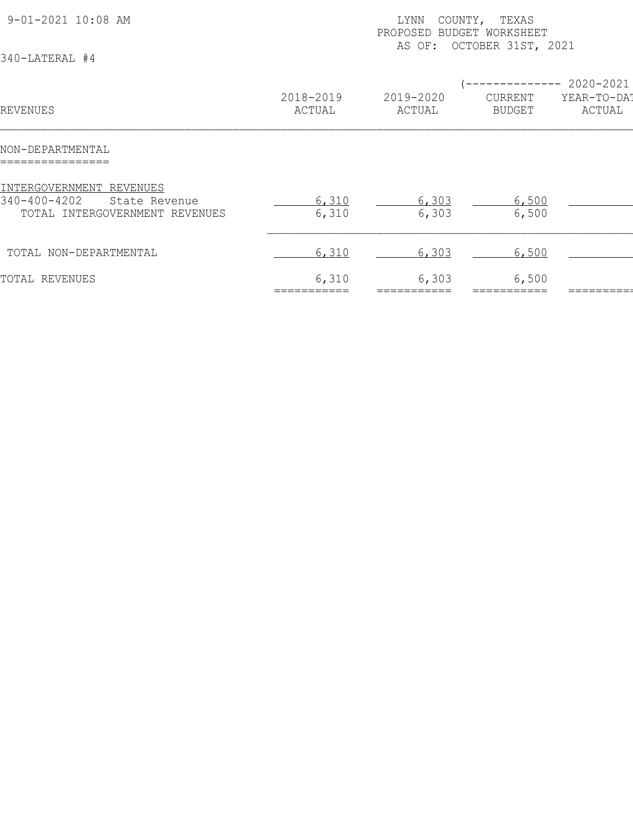| 9-01-2021 10:08 AM<br>340-LATERAL #4                                                        |                     | COUNTY, TEXAS<br>LYNN<br>PROPOSED BUDGET WORKSHEET<br>OCTOBER 31ST, 2021<br>AS OF: |                                        |                                    |  |  |
|---------------------------------------------------------------------------------------------|---------------------|------------------------------------------------------------------------------------|----------------------------------------|------------------------------------|--|--|
| REVENUES                                                                                    | 2018-2019<br>ACTUAL | 2019-2020<br>ACTUAL                                                                | ----------<br>CURRENT<br><b>BUDGET</b> | 2020-2021<br>YEAR-TO-DAT<br>ACTUAL |  |  |
| NON-DEPARTMENTAL<br>================                                                        |                     |                                                                                    |                                        |                                    |  |  |
| INTERGOVERNMENT REVENUES<br>340-400-4202<br>State Revenue<br>TOTAL INTERGOVERNMENT REVENUES | 6,310<br>6,310      | 6,303<br>6,303                                                                     | 6,500<br>6,500                         |                                    |  |  |
| TOTAL NON-DEPARTMENTAL                                                                      | 6,310               | 6,303                                                                              | 6,500                                  |                                    |  |  |
| TOTAL REVENUES                                                                              | 6,310               | 6,303                                                                              | 6,500                                  |                                    |  |  |
|                                                                                             |                     |                                                                                    |                                        |                                    |  |  |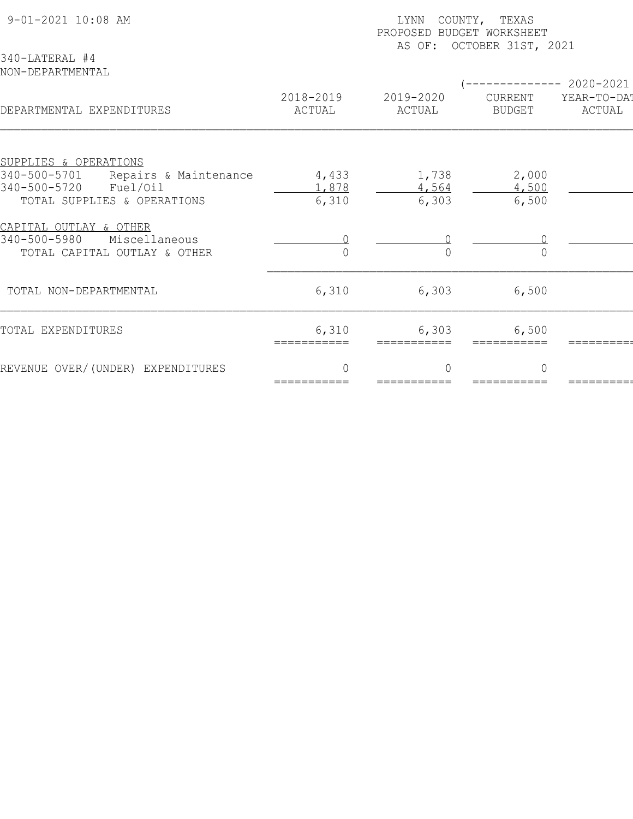| 9-01-2021 10:08 AM<br>340-LATERAL #4                                                       | COUNTY, TEXAS<br>LYNN<br>PROPOSED BUDGET WORKSHEET<br>AS OF: OCTOBER 31ST, 2021 |                          |                          |                                    |  |  |
|--------------------------------------------------------------------------------------------|---------------------------------------------------------------------------------|--------------------------|--------------------------|------------------------------------|--|--|
| NON-DEPARTMENTAL<br>DEPARTMENTAL EXPENDITURES                                              | 2018-2019<br>ACTUAL                                                             | 2019-2020<br>ACTUAL      | CURRENT<br><b>BUDGET</b> | 2020-2021<br>YEAR-TO-DAT<br>ACTUAL |  |  |
|                                                                                            |                                                                                 |                          |                          |                                    |  |  |
| SUPPLIES & OPERATIONS<br>340-500-5701<br>Repairs & Maintenance<br>340-500-5720<br>Fuel/Oil | 4,433<br>1,878                                                                  | 1,738<br>4,564           | 2,000<br>4,500           |                                    |  |  |
| TOTAL SUPPLIES & OPERATIONS                                                                | 6,310                                                                           | 6,303                    | 6,500                    |                                    |  |  |
| CAPITAL OUTLAY & OTHER<br>340-500-5980<br>Miscellaneous<br>TOTAL CAPITAL OUTLAY & OTHER    |                                                                                 |                          |                          |                                    |  |  |
| TOTAL NON-DEPARTMENTAL                                                                     | 6,310                                                                           | 6,303                    | 6,500                    |                                    |  |  |
| TOTAL EXPENDITURES                                                                         | 6,310<br>===========                                                            | 6,303<br>-----------     | 6,500                    |                                    |  |  |
| REVENUE OVER/(UNDER) EXPENDITURES                                                          | $\Omega$<br>===========                                                         | $\bigcap$<br>=========== | $\Omega$                 |                                    |  |  |
|                                                                                            |                                                                                 |                          |                          |                                    |  |  |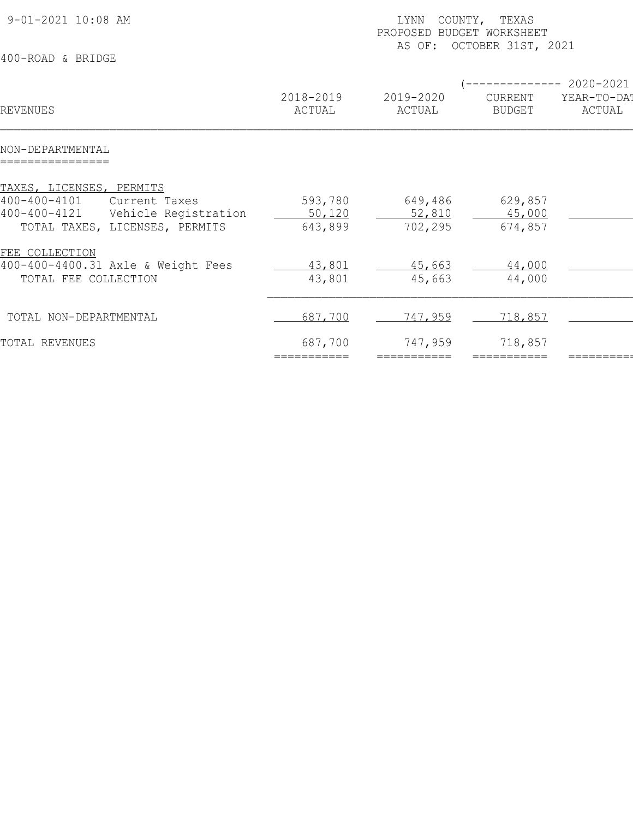| 2020-2021<br>2018-2019<br>2019-2020<br>YEAR-TO-DA!<br>CURRENT<br>ACTUAL<br>ACTUAL<br>ACTUAL<br><b>BUDGET</b><br>593,780<br>649,486<br>629,857<br>Current Taxes<br>Vehicle Registration<br>52,810<br>50,120<br>45,000<br>TOTAL TAXES, LICENSES, PERMITS<br>643,899<br>702,295<br>674,857<br>43,801<br>45,663<br>44,000<br>TOTAL FEE COLLECTION<br>43,801<br>45,663<br>44,000<br>687,700<br><u>747,959</u><br>718,857<br>718,857<br>687,700<br>747,959<br>===========<br>=========== | 9-01-2021 10:08 AM<br>400-ROAD & BRIDGE                              | LYNN<br>COUNTY, TEXAS<br>PROPOSED BUDGET WORKSHEET<br>OCTOBER 31ST, 2021<br>AS OF: |  |  |  |  |  |
|------------------------------------------------------------------------------------------------------------------------------------------------------------------------------------------------------------------------------------------------------------------------------------------------------------------------------------------------------------------------------------------------------------------------------------------------------------------------------------|----------------------------------------------------------------------|------------------------------------------------------------------------------------|--|--|--|--|--|
|                                                                                                                                                                                                                                                                                                                                                                                                                                                                                    | REVENUES                                                             |                                                                                    |  |  |  |  |  |
|                                                                                                                                                                                                                                                                                                                                                                                                                                                                                    | NON-DEPARTMENTAL                                                     |                                                                                    |  |  |  |  |  |
|                                                                                                                                                                                                                                                                                                                                                                                                                                                                                    | TAXES, LICENSES, PERMITS<br>$400 - 400 - 4101$<br>$400 - 400 - 4121$ |                                                                                    |  |  |  |  |  |
|                                                                                                                                                                                                                                                                                                                                                                                                                                                                                    | FEE COLLECTION<br>400-400-4400.31 Axle & Weight Fees                 |                                                                                    |  |  |  |  |  |
|                                                                                                                                                                                                                                                                                                                                                                                                                                                                                    | TOTAL NON-DEPARTMENTAL                                               |                                                                                    |  |  |  |  |  |
|                                                                                                                                                                                                                                                                                                                                                                                                                                                                                    | TOTAL REVENUES                                                       |                                                                                    |  |  |  |  |  |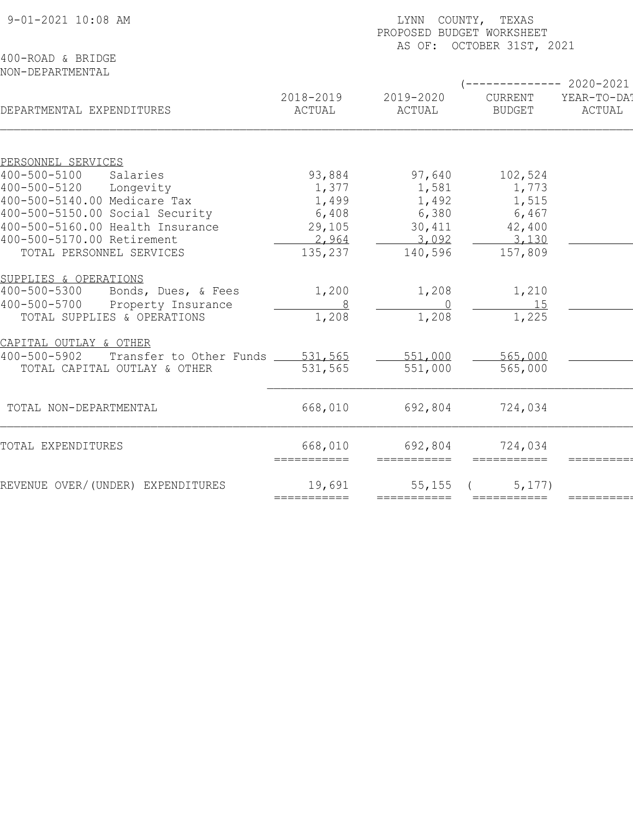| 9-01-2021 10:08 AM                              | LYNN COUNTY, TEXAS<br>PROPOSED BUDGET WORKSHEET<br>AS OF: OCTOBER 31ST, 2021 |                        |                          |                                              |  |  |
|-------------------------------------------------|------------------------------------------------------------------------------|------------------------|--------------------------|----------------------------------------------|--|--|
| 400-ROAD & BRIDGE<br>NON-DEPARTMENTAL           |                                                                              |                        |                          |                                              |  |  |
| DEPARTMENTAL EXPENDITURES                       | 2018-2019<br>ACTUAL                                                          | 2019-2020<br>ACTUAL    | CURRENT<br><b>BUDGET</b> | $--------2020-2021$<br>YEAR-TO-DAT<br>ACTUAL |  |  |
|                                                 |                                                                              |                        |                          |                                              |  |  |
| PERSONNEL SERVICES<br>400-500-5100<br>Salaries  | 93,884                                                                       | 97,640                 | 102,524                  |                                              |  |  |
| 400-500-5120<br>Longevity                       | 1,377                                                                        | 1,581                  | 1,773                    |                                              |  |  |
| 400-500-5140.00 Medicare Tax                    | 1,499                                                                        | 1,492                  | 1,515                    |                                              |  |  |
| 400-500-5150.00 Social Security                 | 6,408                                                                        | 6,380                  | 6,467                    |                                              |  |  |
| 400-500-5160.00 Health Insurance                | 29,105                                                                       | 30,411                 | 42,400                   |                                              |  |  |
| 400-500-5170.00 Retirement                      | 2,964                                                                        | 3,092                  | 3,130                    |                                              |  |  |
| TOTAL PERSONNEL SERVICES                        | 135,237                                                                      | 140,596                | 157,809                  |                                              |  |  |
| SUPPLIES & OPERATIONS                           |                                                                              |                        |                          |                                              |  |  |
| Bonds, Dues, & Fees<br>$400 - 500 - 5300$       | 1,200                                                                        | 1,208                  | 1,210                    |                                              |  |  |
| 400-500-5700<br>Property Insurance              | 8                                                                            | $\overline{0}$         | 15                       |                                              |  |  |
| TOTAL SUPPLIES & OPERATIONS                     | 1,208                                                                        | 1,208                  | 1,225                    |                                              |  |  |
| CAPITAL OUTLAY & OTHER                          |                                                                              |                        |                          |                                              |  |  |
| 400-500-5902<br>Transfer to Other Funds 531,565 |                                                                              | 551,000                | 565,000                  |                                              |  |  |
| TOTAL CAPITAL OUTLAY & OTHER                    | 531,565                                                                      | 551,000                | 565,000                  |                                              |  |  |
| TOTAL NON-DEPARTMENTAL                          | 668,010                                                                      | 692,804                | 724,034                  |                                              |  |  |
|                                                 |                                                                              |                        |                          |                                              |  |  |
| TOTAL EXPENDITURES                              | 668,010<br>===========                                                       | 692,804<br>=========== | 724,034                  |                                              |  |  |
| REVENUE OVER/(UNDER) EXPENDITURES               | 19,691                                                                       | 55, 155                | 5, 177)                  |                                              |  |  |
|                                                 | ===========                                                                  | ===========            | ===========              |                                              |  |  |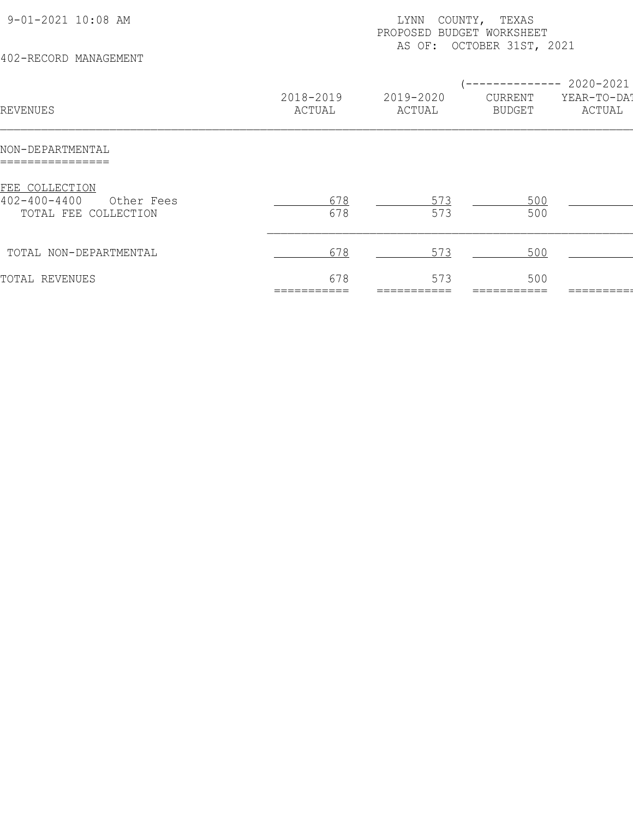| 9-01-2021 10:08 AM<br>402-RECORD MANAGEMENT                                |                     | COUNTY, TEXAS<br>LYNN<br>PROPOSED BUDGET WORKSHEET<br>AS OF: OCTOBER 31ST, 2021 |                                       |                                            |  |  |
|----------------------------------------------------------------------------|---------------------|---------------------------------------------------------------------------------|---------------------------------------|--------------------------------------------|--|--|
| REVENUES                                                                   | 2018-2019<br>ACTUAL | 2019-2020<br>ACTUAL                                                             | ---------<br>CURRENT<br><b>BUDGET</b> | $--- 2020 - 2021$<br>YEAR-TO-DAT<br>ACTUAL |  |  |
| NON-DEPARTMENTAL                                                           |                     |                                                                                 |                                       |                                            |  |  |
| FEE COLLECTION<br>$402 - 400 - 4400$<br>Other Fees<br>TOTAL FEE COLLECTION | 678<br>678          | 573<br>573                                                                      | 500<br>500                            |                                            |  |  |
| TOTAL NON-DEPARTMENTAL                                                     | 678                 | 573                                                                             | 500                                   |                                            |  |  |
| TOTAL REVENUES                                                             | 678                 | 573                                                                             | 500                                   |                                            |  |  |
|                                                                            |                     |                                                                                 |                                       |                                            |  |  |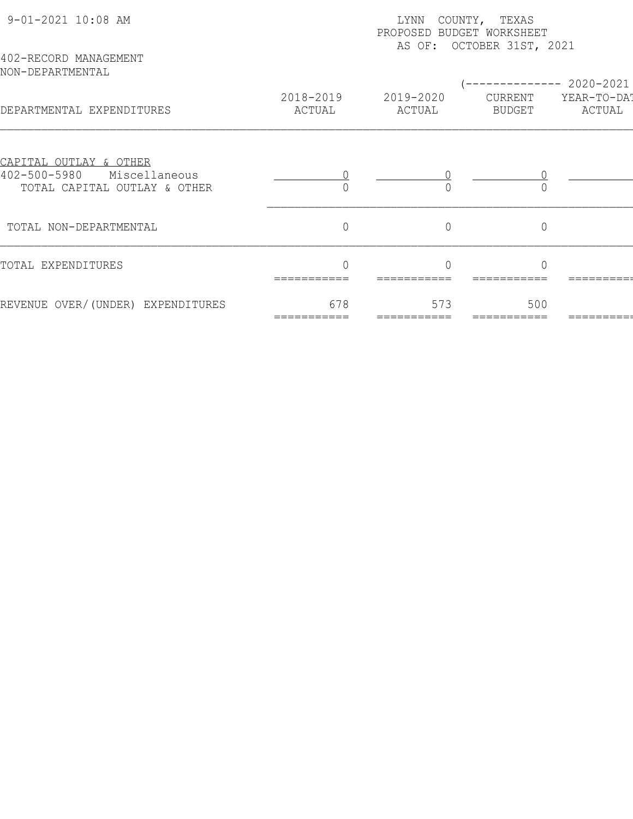| 9-01-2021 10:08 AM                                                                                       |                     | LYNN<br>PROPOSED BUDGET WORKSHEET | COUNTY, TEXAS<br>AS OF: OCTOBER 31ST, 2021 |                       |
|----------------------------------------------------------------------------------------------------------|---------------------|-----------------------------------|--------------------------------------------|-----------------------|
| 402-RECORD MANAGEMENT<br>NON-DEPARTMENTAL                                                                |                     |                                   |                                            | 2020-2021             |
| DEPARTMENTAL EXPENDITURES                                                                                | 2018-2019<br>ACTUAL | 2019-2020<br>ACTUAL               | CURRENT<br><b>BUDGET</b>                   | YEAR-TO-DAT<br>ACTUAL |
| <u>CAPITAL OUTLAY &amp; OTHER</u><br>$402 - 500 - 5980$<br>Miscellaneous<br>TOTAL CAPITAL OUTLAY & OTHER |                     |                                   |                                            |                       |
| TOTAL NON-DEPARTMENTAL                                                                                   | $\overline{0}$      | $\overline{0}$                    | $\overline{0}$                             |                       |
| TOTAL EXPENDITURES                                                                                       | $\cap$              |                                   | $\cap$                                     |                       |
| REVENUE OVER/(UNDER) EXPENDITURES                                                                        | 678                 | 573                               | 500                                        |                       |
|                                                                                                          |                     |                                   |                                            |                       |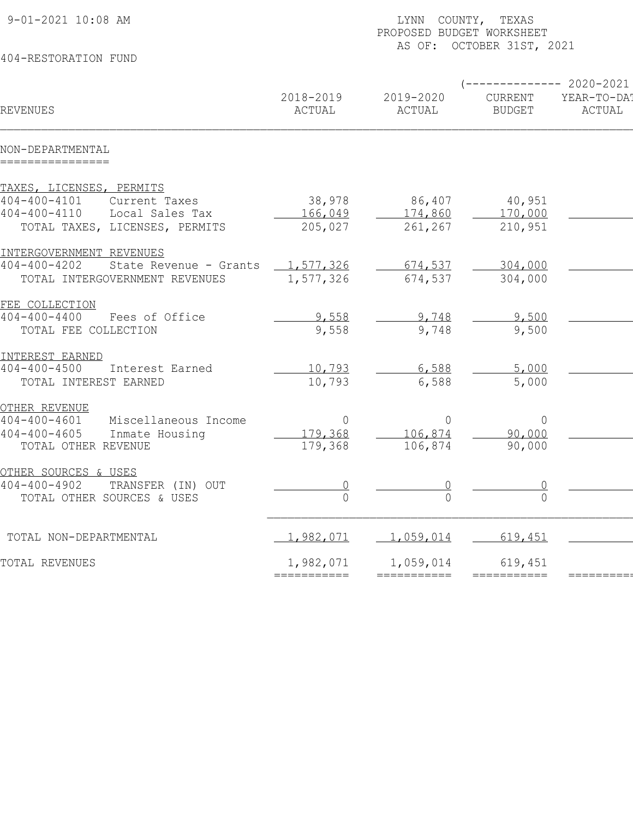|             | LYNN COUNTY, TEXAS<br>PROPOSED BUDGET WORKSHEET                                           |                                                                                          |                                                                                                                              |  |  |  |
|-------------|-------------------------------------------------------------------------------------------|------------------------------------------------------------------------------------------|------------------------------------------------------------------------------------------------------------------------------|--|--|--|
|             |                                                                                           |                                                                                          |                                                                                                                              |  |  |  |
| 2018-2019   | 2019-2020                                                                                 | CURRENT                                                                                  | $------ 2020-2021$<br>YEAR-TO-DA!<br>ACTUAL                                                                                  |  |  |  |
|             |                                                                                           |                                                                                          |                                                                                                                              |  |  |  |
|             |                                                                                           |                                                                                          |                                                                                                                              |  |  |  |
|             |                                                                                           |                                                                                          |                                                                                                                              |  |  |  |
| 38,978      | 86,407                                                                                    |                                                                                          |                                                                                                                              |  |  |  |
|             |                                                                                           |                                                                                          |                                                                                                                              |  |  |  |
|             |                                                                                           |                                                                                          |                                                                                                                              |  |  |  |
|             |                                                                                           |                                                                                          |                                                                                                                              |  |  |  |
| 1,577,326   | 674,537                                                                                   | 304,000                                                                                  |                                                                                                                              |  |  |  |
| 1,577,326   | 674,537                                                                                   | 304,000                                                                                  |                                                                                                                              |  |  |  |
|             |                                                                                           |                                                                                          |                                                                                                                              |  |  |  |
|             |                                                                                           |                                                                                          |                                                                                                                              |  |  |  |
| 9,558       | 9,748                                                                                     | 9,500                                                                                    |                                                                                                                              |  |  |  |
|             |                                                                                           |                                                                                          |                                                                                                                              |  |  |  |
|             |                                                                                           |                                                                                          |                                                                                                                              |  |  |  |
| 10,793      | 6,588                                                                                     | 5,000                                                                                    |                                                                                                                              |  |  |  |
|             |                                                                                           |                                                                                          |                                                                                                                              |  |  |  |
|             |                                                                                           |                                                                                          |                                                                                                                              |  |  |  |
|             |                                                                                           |                                                                                          |                                                                                                                              |  |  |  |
| 179,368     | 106,874                                                                                   | 90,000                                                                                   |                                                                                                                              |  |  |  |
|             |                                                                                           |                                                                                          |                                                                                                                              |  |  |  |
|             |                                                                                           |                                                                                          |                                                                                                                              |  |  |  |
|             |                                                                                           |                                                                                          |                                                                                                                              |  |  |  |
|             |                                                                                           |                                                                                          |                                                                                                                              |  |  |  |
| 1,982,071   | 1,059,014                                                                                 | 619,451                                                                                  |                                                                                                                              |  |  |  |
|             |                                                                                           |                                                                                          |                                                                                                                              |  |  |  |
| =========== | ===========                                                                               |                                                                                          | $========$                                                                                                                   |  |  |  |
|             | ACTUAL<br>166,049<br>205,027<br>9,558<br>10,793<br>$\overline{0}$<br>179,368<br>1,982,071 | ACTUAL<br>174,860<br>261,267<br>9,748<br>6,588<br>$\overline{0}$<br>106,874<br>1,059,014 | AS OF: OCTOBER 31ST, 2021<br><b>BUDGET</b><br>40,951<br>170,000<br>210,951<br>9,500<br>5,000<br>$\circ$<br>90,000<br>619,451 |  |  |  |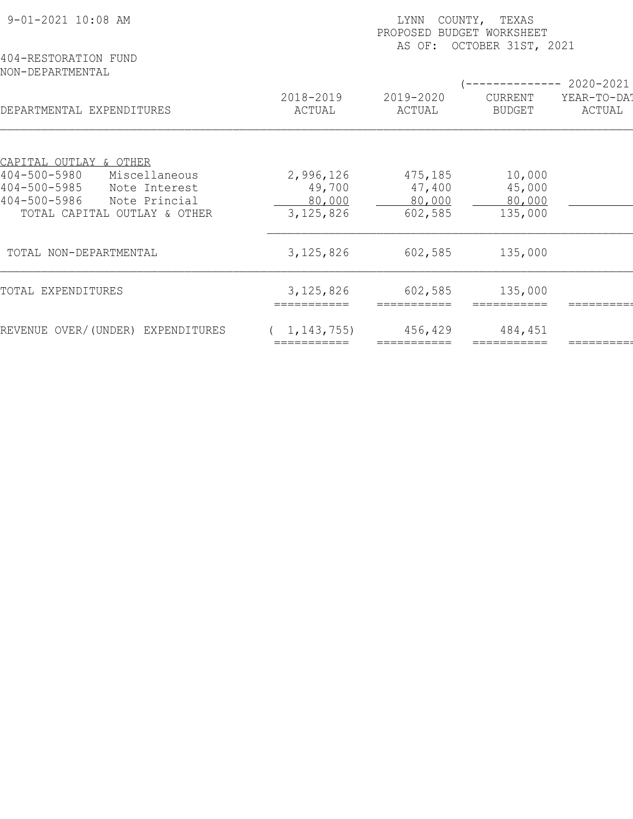| 9-01-2021 10:08 AM                                                         | COUNTY, TEXAS<br>LYNN<br>PROPOSED BUDGET WORKSHEET<br>AS OF: OCTOBER 31ST, 2021 |                        |                          |                       |  |  |
|----------------------------------------------------------------------------|---------------------------------------------------------------------------------|------------------------|--------------------------|-----------------------|--|--|
| 404-RESTORATION FUND<br>NON-DEPARTMENTAL                                   |                                                                                 |                        |                          | 2020-2021             |  |  |
| DEPARTMENTAL EXPENDITURES                                                  | 2018-2019<br>ACTUAL                                                             | 2019-2020<br>ACTUAL    | CURRENT<br><b>BUDGET</b> | YEAR-TO-DA!<br>ACTUAL |  |  |
| CAPITAL OUTLAY & OTHER                                                     |                                                                                 |                        |                          |                       |  |  |
| $404 - 500 - 5980$<br>Miscellaneous<br>$404 - 500 - 5985$<br>Note Interest | 2,996,126<br>49,700                                                             | 475,185<br>47,400      | 10,000<br>45,000         |                       |  |  |
| 404-500-5986<br>Note Princial<br>TOTAL CAPITAL OUTLAY & OTHER              | 80,000<br>3, 125, 826                                                           | 80,000<br>602,585      | 80,000<br>135,000        |                       |  |  |
| TOTAL NON-DEPARTMENTAL                                                     | 3, 125, 826                                                                     | 602,585                | 135,000                  |                       |  |  |
| TOTAL EXPENDITURES                                                         | 3, 125, 826<br>===========                                                      | 602,585<br>=========== | 135,000                  |                       |  |  |
| REVENUE OVER/(UNDER) EXPENDITURES                                          | 1, 143, 755)                                                                    | 456,429                | 484,451                  |                       |  |  |
|                                                                            |                                                                                 |                        |                          |                       |  |  |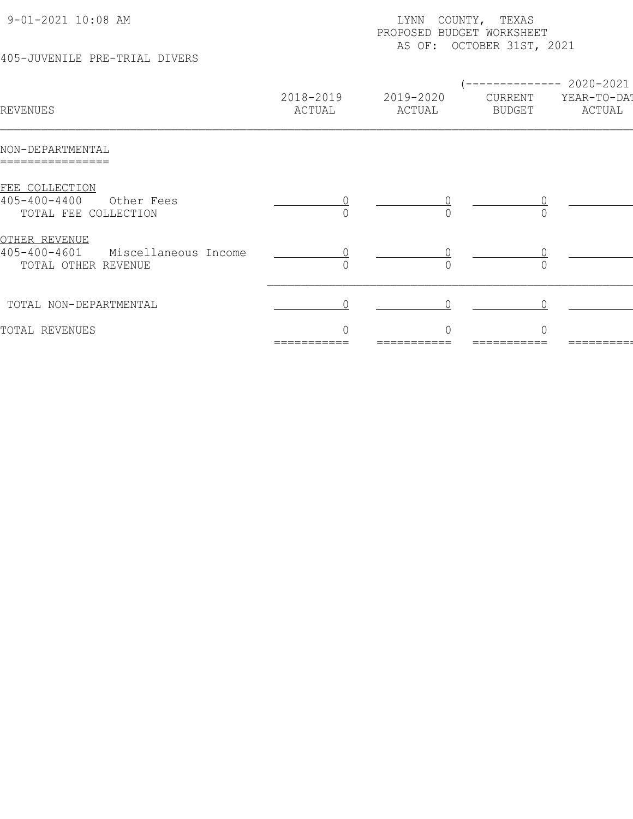| 9-01-2021 10:08 AM<br>405-JUVENILE PRE-TRIAL DIVERS                                       |                     | COUNTY, TEXAS<br>LYNN<br>PROPOSED BUDGET WORKSHEET<br>AS OF: OCTOBER 31ST, 2021 |                                |                                    |  |  |
|-------------------------------------------------------------------------------------------|---------------------|---------------------------------------------------------------------------------|--------------------------------|------------------------------------|--|--|
| REVENUES                                                                                  | 2018-2019<br>ACTUAL | 2019-2020<br>ACTUAL                                                             | ---------<br>CURRENT<br>BUDGET | 2020-2021<br>YEAR-TO-DAT<br>ACTUAL |  |  |
| NON-DEPARTMENTAL                                                                          |                     |                                                                                 |                                |                                    |  |  |
| FEE COLLECTION<br>$405 - 400 - 4400$<br>Other Fees<br>TOTAL FEE COLLECTION                |                     |                                                                                 |                                |                                    |  |  |
| <u>OTHER REVENUE</u><br>$405 - 400 - 4601$<br>Miscellaneous Income<br>TOTAL OTHER REVENUE |                     | $\cap$                                                                          | $\cap$                         |                                    |  |  |
| TOTAL NON-DEPARTMENTAL                                                                    |                     |                                                                                 |                                |                                    |  |  |
| TOTAL REVENUES                                                                            | 0                   | $\circ$                                                                         | $\mathbb O$                    |                                    |  |  |

=========== =========== =========== =========== =========== ============ ============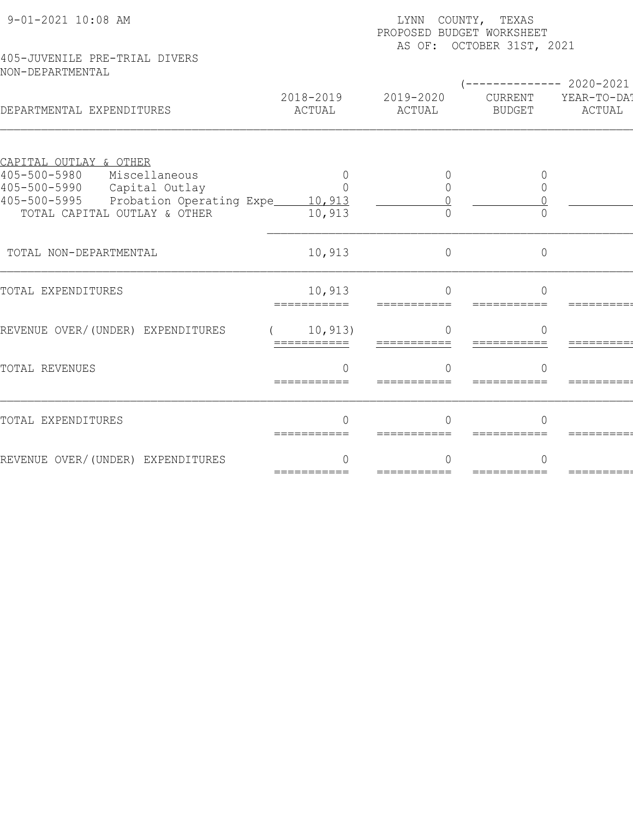| 9-01-2021 10:08 AM                                          |                         | LYNN COUNTY, TEXAS<br>PROPOSED BUDGET WORKSHEET<br>AS OF: OCTOBER 31ST, 2021 |                          |                       |  |  |  |
|-------------------------------------------------------------|-------------------------|------------------------------------------------------------------------------|--------------------------|-----------------------|--|--|--|
| 405-JUVENILE PRE-TRIAL DIVERS<br>NON-DEPARTMENTAL           |                         |                                                                              |                          | ----------- 2020-2021 |  |  |  |
| DEPARTMENTAL EXPENDITURES                                   | 2018-2019<br>ACTUAL     | 2019-2020<br>ACTUAL                                                          | CURRENT<br><b>BUDGET</b> | YEAR-TO-DAT<br>ACTUAL |  |  |  |
| CAPITAL OUTLAY & OTHER                                      |                         |                                                                              |                          |                       |  |  |  |
| $405 - 500 - 5980$<br>Miscellaneous<br>405-500-5990         | $\Omega$<br>$\Omega$    | $\Omega$                                                                     | $\bigcap$<br>$\Omega$    |                       |  |  |  |
| Capital Outlay<br>405-500-5995<br>Probation Operating Expe_ | 10,913                  |                                                                              |                          |                       |  |  |  |
| TOTAL CAPITAL OUTLAY & OTHER                                | 10,913                  | $\bigcap$                                                                    |                          |                       |  |  |  |
| TOTAL NON-DEPARTMENTAL                                      | 10,913                  | $\overline{0}$                                                               | $\circ$                  |                       |  |  |  |
| TOTAL EXPENDITURES                                          | 10,913<br>===========   | $\bigcap$<br>===========                                                     | $\Omega$<br>===========  |                       |  |  |  |
| REVENUE OVER/(UNDER) EXPENDITURES                           | 10, 913)<br>=========== | $\bigcap$                                                                    | $\overline{0}$           |                       |  |  |  |
| TOTAL REVENUES                                              | $\Omega$<br>=========== | $\cap$<br>===========                                                        | $\cap$                   |                       |  |  |  |
| TOTAL EXPENDITURES                                          | ∩<br>===========        |                                                                              | ∩                        |                       |  |  |  |
| REVENUE OVER/(UNDER) EXPENDITURES                           | ===========             | ===========                                                                  | ===========              |                       |  |  |  |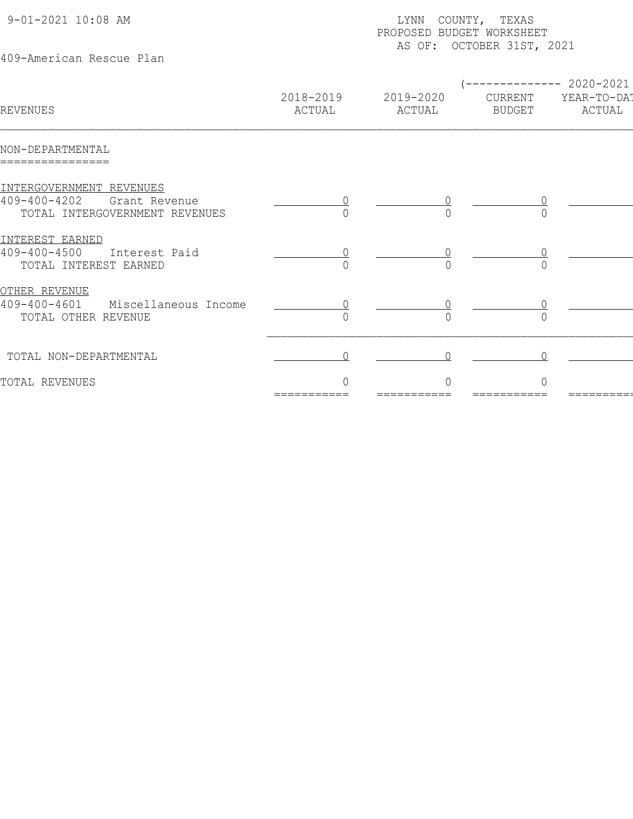| 9-01-2021 10:08 AM<br>409-American Rescue Plan                                                    | COUNTY, TEXAS<br>LYNN<br>PROPOSED BUDGET WORKSHEET<br>AS OF: OCTOBER 31ST, 2021 |                     |                          |                                                 |  |  |
|---------------------------------------------------------------------------------------------------|---------------------------------------------------------------------------------|---------------------|--------------------------|-------------------------------------------------|--|--|
| REVENUES                                                                                          | 2018-2019<br>ACTUAL                                                             | 2019-2020<br>ACTUAL | CURRENT<br><b>BUDGET</b> | ------------ 2020-2021<br>YEAR-TO-DAT<br>ACTUAL |  |  |
| NON-DEPARTMENTAL                                                                                  |                                                                                 |                     |                          |                                                 |  |  |
| INTERGOVERNMENT REVENUES<br>$409 - 400 - 4202$<br>Grant Revenue<br>TOTAL INTERGOVERNMENT REVENUES |                                                                                 |                     |                          |                                                 |  |  |
| INTEREST EARNED<br>$409 - 400 - 4500$<br>Interest Paid<br>TOTAL INTEREST EARNED                   |                                                                                 |                     |                          |                                                 |  |  |
| <u>OTHER REVENUE</u><br>$409 - 400 - 4601$<br>Miscellaneous Income<br>TOTAL OTHER REVENUE         |                                                                                 |                     |                          |                                                 |  |  |
| TOTAL NON-DEPARTMENTAL                                                                            |                                                                                 |                     |                          |                                                 |  |  |
| TOTAL REVENUES                                                                                    |                                                                                 |                     |                          |                                                 |  |  |
|                                                                                                   |                                                                                 |                     |                          |                                                 |  |  |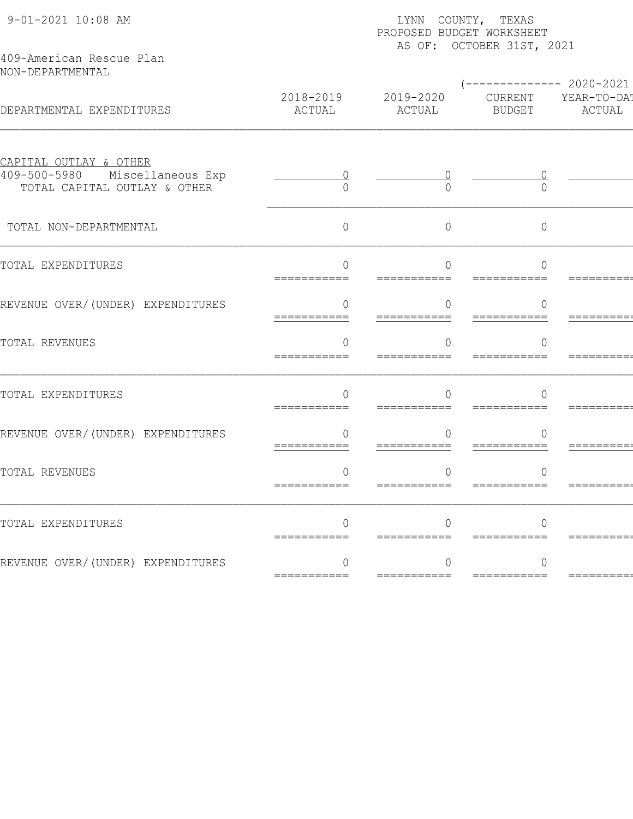| 9-01-2021 10:08 AM<br>409-American Rescue Plan                      | LYNN COUNTY, TEXAS<br>PROPOSED BUDGET WORKSHEET<br>AS OF: OCTOBER 31ST, 2021 |                         |                                 |                              |  |  |  |  |  |
|---------------------------------------------------------------------|------------------------------------------------------------------------------|-------------------------|---------------------------------|------------------------------|--|--|--|--|--|
| NON-DEPARTMENTAL                                                    |                                                                              |                         | $---------2020-2021$            |                              |  |  |  |  |  |
| DEPARTMENTAL EXPENDITURES                                           | 2018-2019<br>ACTUAL                                                          | 2019-2020<br>ACTUAL     | BUDGET                          | CURRENT YEAR-TO-DA<br>ACTUAL |  |  |  |  |  |
| <u>CAPITAL OUTLAY &amp; OTHER</u><br>409-500-5980 Miscellaneous Exp | 0                                                                            |                         | $\cup$                          |                              |  |  |  |  |  |
| TOTAL CAPITAL OUTLAY & OTHER                                        |                                                                              |                         | ∩                               |                              |  |  |  |  |  |
| TOTAL NON-DEPARTMENTAL                                              | $\Omega$                                                                     | 0                       | $\Omega$                        |                              |  |  |  |  |  |
| TOTAL EXPENDITURES                                                  | ∩                                                                            | $\Omega$                | ∩                               |                              |  |  |  |  |  |
| REVENUE OVER/(UNDER) EXPENDITURES                                   | O.<br>===========                                                            | 0<br>===========        | $\left( \right)$<br>=========== | ========                     |  |  |  |  |  |
| TOTAL REVENUES                                                      |                                                                              | <sup>n</sup>            |                                 |                              |  |  |  |  |  |
|                                                                     |                                                                              |                         |                                 |                              |  |  |  |  |  |
| TOTAL EXPENDITURES                                                  | ∩                                                                            | $\cap$                  | ∩                               |                              |  |  |  |  |  |
| REVENUE OVER/(UNDER) EXPENDITURES                                   | 0<br>===========                                                             | 0<br>===========        | O<br>===========                | =========                    |  |  |  |  |  |
| TOTAL REVENUES                                                      | 0<br>===========                                                             | $\Omega$<br>=========== | 0<br>===========                | =========                    |  |  |  |  |  |
|                                                                     |                                                                              |                         |                                 |                              |  |  |  |  |  |
| TOTAL EXPENDITURES                                                  | =========                                                                    |                         |                                 |                              |  |  |  |  |  |
| REVENUE OVER/(UNDER) EXPENDITURES                                   |                                                                              | 0                       | O                               |                              |  |  |  |  |  |
|                                                                     | ===========                                                                  |                         |                                 | =========                    |  |  |  |  |  |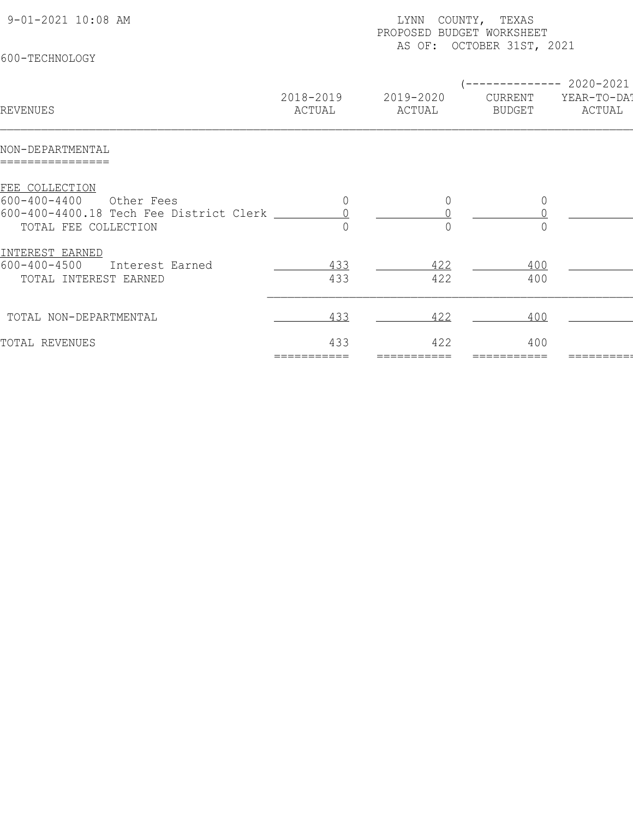| (-------------- 2020-2021<br>2018-2019<br>2019-2020<br>YEAR-TO-DAT<br>CURRENT<br>ACTUAL<br>REVENUES<br>ACTUAL<br>ACTUAL<br><b>BUDGET</b><br>NON-DEPARTMENTAL<br>FEE COLLECTION<br>$600 - 400 - 4400$<br>Other Fees<br>$\overline{0}$<br>0<br>$\mathbf 0$<br>600-400-4400.18 Tech Fee District Clerk<br>$\bigcap$<br>TOTAL FEE COLLECTION<br>INTEREST EARNED<br>$600 - 400 - 4500$<br>433<br>400<br>422<br>Interest Earned<br>433<br>422<br>400<br>TOTAL INTEREST EARNED<br>400<br>433<br>422<br>TOTAL NON-DEPARTMENTAL | 9-01-2021 10:08 AM<br>600-TECHNOLOGY | LYNN<br>PROPOSED BUDGET WORKSHEET | COUNTY, TEXAS<br>AS OF: OCTOBER 31ST, 2021 |  |
|------------------------------------------------------------------------------------------------------------------------------------------------------------------------------------------------------------------------------------------------------------------------------------------------------------------------------------------------------------------------------------------------------------------------------------------------------------------------------------------------------------------------|--------------------------------------|-----------------------------------|--------------------------------------------|--|
|                                                                                                                                                                                                                                                                                                                                                                                                                                                                                                                        |                                      |                                   |                                            |  |
|                                                                                                                                                                                                                                                                                                                                                                                                                                                                                                                        |                                      |                                   |                                            |  |
|                                                                                                                                                                                                                                                                                                                                                                                                                                                                                                                        |                                      |                                   |                                            |  |
|                                                                                                                                                                                                                                                                                                                                                                                                                                                                                                                        |                                      |                                   |                                            |  |
|                                                                                                                                                                                                                                                                                                                                                                                                                                                                                                                        |                                      |                                   |                                            |  |
| 433<br>422<br>400<br>TOTAL REVENUES<br>===========                                                                                                                                                                                                                                                                                                                                                                                                                                                                     |                                      |                                   |                                            |  |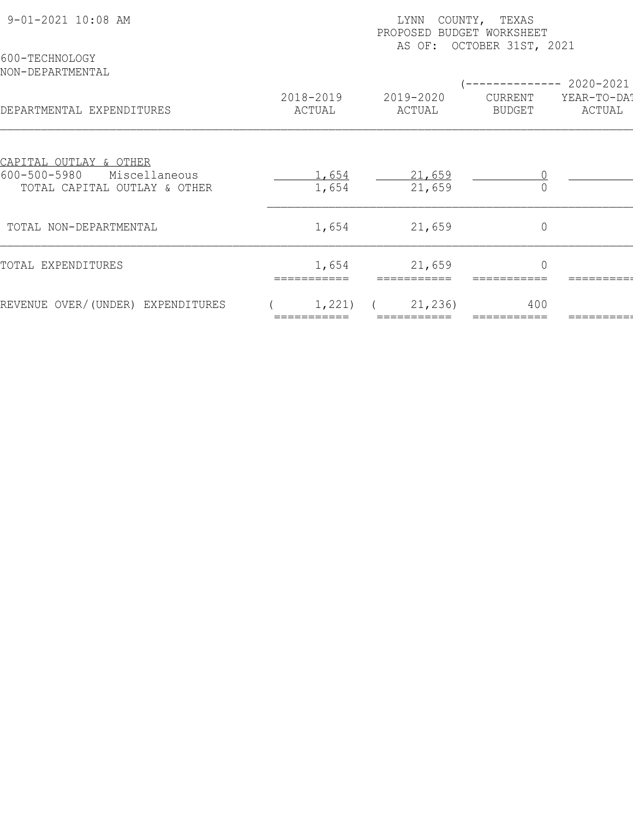| 9-01-2021 10:08 AM                                                                                       | COUNTY, TEXAS<br>LYNN<br>PROPOSED BUDGET WORKSHEET<br>OCTOBER 31ST, 2021<br>AS OF: |                     |                   |                       |  |  |
|----------------------------------------------------------------------------------------------------------|------------------------------------------------------------------------------------|---------------------|-------------------|-----------------------|--|--|
| 600-TECHNOLOGY<br>NON-DEPARTMENTAL                                                                       |                                                                                    |                     |                   | --------- 2020-2021   |  |  |
| DEPARTMENTAL EXPENDITURES                                                                                | 2018-2019<br>ACTUAL                                                                | 2019-2020<br>ACTUAL | CURRENT<br>BUDGET | YEAR-TO-DAT<br>ACTUAL |  |  |
| <u>CAPITAL OUTLAY &amp; OTHER</u><br>$600 - 500 - 5980$<br>Miscellaneous<br>TOTAL CAPITAL OUTLAY & OTHER | 1,654<br>1,654                                                                     | 21,659<br>21,659    |                   |                       |  |  |
| TOTAL NON-DEPARTMENTAL                                                                                   | 1,654                                                                              | 21,659              | $\mathbb O$       |                       |  |  |
| TOTAL EXPENDITURES                                                                                       | 1,654                                                                              | 21,659              | $\mathbf 0$       |                       |  |  |
| REVENUE OVER/(UNDER) EXPENDITURES                                                                        | 1,221)                                                                             | 21, 236)            | 400               |                       |  |  |
|                                                                                                          |                                                                                    |                     |                   |                       |  |  |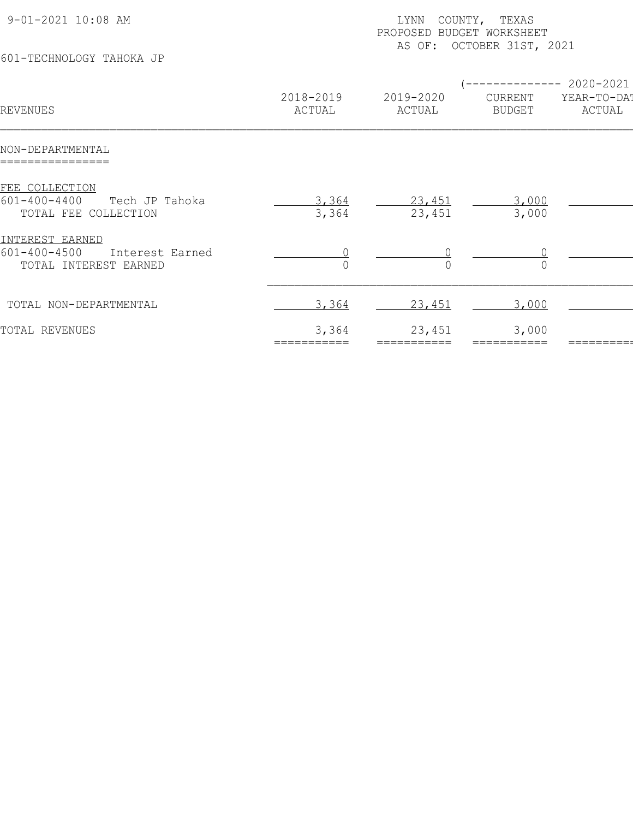| 9-01-2021 10:08 AM                                                                |                      | COUNTY, TEXAS<br>LYNN<br>PROPOSED BUDGET WORKSHEET |                                     |                                         |  |  |
|-----------------------------------------------------------------------------------|----------------------|----------------------------------------------------|-------------------------------------|-----------------------------------------|--|--|
| 601-TECHNOLOGY TAHOKA JP                                                          |                      |                                                    | AS OF: OCTOBER 31ST, 2021           |                                         |  |  |
| REVENUES                                                                          | 2018-2019<br>ACTUAL  | 2019-2020<br>ACTUAL                                | -------<br>CURRENT<br><b>BUDGET</b> | $-2020 - 2021$<br>YEAR-TO-DA!<br>ACTUAL |  |  |
| NON-DEPARTMENTAL                                                                  |                      |                                                    |                                     |                                         |  |  |
| FEE COLLECTION<br>$601 - 400 - 4400$<br>Tech JP Tahoka<br>TOTAL FEE COLLECTION    | 3,364<br>3,364       | 23,451<br>23,451                                   | 3,000<br>3,000                      |                                         |  |  |
| INTEREST EARNED<br>$601 - 400 - 4500$<br>Interest Earned<br>TOTAL INTEREST EARNED |                      |                                                    |                                     |                                         |  |  |
| TOTAL NON-DEPARTMENTAL                                                            | 3,364                | 23,451                                             | 3,000                               |                                         |  |  |
| TOTAL REVENUES                                                                    | 3,364<br>=========== | 23,451<br>===========                              | 3,000<br>===========                |                                         |  |  |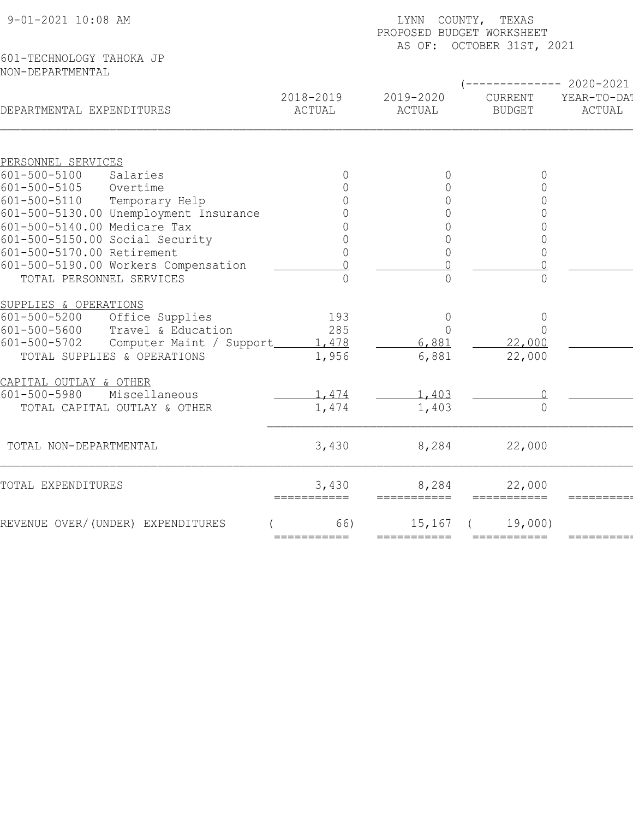| 9-01-2021 10:08 AM                                   | LYNN COUNTY, TEXAS<br>PROPOSED BUDGET WORKSHEET<br>AS OF: OCTOBER 31ST, 2021 |                                                  |                          |                       |  |  |
|------------------------------------------------------|------------------------------------------------------------------------------|--------------------------------------------------|--------------------------|-----------------------|--|--|
| 601-TECHNOLOGY TAHOKA JP<br>NON-DEPARTMENTAL         |                                                                              |                                                  |                          |                       |  |  |
|                                                      |                                                                              |                                                  |                          | ---------- 2020-2021  |  |  |
| DEPARTMENTAL EXPENDITURES                            | 2018-2019<br>ACTUAL                                                          | 2019-2020<br>ACTUAL                              | CURRENT<br><b>BUDGET</b> | YEAR-TO-DA!<br>ACTUAL |  |  |
|                                                      |                                                                              |                                                  |                          |                       |  |  |
| PERSONNEL SERVICES<br>$601 - 500 - 5100$<br>Salaries | $\Omega$                                                                     | $\Omega$                                         | $\Omega$                 |                       |  |  |
| $601 - 500 - 5105$<br>Overtime                       | $\cap$                                                                       | $\Omega$                                         | $\Omega$                 |                       |  |  |
| $601 - 500 - 5110$<br>Temporary Help                 |                                                                              | $\Omega$                                         | $\Omega$                 |                       |  |  |
| 601-500-5130.00 Unemployment Insurance               |                                                                              | $\Omega$                                         | $\Omega$                 |                       |  |  |
| 601-500-5140.00 Medicare Tax                         |                                                                              | $\mathsf{O}\xspace$                              | 0                        |                       |  |  |
| 601-500-5150.00 Social Security                      | 0                                                                            | $\overline{0}$                                   | $\Omega$                 |                       |  |  |
| 601-500-5170.00 Retirement                           |                                                                              | $\overline{0}$                                   | $\Omega$                 |                       |  |  |
| 601-500-5190.00 Workers Compensation                 |                                                                              | $\cap$                                           |                          |                       |  |  |
| TOTAL PERSONNEL SERVICES                             | ∩                                                                            | $\bigcap$                                        | $\Omega$                 |                       |  |  |
|                                                      |                                                                              |                                                  |                          |                       |  |  |
| SUPPLIES & OPERATIONS                                |                                                                              |                                                  |                          |                       |  |  |
| $601 - 500 - 5200$<br>Office Supplies                | 193                                                                          | $\mathbb O$                                      | $\circ$                  |                       |  |  |
| Travel & Education<br>601-500-5600                   | 285                                                                          | $\Omega$                                         | $\Omega$                 |                       |  |  |
| $601 - 500 - 5702$<br>Computer Maint / Support       | 1,478                                                                        | 6,881                                            | 22,000                   |                       |  |  |
| TOTAL SUPPLIES & OPERATIONS                          | 1,956                                                                        | 6,881                                            | 22,000                   |                       |  |  |
| CAPITAL OUTLAY & OTHER                               |                                                                              |                                                  |                          |                       |  |  |
| 601-500-5980<br>Miscellaneous                        | 1,474                                                                        | 1,403                                            |                          |                       |  |  |
| TOTAL CAPITAL OUTLAY & OTHER                         | 1,474                                                                        | 1,403                                            | $\bigcap$                |                       |  |  |
|                                                      |                                                                              |                                                  |                          |                       |  |  |
| TOTAL NON-DEPARTMENTAL                               | 3,430                                                                        | 8,284                                            | 22,000                   |                       |  |  |
|                                                      |                                                                              |                                                  |                          |                       |  |  |
| TOTAL EXPENDITURES                                   | 3,430<br>===========                                                         | 8,284<br>$=$ $=$ $=$ $=$ $=$ $=$ $=$ $=$ $=$ $=$ | 22,000<br>===========    | =========             |  |  |
| REVENUE OVER/(UNDER) EXPENDITURES                    | 66)                                                                          | 15,167                                           | 19,000                   |                       |  |  |
|                                                      | ===========                                                                  | ===========                                      | ===========              | =======               |  |  |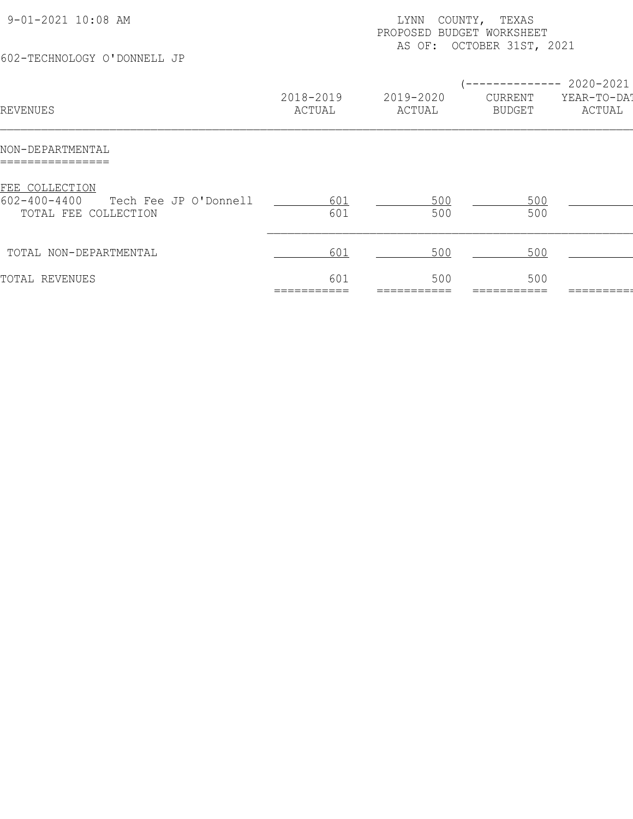| 9-01-2021 10:08 AM<br>602-TECHNOLOGY O'DONNELL JP                                     |                     | COUNTY, TEXAS<br>LYNN<br>PROPOSED BUDGET WORKSHEET<br>AS OF: OCTOBER 31ST, 2021 |                          |                                                 |  |  |
|---------------------------------------------------------------------------------------|---------------------|---------------------------------------------------------------------------------|--------------------------|-------------------------------------------------|--|--|
| REVENUES                                                                              | 2018-2019<br>ACTUAL | 2019-2020<br>ACTUAL                                                             | CURRENT<br><b>BUDGET</b> | ------------ 2020-2021<br>YEAR-TO-DA!<br>ACTUAL |  |  |
| NON-DEPARTMENTAL                                                                      |                     |                                                                                 |                          |                                                 |  |  |
| FEE COLLECTION<br>$602 - 400 - 4400$<br>Tech Fee JP O'Donnell<br>TOTAL FEE COLLECTION | 601<br>601          | 500<br>500                                                                      | 500<br>500               |                                                 |  |  |
| TOTAL NON-DEPARTMENTAL                                                                | 601                 | 500                                                                             | 500                      |                                                 |  |  |
| TOTAL REVENUES                                                                        | 601                 | 500                                                                             | 500                      |                                                 |  |  |
|                                                                                       |                     |                                                                                 |                          |                                                 |  |  |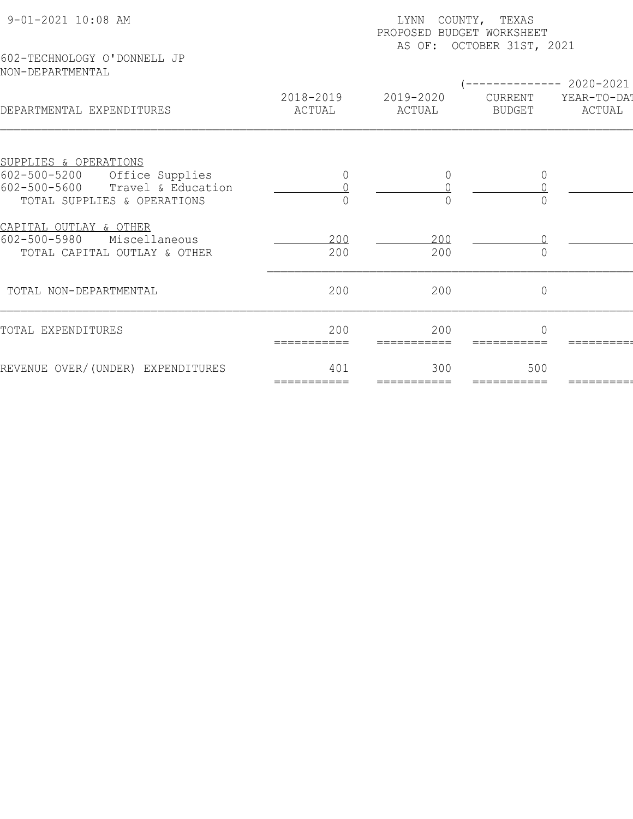| 9-01-2021 10:08 AM<br>602-TECHNOLOGY O'DONNELL JP           | COUNTY, TEXAS<br>LYNN<br>PROPOSED BUDGET WORKSHEET<br>AS OF: OCTOBER 31ST, 2021 |                    |                |                                     |  |  |
|-------------------------------------------------------------|---------------------------------------------------------------------------------|--------------------|----------------|-------------------------------------|--|--|
| NON-DEPARTMENTAL                                            | 2018-2019                                                                       | 2019-2020          | CURRENT        | $-------- 2020-2021$<br>YEAR-TO-DAT |  |  |
| DEPARTMENTAL EXPENDITURES                                   | ACTUAL                                                                          | ACTUAL             | <b>BUDGET</b>  | ACTUAL                              |  |  |
| SUPPLIES & OPERATIONS                                       |                                                                                 |                    |                |                                     |  |  |
| $602 - 500 - 5200$<br>Office Supplies<br>$602 - 500 - 5600$ | 0                                                                               | $\overline{0}$     | 0              |                                     |  |  |
| Travel & Education<br>TOTAL SUPPLIES & OPERATIONS           |                                                                                 |                    |                |                                     |  |  |
|                                                             |                                                                                 |                    |                |                                     |  |  |
| CAPITAL OUTLAY & OTHER                                      |                                                                                 |                    |                |                                     |  |  |
| $602 - 500 - 5980$<br>Miscellaneous                         | 200                                                                             | 200                |                |                                     |  |  |
| TOTAL CAPITAL OUTLAY & OTHER                                | 200                                                                             | 200                |                |                                     |  |  |
|                                                             |                                                                                 |                    |                |                                     |  |  |
| TOTAL NON-DEPARTMENTAL                                      | 200                                                                             | 200                | $\overline{0}$ |                                     |  |  |
|                                                             |                                                                                 |                    |                |                                     |  |  |
| TOTAL EXPENDITURES                                          | 200                                                                             | 200                | $\cap$         |                                     |  |  |
|                                                             | ===========                                                                     | ===========        |                |                                     |  |  |
|                                                             |                                                                                 |                    |                |                                     |  |  |
| REVENUE OVER/(UNDER) EXPENDITURES                           | 401<br>===========                                                              | 300<br>=========== | 500            |                                     |  |  |
|                                                             |                                                                                 |                    |                |                                     |  |  |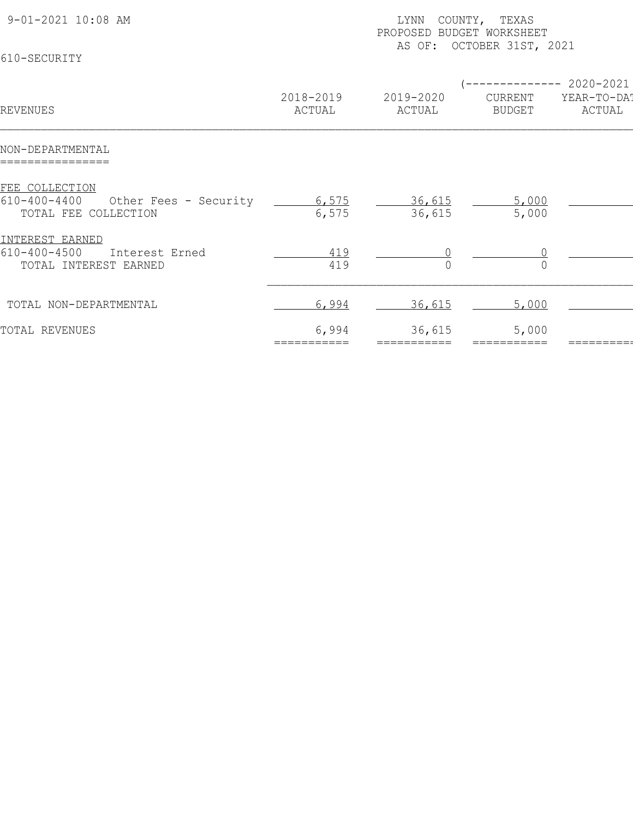| 9-01-2021 10:08 AM<br>610-SECURITY                                                    | COUNTY, TEXAS<br>LYNN<br>PROPOSED BUDGET WORKSHEET<br>AS OF: OCTOBER 31ST, 2021 |                     |                                                       |                       |  |  |
|---------------------------------------------------------------------------------------|---------------------------------------------------------------------------------|---------------------|-------------------------------------------------------|-----------------------|--|--|
| REVENUES                                                                              | 2018-2019<br>ACTUAL                                                             | 2019-2020<br>ACTUAL | (-------------- 2020-2021<br>CURRENT<br><b>BUDGET</b> | YEAR-TO-DAT<br>ACTUAL |  |  |
| NON-DEPARTMENTAL<br>================                                                  |                                                                                 |                     |                                                       |                       |  |  |
| FEE COLLECTION<br>$610 - 400 - 4400$<br>Other Fees - Security<br>TOTAL FEE COLLECTION | $\frac{6,575}{6,575}$                                                           | 36,615<br>36,615    | 5,000<br>5,000                                        |                       |  |  |
| INTEREST EARNED<br>$610 - 400 - 4500$<br>Interest Erned<br>TOTAL INTEREST EARNED      | 419<br>419                                                                      |                     |                                                       |                       |  |  |
| TOTAL NON-DEPARTMENTAL                                                                | 6,994                                                                           | 36,615              | 5,000                                                 |                       |  |  |
| TOTAL REVENUES                                                                        | 6,994                                                                           | 36,615              | 5,000                                                 |                       |  |  |
|                                                                                       |                                                                                 |                     |                                                       |                       |  |  |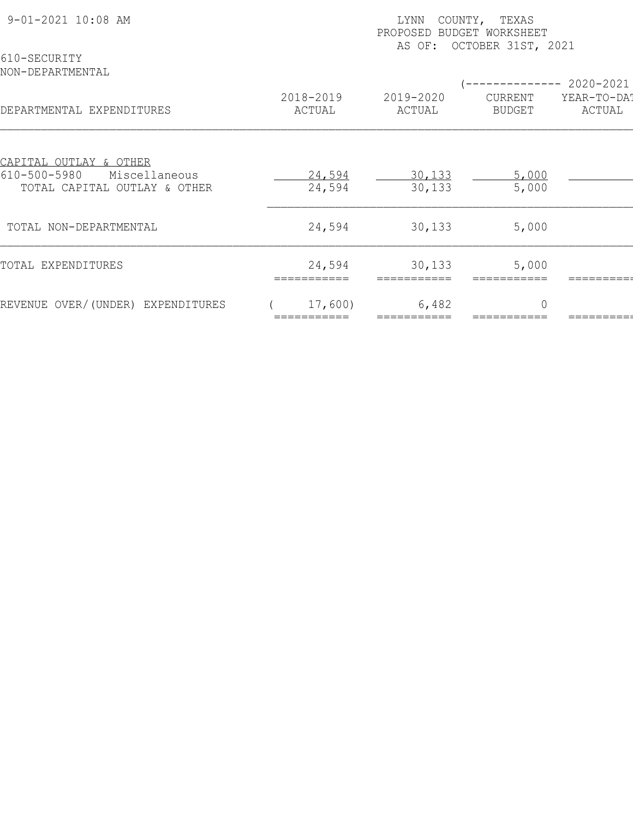|                                                                                                    |                  | COUNTY, TEXAS<br>LYNN<br>PROPOSED<br>BUDGET WORKSHEET<br>OCTOBER 31ST, 2021<br>AS OF: |                |                          |  |  |  |
|----------------------------------------------------------------------------------------------------|------------------|---------------------------------------------------------------------------------------|----------------|--------------------------|--|--|--|
| 610-SECURITY<br>NON-DEPARTMENTAL                                                                   | 2018-2019        | 2019-2020                                                                             | CURRENT        | 2020-2021<br>YEAR-TO-DAT |  |  |  |
| DEPARTMENTAL EXPENDITURES                                                                          | ACTUAL           | ACTUAL                                                                                | <b>BUDGET</b>  | ACTUAL                   |  |  |  |
| <u>CAPITAL OUTLAY &amp; OTHER</u><br>610-500-5980<br>Miscellaneous<br>TOTAL CAPITAL OUTLAY & OTHER | 24,594<br>24,594 | 30,133<br>30,133                                                                      | 5,000<br>5,000 |                          |  |  |  |
| TOTAL NON-DEPARTMENTAL                                                                             | 24,594           | 30,133                                                                                | 5,000          |                          |  |  |  |
| TOTAL EXPENDITURES                                                                                 | 24,594           | 30,133                                                                                | 5,000          |                          |  |  |  |
| REVENUE OVER/(UNDER) EXPENDITURES                                                                  | 17,600)          | 6,482                                                                                 | $\bigcap$      |                          |  |  |  |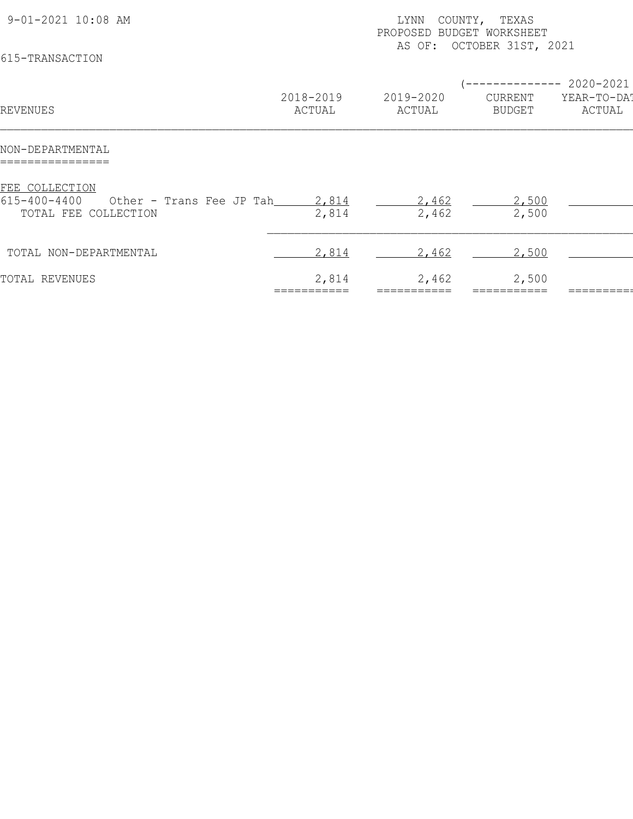| 9-01-2021 10:08 AM<br>615-TRANSACTION                                                    |                     | COUNTY, TEXAS<br>LYNN<br>PROPOSED<br>BUDGET WORKSHEET<br>OCTOBER 31ST, 2021<br>AS OF: |                          |                                            |  |  |  |
|------------------------------------------------------------------------------------------|---------------------|---------------------------------------------------------------------------------------|--------------------------|--------------------------------------------|--|--|--|
| REVENUES                                                                                 | 2018-2019<br>ACTUAL | 2019-2020<br>ACTUAL                                                                   | CURRENT<br><b>BUDGET</b> | $--- 2020 - 2021$<br>YEAR-TO-DAT<br>ACTUAL |  |  |  |
| NON-DEPARTMENTAL                                                                         |                     |                                                                                       |                          |                                            |  |  |  |
| FEE COLLECTION<br>$615 - 400 - 4400$<br>Other - Trans Fee JP Tah<br>TOTAL FEE COLLECTION | 2,814<br>2,814      | 2,462<br>2,462                                                                        | 2,500<br>2,500           |                                            |  |  |  |
| TOTAL NON-DEPARTMENTAL                                                                   | 2,814               | 2,462                                                                                 | 2,500                    |                                            |  |  |  |
| TOTAL REVENUES                                                                           | 2,814               | 2,462                                                                                 | 2,500                    |                                            |  |  |  |
|                                                                                          |                     |                                                                                       |                          |                                            |  |  |  |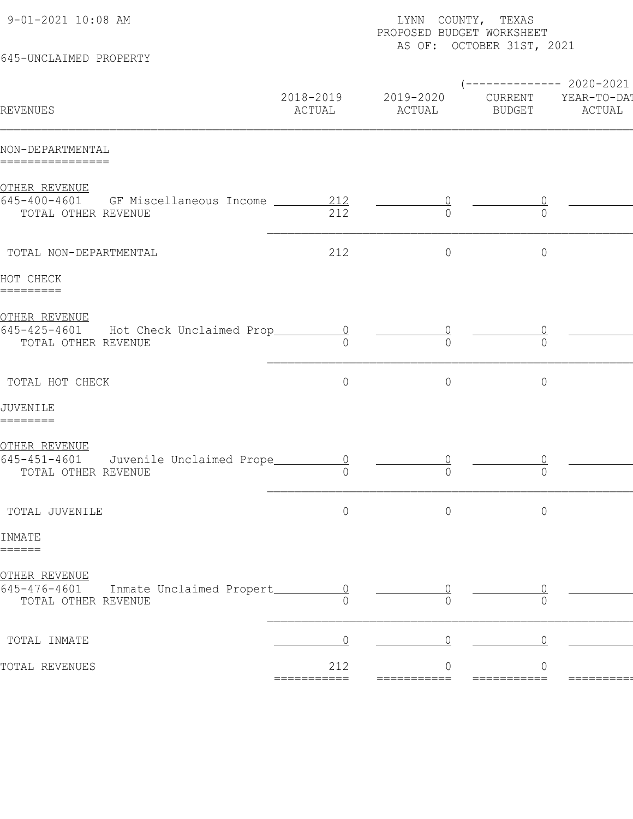| 9-01-2021 10:08 AM                                                                             | LYNN COUNTY, TEXAS<br>PROPOSED BUDGET WORKSHEET<br>AS OF: OCTOBER 31ST, 2021 |                     |                               |                       |  |  |  |
|------------------------------------------------------------------------------------------------|------------------------------------------------------------------------------|---------------------|-------------------------------|-----------------------|--|--|--|
| 645-UNCLAIMED PROPERTY                                                                         |                                                                              |                     | ------------ 2020-2021        |                       |  |  |  |
| REVENUES                                                                                       | 2018-2019<br>ACTUAL                                                          | 2019-2020<br>ACTUAL | CURRENT<br><b>BUDGET</b>      | YEAR-TO-DA!<br>ACTUAL |  |  |  |
| NON-DEPARTMENTAL<br>================                                                           |                                                                              |                     |                               |                       |  |  |  |
| OTHER REVENUE<br>645-400-4601 GF Miscellaneous Income _____<br>TOTAL OTHER REVENUE             | 212<br>212                                                                   | $\bigcap$           | $\bigcap$                     |                       |  |  |  |
| TOTAL NON-DEPARTMENTAL                                                                         | 212                                                                          | $\circ$             | $\circ$                       |                       |  |  |  |
| HOT CHECK<br>=========                                                                         |                                                                              |                     |                               |                       |  |  |  |
| <u>OTHER REVENUE</u><br>645-425-4601<br>Hot Check Unclaimed Prop_<br>TOTAL OTHER REVENUE       | $\begin{array}{c} 0 \end{array}$<br>$\cap$                                   | $\bigcap$           | $\bigcap$                     |                       |  |  |  |
| TOTAL HOT CHECK                                                                                | $\circ$                                                                      | $\circ$             | $\circ$                       |                       |  |  |  |
| JUVENILE<br>========                                                                           |                                                                              |                     |                               |                       |  |  |  |
| <u>OTHER REVENUE</u><br>$645 - 451 - 4601$<br>Juvenile Unclaimed Prope_<br>TOTAL OTHER REVENUE | $\cap$                                                                       | $\Omega$            | $\Omega$                      |                       |  |  |  |
| TOTAL JUVENILE                                                                                 | $\circ$                                                                      | $\circ$             | $\circ$                       |                       |  |  |  |
| INMATE<br>======                                                                               |                                                                              |                     |                               |                       |  |  |  |
| <u>OTHER REVENUE</u><br>$645 - 476 - 4601$<br>Inmate Unclaimed Propert_<br>TOTAL OTHER REVENUE | $\overline{0}$                                                               |                     |                               |                       |  |  |  |
| TOTAL INMATE                                                                                   |                                                                              |                     |                               |                       |  |  |  |
| TOTAL REVENUES                                                                                 | 212<br>===========                                                           | ===========         | $\overline{0}$<br>=========== | ========              |  |  |  |
|                                                                                                |                                                                              |                     |                               |                       |  |  |  |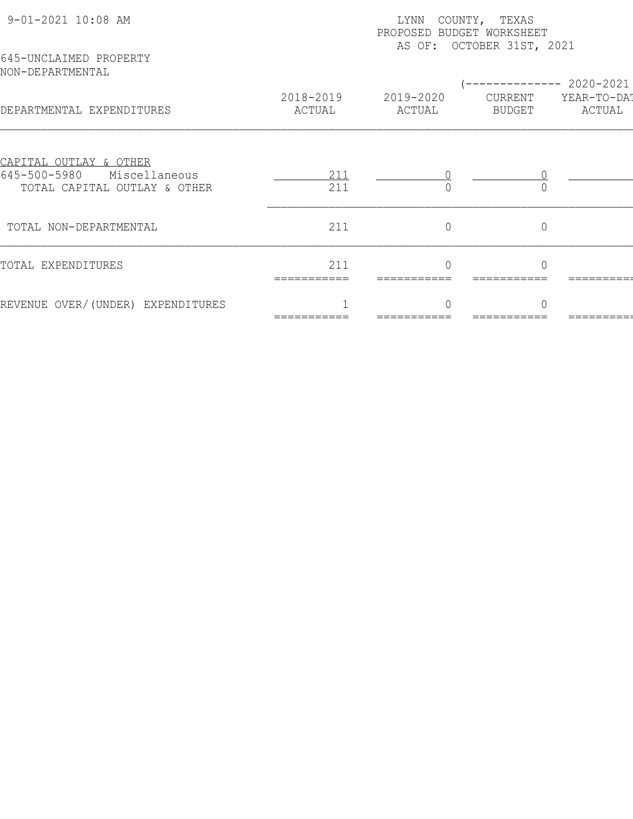| 9-01-2021 10:08 AM                                            | LYNN<br>COUNTY, TEXAS<br>PROPOSED BUDGET WORKSHEET<br>AS OF: OCTOBER 31ST, 2021 |                     |                          |                       |  |  |
|---------------------------------------------------------------|---------------------------------------------------------------------------------|---------------------|--------------------------|-----------------------|--|--|
| 645-UNCLAIMED PROPERTY<br>NON-DEPARTMENTAL                    |                                                                                 |                     |                          | 2020-2021             |  |  |
| DEPARTMENTAL EXPENDITURES                                     | 2018-2019<br>ACTUAL                                                             | 2019-2020<br>ACTUAL | CURRENT<br><b>BUDGET</b> | YEAR-TO-DAT<br>ACTUAL |  |  |
| <u>CAPITAL OUTLAY &amp; OTHER</u>                             |                                                                                 |                     |                          |                       |  |  |
| 645-500-5980<br>Miscellaneous<br>TOTAL CAPITAL OUTLAY & OTHER | 211<br>211                                                                      |                     |                          |                       |  |  |
| TOTAL NON-DEPARTMENTAL                                        | 211                                                                             | $\overline{0}$      | $\overline{0}$           |                       |  |  |
| TOTAL EXPENDITURES                                            | 211<br>===========                                                              |                     |                          |                       |  |  |
| REVENUE OVER/(UNDER) EXPENDITURES                             |                                                                                 |                     | $\cap$                   |                       |  |  |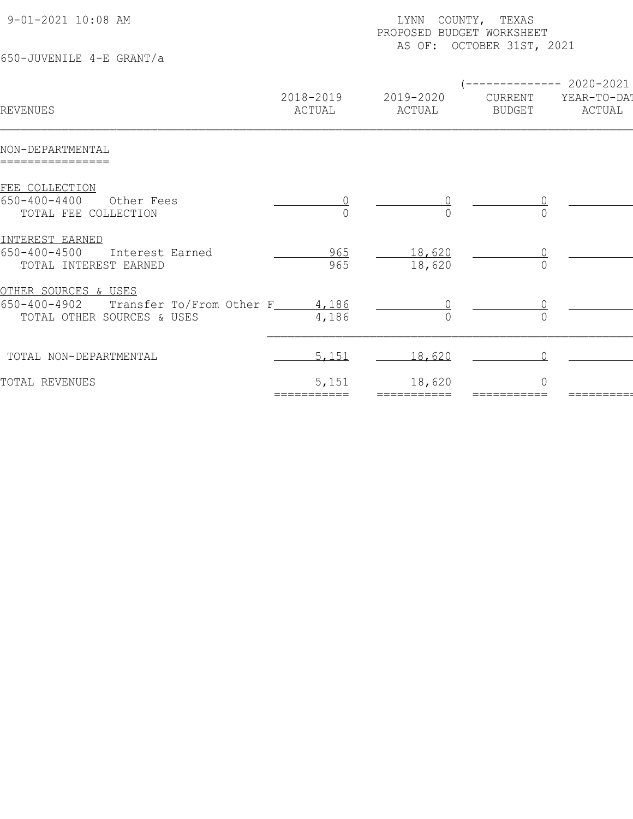| 9-01-2021 10:08 AM<br>650-JUVENILE 4-E GRANT/a                                                                        |                     | LYNN COUNTY, TEXAS<br>PROPOSED BUDGET WORKSHEET<br>AS OF: OCTOBER 31ST, 2021 |                          |                                                |  |  |  |
|-----------------------------------------------------------------------------------------------------------------------|---------------------|------------------------------------------------------------------------------|--------------------------|------------------------------------------------|--|--|--|
| REVENUES                                                                                                              | 2018-2019<br>ACTUAL | 2019-2020<br>ACTUAL                                                          | CURRENT<br><b>BUDGET</b> | ----------- 2020-2021<br>YEAR-TO-DAT<br>ACTUAL |  |  |  |
| NON-DEPARTMENTAL<br>================                                                                                  |                     |                                                                              |                          |                                                |  |  |  |
| FEE COLLECTION<br>$650 - 400 - 4400$<br>Other Fees<br>TOTAL FEE COLLECTION                                            |                     |                                                                              |                          |                                                |  |  |  |
| INTEREST EARNED<br>$650 - 400 - 4500$<br>Interest Earned<br>TOTAL INTEREST EARNED                                     | 965<br>965          | 18,620<br>18,620                                                             |                          |                                                |  |  |  |
| <u>OTHER SOURCES &amp; USES</u><br>650-400-4902<br>Transfer To/From Other F______ 4,186<br>TOTAL OTHER SOURCES & USES | 4,186               |                                                                              |                          |                                                |  |  |  |
| TOTAL NON-DEPARTMENTAL                                                                                                | 5,151               | 18,620                                                                       |                          |                                                |  |  |  |
| TOTAL REVENUES                                                                                                        | 5,151<br>:========  | 18,620                                                                       | $\cap$                   |                                                |  |  |  |
|                                                                                                                       |                     |                                                                              |                          |                                                |  |  |  |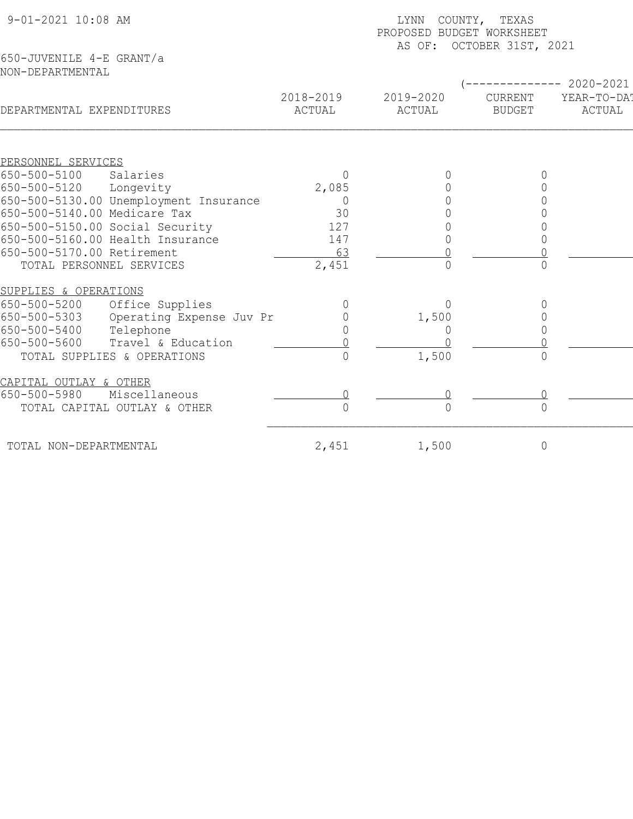| 9-01-2021 10:08 AM                           |                     | COUNTY, TEXAS<br>LYNN<br>PROPOSED BUDGET WORKSHEET<br>AS OF: OCTOBER 31ST, 2021 |                                 |                                    |  |  |  |
|----------------------------------------------|---------------------|---------------------------------------------------------------------------------|---------------------------------|------------------------------------|--|--|--|
| 650-JUVENILE 4-E GRANT/a<br>NON-DEPARTMENTAL |                     |                                                                                 |                                 |                                    |  |  |  |
| DEPARTMENTAL EXPENDITURES                    | 2018-2019<br>ACTUAL | 2019-2020<br>ACTUAL                                                             | <b>CURRENT</b><br><b>BUDGET</b> | 2020-2021<br>YEAR-TO-DA!<br>ACTUAL |  |  |  |
| PERSONNEL SERVICES                           |                     |                                                                                 |                                 |                                    |  |  |  |
| 650-500-5100<br>Salaries                     | 0                   |                                                                                 |                                 |                                    |  |  |  |
| 650-500-5120<br>Longevity                    | 2,085               |                                                                                 |                                 |                                    |  |  |  |
| 650-500-5130.00 Unemployment Insurance       | 0                   |                                                                                 |                                 |                                    |  |  |  |
| 650-500-5140.00 Medicare Tax                 | 30                  |                                                                                 |                                 |                                    |  |  |  |
| 650-500-5150.00 Social Security              | 127                 |                                                                                 |                                 |                                    |  |  |  |
| 650-500-5160.00 Health Insurance             | 147                 |                                                                                 |                                 |                                    |  |  |  |
| 650-500-5170.00 Retirement                   | 63                  |                                                                                 |                                 |                                    |  |  |  |
| TOTAL PERSONNEL SERVICES                     | 2,451               | $\overline{0}$                                                                  | $\bigcap$                       |                                    |  |  |  |
| SUPPLIES & OPERATIONS                        |                     |                                                                                 |                                 |                                    |  |  |  |
| 650-500-5200<br>Office Supplies              |                     | $\bigcap$                                                                       |                                 |                                    |  |  |  |
| 650-500-5303<br>Operating Expense Juv Pr     |                     | 1,500                                                                           |                                 |                                    |  |  |  |
| 650-500-5400<br>Telephone                    |                     | 0                                                                               |                                 |                                    |  |  |  |
| 650-500-5600<br>Travel & Education           |                     |                                                                                 |                                 |                                    |  |  |  |
| TOTAL SUPPLIES & OPERATIONS                  | $\cap$              | 1,500                                                                           | $\bigcap$                       |                                    |  |  |  |
| CAPITAL OUTLAY & OTHER                       |                     |                                                                                 |                                 |                                    |  |  |  |
| 650-500-5980<br>Miscellaneous                |                     |                                                                                 |                                 |                                    |  |  |  |
| TOTAL CAPITAL OUTLAY & OTHER                 | $\Omega$            | $\Omega$                                                                        | $\overline{0}$                  |                                    |  |  |  |
| TOTAL NON-DEPARTMENTAL                       | 2,451               | 1,500                                                                           | 0                               |                                    |  |  |  |
|                                              |                     |                                                                                 |                                 |                                    |  |  |  |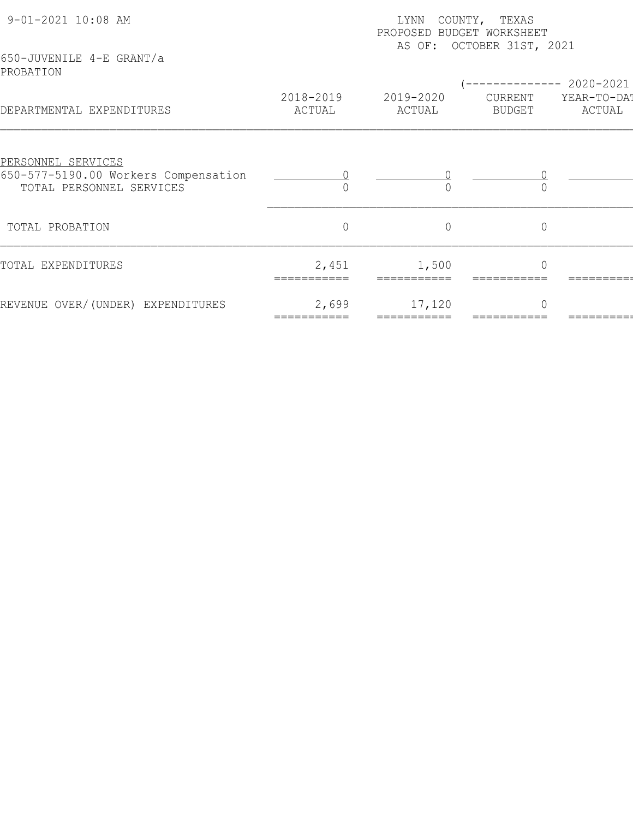| 9-01-2021 10:08 AM<br>650-JUVENILE 4-E GRANT/a                                         | COUNTY, TEXAS<br>LYNN<br>PROPOSED BUDGET WORKSHEET<br>AS OF: OCTOBER 31ST, 2021 |                |             |                          |  |  |
|----------------------------------------------------------------------------------------|---------------------------------------------------------------------------------|----------------|-------------|--------------------------|--|--|
| PROBATION                                                                              | 2018-2019                                                                       | 2019-2020      | CURRENT     | 2020-2021<br>YEAR-TO-DAT |  |  |
| DEPARTMENTAL EXPENDITURES                                                              | ACTUAL                                                                          | ACTUAL         | BUDGET      | ACTUAL                   |  |  |
| PERSONNEL SERVICES<br>650-577-5190.00 Workers Compensation<br>TOTAL PERSONNEL SERVICES |                                                                                 |                |             |                          |  |  |
| TOTAL PROBATION                                                                        | $\overline{0}$                                                                  | $\overline{0}$ | $\mathbf 0$ |                          |  |  |
| TOTAL EXPENDITURES                                                                     | 2,451                                                                           | 1,500          | $\bigcap$   |                          |  |  |
| REVENUE OVER/(UNDER) EXPENDITURES                                                      | 2,699                                                                           | 17,120         | $\bigcap$   |                          |  |  |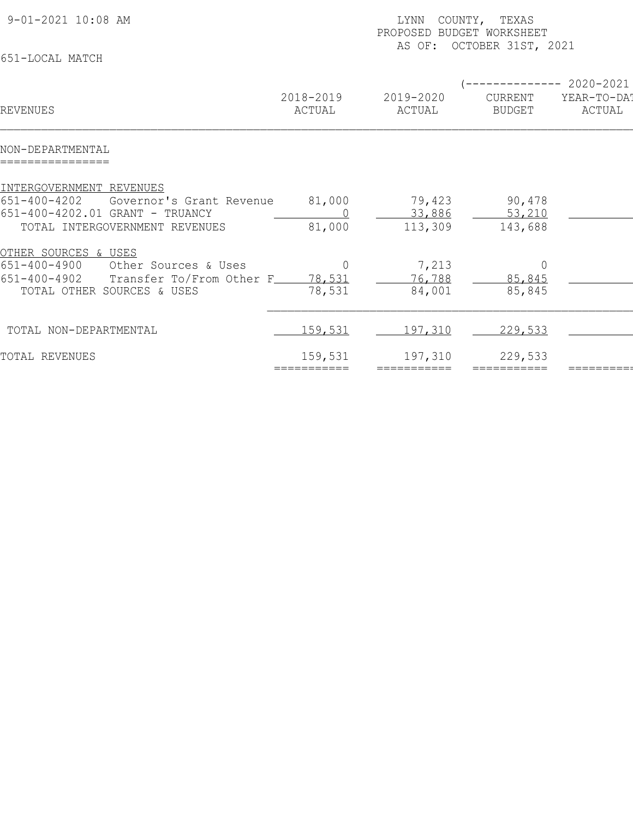| 9-01-2021 10:08 AM                                                                                                                                             | COUNTY, TEXAS<br>LYNN<br>PROPOSED BUDGET WORKSHEET<br>AS OF: OCTOBER 31ST, 2021 |                             |                                    |                                           |  |  |
|----------------------------------------------------------------------------------------------------------------------------------------------------------------|---------------------------------------------------------------------------------|-----------------------------|------------------------------------|-------------------------------------------|--|--|
| 651-LOCAL MATCH                                                                                                                                                |                                                                                 |                             |                                    |                                           |  |  |
| REVENUES                                                                                                                                                       | 2018-2019<br>ACTUAL                                                             | 2019-2020<br>ACTUAL         | CURRENT<br><b>BUDGET</b>           | $-----2020-2021$<br>YEAR-TO-DAT<br>ACTUAL |  |  |
| NON-DEPARTMENTAL                                                                                                                                               |                                                                                 |                             |                                    |                                           |  |  |
| INTERGOVERNMENT REVENUES<br>$651 - 400 - 4202$<br>Governor's Grant Revenue<br>651-400-4202.01 GRANT - TRUANCY<br>TOTAL INTERGOVERNMENT REVENUES                | 81,000<br>81,000                                                                | 79,423<br>33,886<br>113,309 | 90,478<br>53,210<br>143,688        |                                           |  |  |
| <u>OTHER SOURCES &amp; USES</u><br>$651 - 400 - 4900$<br>Other Sources & Uses<br>Transfer To/From Other F_<br>$651 - 400 - 4902$<br>TOTAL OTHER SOURCES & USES | $\Omega$<br>78,531<br>78,531                                                    | 7,213<br>76,788<br>84,001   | $\overline{0}$<br>85,845<br>85,845 |                                           |  |  |
| TOTAL NON-DEPARTMENTAL                                                                                                                                         | 159,531                                                                         | 197,310                     | 229,533                            |                                           |  |  |
| TOTAL REVENUES                                                                                                                                                 | 159,531<br>===========                                                          | 197,310<br>===========      | 229,533<br>===========             |                                           |  |  |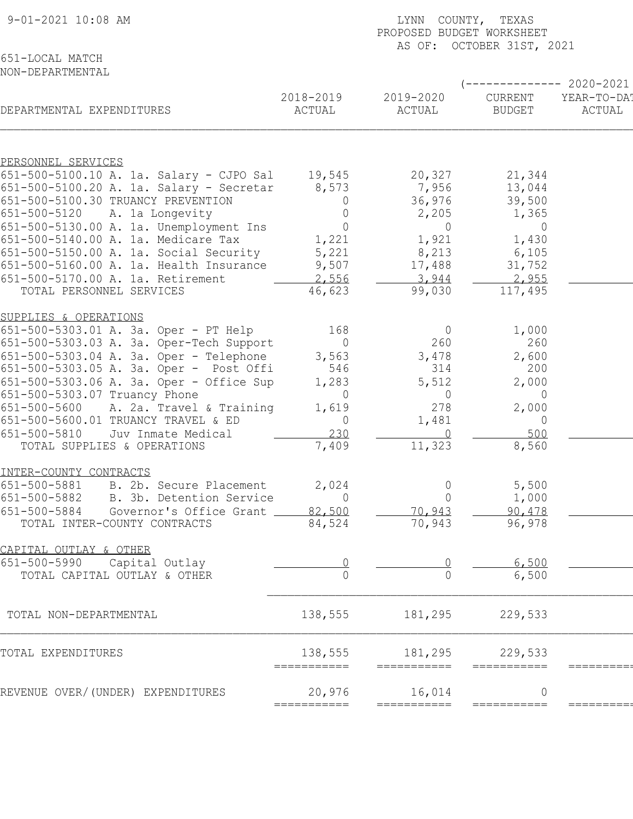| 9-01-2021 10:08 AM                                                                  |                        | LYNN COUNTY, TEXAS<br>PROPOSED BUDGET WORKSHEET |                           |             |  |  |
|-------------------------------------------------------------------------------------|------------------------|-------------------------------------------------|---------------------------|-------------|--|--|
| 651-LOCAL MATCH                                                                     |                        |                                                 | AS OF: OCTOBER 31ST, 2021 |             |  |  |
| NON-DEPARTMENTAL                                                                    |                        |                                                 |                           |             |  |  |
|                                                                                     |                        |                                                 |                           | 2020-2021   |  |  |
|                                                                                     | 2018-2019              | 2019-2020                                       | <b>CURRENT</b>            | YEAR-TO-DA! |  |  |
| DEPARTMENTAL EXPENDITURES                                                           | ACTUAL                 | ACTUAL                                          | <b>BUDGET</b>             | ACTUAL      |  |  |
|                                                                                     |                        |                                                 |                           |             |  |  |
| PERSONNEL SERVICES<br>651-500-5100.10 A. 1a. Salary - CJPO Sal                      |                        |                                                 |                           |             |  |  |
| 651-500-5100.20 A. 1a. Salary - Secretar                                            | 19,545<br>8,573        | 20,327<br>7,956                                 | 21,344<br>13,044          |             |  |  |
| 651-500-5100.30 TRUANCY PREVENTION                                                  | 0                      | 36,976                                          | 39,500                    |             |  |  |
| $651 - 500 - 5120$<br>A. 1a Longevity                                               | $\Omega$               | 2,205                                           | 1,365                     |             |  |  |
| 651-500-5130.00 A. 1a. Unemployment Ins                                             | $\mathbf 0$            | $\overline{0}$                                  | $\overline{0}$            |             |  |  |
| 651-500-5140.00 A. 1a. Medicare Tax<br>651-500-5150.00 A. 1a. Social Security       | 1,221<br>5,221         | 1,921<br>8,213                                  | 1,430<br>6,105            |             |  |  |
| 651-500-5160.00 A. 1a. Health Insurance                                             | 9,507                  | 17,488                                          | 31,752                    |             |  |  |
| 651-500-5170.00 A. 1a. Retirement                                                   | 2,556                  | 3,944                                           | 2,955                     |             |  |  |
| TOTAL PERSONNEL SERVICES                                                            | 46,623                 | 99,030                                          | 117,495                   |             |  |  |
| SUPPLIES & OPERATIONS                                                               |                        |                                                 |                           |             |  |  |
| 651-500-5303.01 A. 3a. Oper - PT Help                                               | 168                    | $\overline{0}$                                  | 1,000                     |             |  |  |
| 651-500-5303.03 A. 3a. Oper-Tech Support                                            | $\Omega$               | 260                                             | 260                       |             |  |  |
| 651-500-5303.04 A. 3a. Oper - Telephone                                             | 3,563                  | 3,478                                           | 2,600                     |             |  |  |
| 651-500-5303.05 A. 3a. Oper - Post Offi<br>651-500-5303.06 A. 3a. Oper - Office Sup | 546<br>1,283           | 314<br>5,512                                    | 200<br>2,000              |             |  |  |
| 651-500-5303.07 Truancy Phone                                                       | $\Omega$               | $\overline{0}$                                  | $\Omega$                  |             |  |  |
| 651-500-5600<br>A. 2a. Travel & Training                                            | 1,619                  | 278                                             | 2,000                     |             |  |  |
| 651-500-5600.01 TRUANCY TRAVEL & ED                                                 | $\overline{0}$         | 1,481                                           | $\overline{0}$            |             |  |  |
| 651-500-5810<br>Juv Inmate Medical                                                  | 230                    |                                                 | 500                       |             |  |  |
| TOTAL SUPPLIES & OPERATIONS                                                         | 7,409                  | 11,323                                          | 8,560                     |             |  |  |
| INTER-COUNTY CONTRACTS                                                              |                        |                                                 |                           |             |  |  |
| 651-500-5881<br>B. 2b. Secure Placement                                             | 2,024                  | 0                                               | 5,500                     |             |  |  |
| 651-500-5882<br>B. 3b. Detention Service                                            | $\Omega$               | $\Omega$                                        | 1,000                     |             |  |  |
| 651-500-5884<br>Governor's Office Grant                                             | 82,500                 | 70,943                                          | 90,478                    |             |  |  |
| TOTAL INTER-COUNTY CONTRACTS                                                        | 84,524                 | 70,943                                          | 96,978                    |             |  |  |
| CAPITAL OUTLAY & OTHER                                                              |                        |                                                 |                           |             |  |  |
| 651-500-5990<br>Capital Outlay                                                      |                        |                                                 | 6,500                     |             |  |  |
| TOTAL CAPITAL OUTLAY & OTHER                                                        |                        |                                                 | 6,500                     |             |  |  |
| TOTAL NON-DEPARTMENTAL                                                              | 138,555                | 181,295                                         | 229,533                   |             |  |  |
| TOTAL EXPENDITURES                                                                  | 138,555<br>=========== | 181,295<br>===========                          | 229,533<br>===========    |             |  |  |
| REVENUE OVER/(UNDER) EXPENDITURES                                                   | 20,976                 | 16,014                                          | 0                         |             |  |  |
|                                                                                     | ===========            |                                                 | ===========               |             |  |  |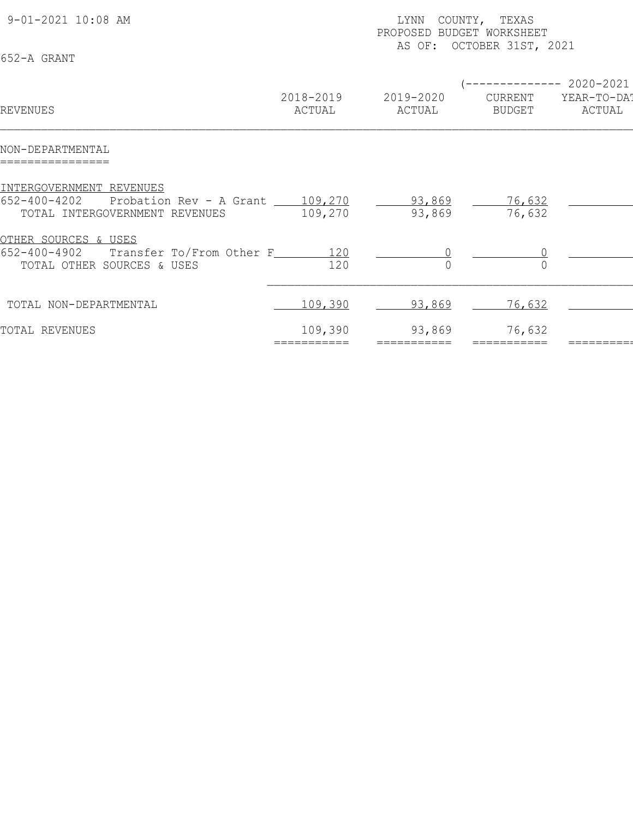| 9-01-2021 10:08 AM<br>652-A GRANT                                                                          |                        | COUNTY, TEXAS<br>LYNN<br>PROPOSED BUDGET WORKSHEET<br>AS OF: OCTOBER 31ST, 2021 |                                                |                       |  |  |
|------------------------------------------------------------------------------------------------------------|------------------------|---------------------------------------------------------------------------------|------------------------------------------------|-----------------------|--|--|
| REVENUES                                                                                                   | 2018-2019<br>ACTUAL    | 2019-2020<br>ACTUAL                                                             | (-------------- 2020-2021<br>CURRENT<br>BUDGET | YEAR-TO-DAT<br>ACTUAL |  |  |
| NON-DEPARTMENTAL<br>================                                                                       |                        |                                                                                 |                                                |                       |  |  |
| INTERGOVERNMENT REVENUES<br>652-400-4202 Probation Rev - A Grant 109,270<br>TOTAL INTERGOVERNMENT REVENUES | 109,270                | 93,869<br>93,869                                                                | 76,632<br>76,632                               |                       |  |  |
| OTHER SOURCES & USES<br>652-400-4902<br>Transfer To/From Other F_______ 120<br>TOTAL OTHER SOURCES & USES  | 120                    |                                                                                 |                                                |                       |  |  |
| TOTAL NON-DEPARTMENTAL                                                                                     | 109,390                | 93,869                                                                          | 76,632                                         |                       |  |  |
| TOTAL REVENUES                                                                                             | 109,390<br>=========== | 93,869<br>===========                                                           | 76,632                                         |                       |  |  |
|                                                                                                            |                        |                                                                                 |                                                |                       |  |  |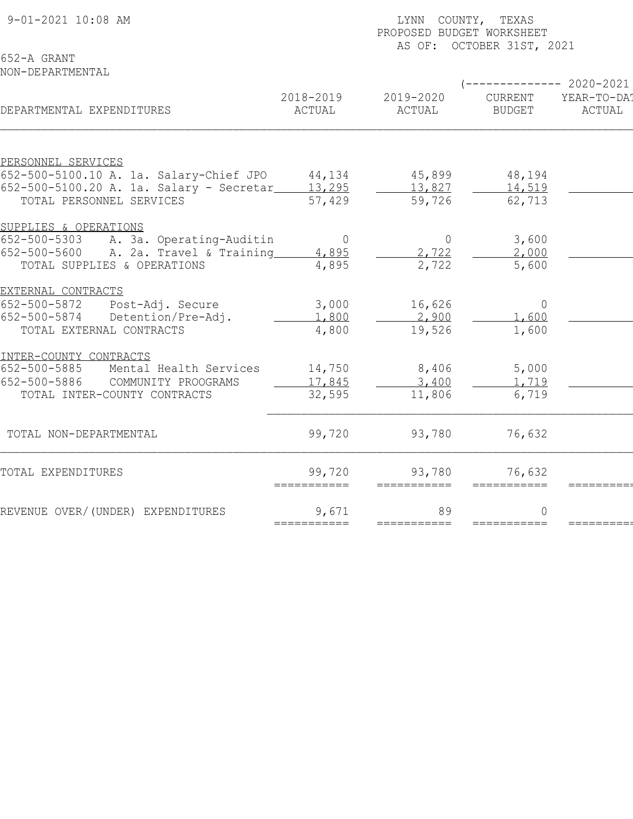|                                                               | PROPOSED BUDGET WORKSHEET |                |                           |                        |  |  |
|---------------------------------------------------------------|---------------------------|----------------|---------------------------|------------------------|--|--|
| 652-A GRANT                                                   |                           |                | AS OF: OCTOBER 31ST, 2021 |                        |  |  |
| NON-DEPARTMENTAL                                              |                           |                |                           |                        |  |  |
|                                                               |                           |                |                           | ------------ 2020-2021 |  |  |
|                                                               | 2018-2019                 | 2019-2020      | CURRENT                   | YEAR-TO-DA!            |  |  |
| DEPARTMENTAL EXPENDITURES                                     | ACTUAL                    | ACTUAL         | <b>BUDGET</b>             | ACTUAL                 |  |  |
|                                                               |                           |                |                           |                        |  |  |
| PERSONNEL SERVICES<br>652-500-5100.10 A. 1a. Salary-Chief JPO | 44,134                    | 45,899         | 48,194                    |                        |  |  |
| 652-500-5100.20 A. 1a. Salary - Secretar_                     | 13,295                    | 13,827         | 14,519                    |                        |  |  |
| TOTAL PERSONNEL SERVICES                                      | 57,429                    | 59,726         | 62,713                    |                        |  |  |
| SUPPLIES & OPERATIONS                                         |                           |                |                           |                        |  |  |
| 652-500-5303<br>A. 3a. Operating-Auditin                      | $\mathbf 0$               | $\overline{0}$ | 3,600                     |                        |  |  |
| A. 2a. Travel & Training<br>652-500-5600                      | 4,895                     | 2,722          | 2,000                     |                        |  |  |
| TOTAL SUPPLIES & OPERATIONS                                   | 4,895                     | 2,722          | 5,600                     |                        |  |  |
| EXTERNAL CONTRACTS                                            |                           |                |                           |                        |  |  |
| 652-500-5872<br>Post-Adj. Secure                              | 3,000                     | 16,626         | $\circ$                   |                        |  |  |
| 652-500-5874<br>Detention/Pre-Adj.                            | 1,800                     | 2,900          | 1,600                     |                        |  |  |
| TOTAL EXTERNAL CONTRACTS                                      | 4,800                     | 19,526         | 1,600                     |                        |  |  |
| INTER-COUNTY CONTRACTS                                        |                           |                |                           |                        |  |  |
| 652-500-5885<br>Mental Health Services                        | 14,750                    | 8,406          | 5,000                     |                        |  |  |
| 652-500-5886<br>COMMUNITY PROOGRAMS                           | 17,845                    | 3,400          | 1,719                     |                        |  |  |
| TOTAL INTER-COUNTY CONTRACTS                                  | 32,595                    | 11,806         | 6,719                     |                        |  |  |
| TOTAL NON-DEPARTMENTAL                                        | 99,720                    | 93,780         | 76,632                    |                        |  |  |
|                                                               |                           |                |                           |                        |  |  |
| TOTAL EXPENDITURES                                            | 99,720<br>===========     | 93,780         | 76,632                    |                        |  |  |
| REVENUE OVER/(UNDER) EXPENDITURES                             | 9,671                     | 89             | $\Omega$                  |                        |  |  |

9-01-2021 10:08 AM **LYNN** COUNTY, TEXAS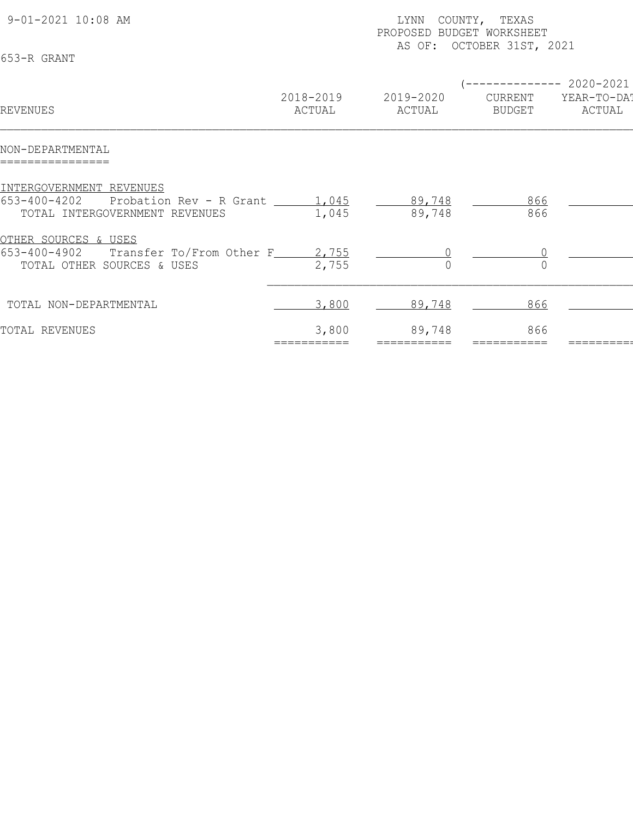| 9-01-2021 10:08 AM<br>653-R GRANT                                                                        |                      | COUNTY, TEXAS<br>LYNN<br>PROPOSED BUDGET WORKSHEET<br>AS OF: OCTOBER 31ST, 2021 |                                                |                       |  |  |
|----------------------------------------------------------------------------------------------------------|----------------------|---------------------------------------------------------------------------------|------------------------------------------------|-----------------------|--|--|
| REVENUES                                                                                                 | 2018-2019<br>ACTUAL  | 2019-2020<br>ACTUAL                                                             | (-------------- 2020-2021<br>CURRENT<br>BUDGET | YEAR-TO-DAT<br>ACTUAL |  |  |
| NON-DEPARTMENTAL<br>================                                                                     |                      |                                                                                 |                                                |                       |  |  |
| INTERGOVERNMENT REVENUES<br>653-400-4202 Probation Rev - R Grant 1,045<br>TOTAL INTERGOVERNMENT REVENUES | 1,045                | 89,748<br>89,748                                                                | 866<br>866                                     |                       |  |  |
| OTHER SOURCES & USES<br>653-400-4902 Transfer To/From Other F_____ 2,755<br>TOTAL OTHER SOURCES & USES   | 2,755                |                                                                                 |                                                |                       |  |  |
| TOTAL NON-DEPARTMENTAL                                                                                   | 3,800                | 89,748                                                                          | 866                                            |                       |  |  |
| TOTAL REVENUES                                                                                           | 3,800<br>=========== | 89,748<br>===========                                                           | 866                                            |                       |  |  |
|                                                                                                          |                      |                                                                                 |                                                |                       |  |  |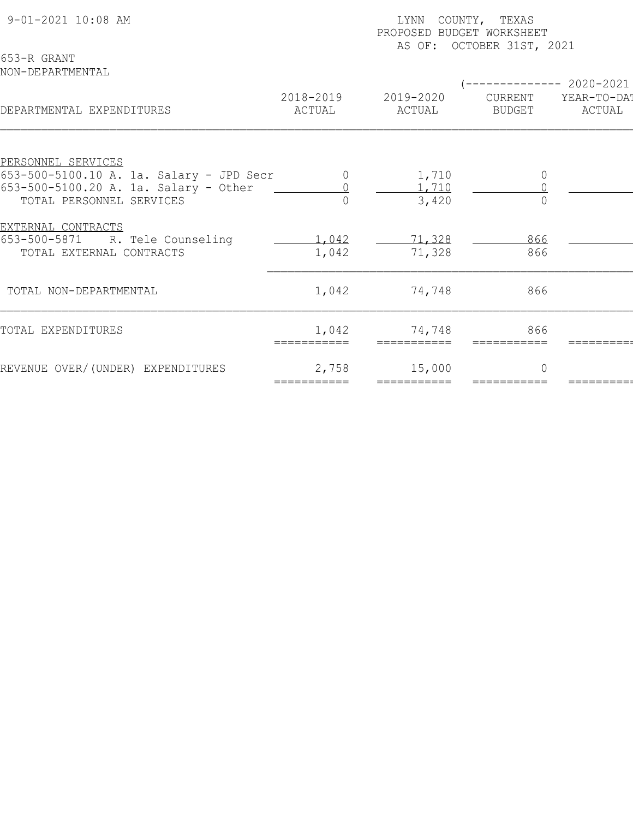| 9-01-2021 10:08 AM<br>653-R GRANT        | COUNTY, TEXAS<br>LYNN<br>PROPOSED BUDGET WORKSHEET<br>AS OF: OCTOBER 31ST, 2021 |                       |                |                                     |  |  |
|------------------------------------------|---------------------------------------------------------------------------------|-----------------------|----------------|-------------------------------------|--|--|
| NON-DEPARTMENTAL                         | 2018-2019                                                                       | 2019-2020             | CURRENT        | $-------- 2020-2021$<br>YEAR-TO-DAT |  |  |
| DEPARTMENTAL EXPENDITURES                | ACTUAL                                                                          | ACTUAL                | <b>BUDGET</b>  | ACTUAL                              |  |  |
| PERSONNEL SERVICES                       |                                                                                 |                       |                |                                     |  |  |
| 653-500-5100.10 A. 1a. Salary - JPD Secr | $\cup$                                                                          | 1,710                 | $\overline{0}$ |                                     |  |  |
| 653-500-5100.20 A. 1a. Salary - Other    |                                                                                 | 1,710                 |                |                                     |  |  |
| TOTAL PERSONNEL SERVICES                 | $\cap$                                                                          | 3,420                 |                |                                     |  |  |
| <u>EXTERNAL CONTRACTS</u>                |                                                                                 |                       |                |                                     |  |  |
| 653-500-5871<br>R. Tele Counseling       | 1,042                                                                           | 71,328                | 866            |                                     |  |  |
| TOTAL EXTERNAL CONTRACTS                 | 1,042                                                                           | 71,328                | 866            |                                     |  |  |
| TOTAL NON-DEPARTMENTAL                   | 1,042                                                                           | 74,748                | 866            |                                     |  |  |
| TOTAL EXPENDITURES                       | 1,042<br>===========                                                            | 74,748<br>=========== | 866            |                                     |  |  |
| REVENUE OVER/(UNDER) EXPENDITURES        | 2,758<br>===========                                                            | 15,000<br>=========== | $\Omega$       |                                     |  |  |
|                                          |                                                                                 |                       |                |                                     |  |  |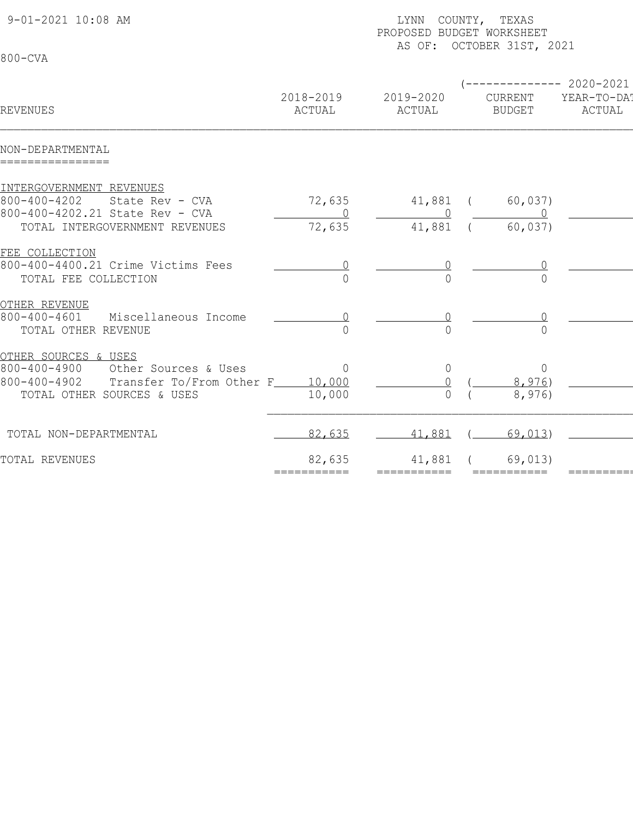| 9-01-2021 10:08 AM<br>LYNN COUNTY, TEXAS<br>PROPOSED BUDGET WORKSHEET<br>AS OF: OCTOBER 31ST, 2021 |                       |                       |                          |                        |
|----------------------------------------------------------------------------------------------------|-----------------------|-----------------------|--------------------------|------------------------|
| 800-CVA                                                                                            |                       |                       |                          |                        |
|                                                                                                    |                       |                       |                          | ------------ 2020-2021 |
| REVENUES                                                                                           | 2018-2019<br>ACTUAL   | 2019-2020<br>ACTUAL   | CURRENT<br><b>BUDGET</b> | YEAR-TO-DA!<br>ACTUAL  |
| NON-DEPARTMENTAL<br>================                                                               |                       |                       |                          |                        |
| INTERGOVERNMENT REVENUES                                                                           |                       |                       |                          |                        |
| $800 - 400 - 4202$<br>State Rev - CVA                                                              | 72,635                | 41,881 (              | 60,037)                  |                        |
| 800-400-4202.21 State Rev - CVA                                                                    |                       |                       |                          |                        |
| TOTAL INTERGOVERNMENT REVENUES                                                                     | 72,635                | 41,881                | 60,037)                  |                        |
| FEE COLLECTION                                                                                     |                       |                       |                          |                        |
| 800-400-4400.21 Crime Victims Fees                                                                 |                       |                       |                          |                        |
| TOTAL FEE COLLECTION                                                                               |                       |                       | $\bigcap$                |                        |
| OTHER REVENUE                                                                                      |                       |                       |                          |                        |
| $800 - 400 - 4601$<br>Miscellaneous Income                                                         |                       |                       |                          |                        |
| TOTAL OTHER REVENUE                                                                                | 0                     |                       | $\Omega$                 |                        |
| <u>OTHER SOURCES &amp; USES</u>                                                                    |                       |                       |                          |                        |
| $800 - 400 - 4900$<br>Other Sources & Uses                                                         | $\overline{0}$        | $\overline{0}$        | $\overline{0}$           |                        |
| 800-400-4902<br>Transfer To/From Other F_____ 10,000                                               |                       |                       | 8,976)                   |                        |
| TOTAL OTHER SOURCES & USES                                                                         | 10,000                | $\overline{0}$        | 8,976)                   |                        |
| TOTAL NON-DEPARTMENTAL                                                                             | 82,635                | 41,881                | 69,013                   |                        |
| TOTAL REVENUES                                                                                     |                       |                       |                          |                        |
|                                                                                                    | 82,635<br>=========== | 41,881<br>=========== | 69,013)<br>===========   |                        |
|                                                                                                    |                       |                       |                          |                        |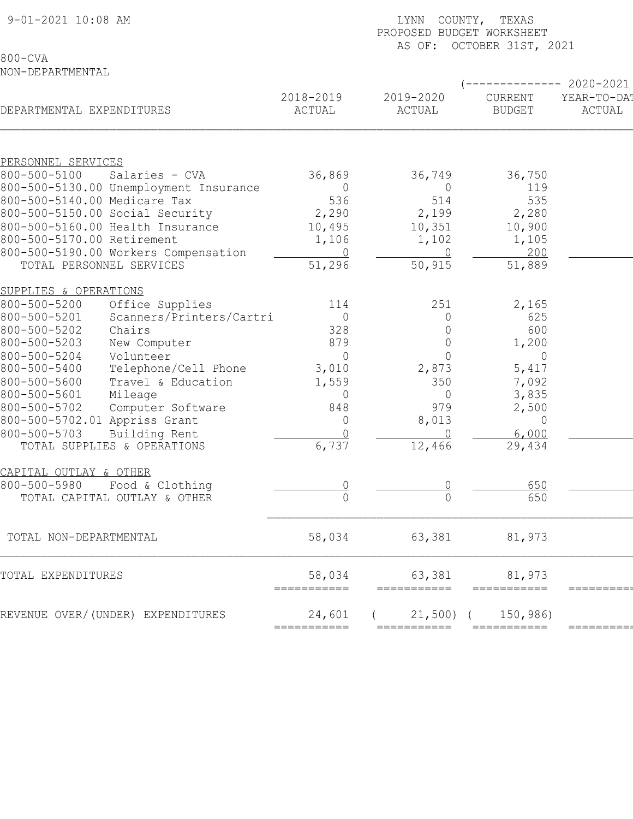| 9-01-2021 10:08 AM                       | COUNTY, TEXAS<br>LYNN<br>PROPOSED BUDGET WORKSHEET<br>AS OF: OCTOBER 31ST, 2021 |                       |                          |                       |  |
|------------------------------------------|---------------------------------------------------------------------------------|-----------------------|--------------------------|-----------------------|--|
| $800 - CVA$                              |                                                                                 |                       |                          |                       |  |
| NON-DEPARTMENTAL                         |                                                                                 |                       |                          |                       |  |
|                                          |                                                                                 |                       |                          | 2020-2021             |  |
| DEPARTMENTAL EXPENDITURES                | 2018-2019<br>ACTUAL                                                             | 2019-2020<br>ACTUAL   | CURRENT<br><b>BUDGET</b> | YEAR-TO-DA!<br>ACTUAL |  |
|                                          |                                                                                 |                       |                          |                       |  |
| PERSONNEL SERVICES                       |                                                                                 |                       |                          |                       |  |
| 800-500-5100<br>Salaries - CVA           | 36,869                                                                          | 36,749                | 36,750                   |                       |  |
| 800-500-5130.00 Unemployment Insurance   | $\Omega$                                                                        | $\overline{0}$        | 119                      |                       |  |
| 800-500-5140.00 Medicare Tax             | 536                                                                             | 514                   | 535                      |                       |  |
| 800-500-5150.00 Social Security          | 2,290                                                                           | 2,199                 | 2,280                    |                       |  |
| 800-500-5160.00 Health Insurance         | 10,495                                                                          | 10, 351               | 10,900                   |                       |  |
| 800-500-5170.00 Retirement               | 1,106                                                                           | 1,102                 | 1,105                    |                       |  |
| 800-500-5190.00 Workers Compensation     | $\overline{0}$                                                                  | $\Omega$              | 200                      |                       |  |
| TOTAL PERSONNEL SERVICES                 | 51,296                                                                          | 50,915                | 51,889                   |                       |  |
| SUPPLIES & OPERATIONS                    |                                                                                 |                       |                          |                       |  |
| 800-500-5200<br>Office Supplies          | 114                                                                             | 251                   | 2,165                    |                       |  |
| 800-500-5201<br>Scanners/Printers/Cartri | $\overline{0}$                                                                  | $\overline{0}$        | 625                      |                       |  |
| 800-500-5202<br>Chairs                   | 328                                                                             | $\Omega$              | 600                      |                       |  |
| 800-500-5203<br>New Computer             | 879                                                                             | $\overline{0}$        | 1,200                    |                       |  |
| Volunteer<br>$800 - 500 - 5204$          | $\Omega$                                                                        | $\overline{0}$        | 0                        |                       |  |
| Telephone/Cell Phone<br>800-500-5400     | 3,010                                                                           | 2,873                 | 5,417                    |                       |  |
| 800-500-5600<br>Travel & Education       | 1,559                                                                           | 350                   | 7,092                    |                       |  |
| 800-500-5601<br>Mileage                  | 0                                                                               | $\overline{0}$        | 3,835                    |                       |  |
| 800-500-5702<br>Computer Software        | 848                                                                             | 979                   | 2,500                    |                       |  |
| 800-500-5702.01 Appriss Grant            | $\overline{0}$                                                                  | 8,013                 | $\theta$                 |                       |  |
| 800-500-5703<br>Building Rent            | $\cap$                                                                          | $\cap$                | 6,000                    |                       |  |
| TOTAL SUPPLIES & OPERATIONS              | 6,737                                                                           | 12,466                | 29,434                   |                       |  |
| CAPITAL OUTLAY & OTHER                   |                                                                                 |                       |                          |                       |  |
| 800-500-5980<br>Food & Clothing          |                                                                                 |                       | 650                      |                       |  |
| TOTAL CAPITAL OUTLAY & OTHER             |                                                                                 |                       | 650                      |                       |  |
|                                          |                                                                                 |                       |                          |                       |  |
| TOTAL NON-DEPARTMENTAL                   | 58,034                                                                          | 63,381                | 81,973                   |                       |  |
| TOTAL EXPENDITURES                       | 58,034<br>===========                                                           | 63,381<br>=========== | 81,973<br>===========    |                       |  |
| REVENUE OVER/(UNDER) EXPENDITURES        | 24,601                                                                          | $21,500$ (            | 150,986)                 |                       |  |
|                                          | ===========                                                                     |                       |                          |                       |  |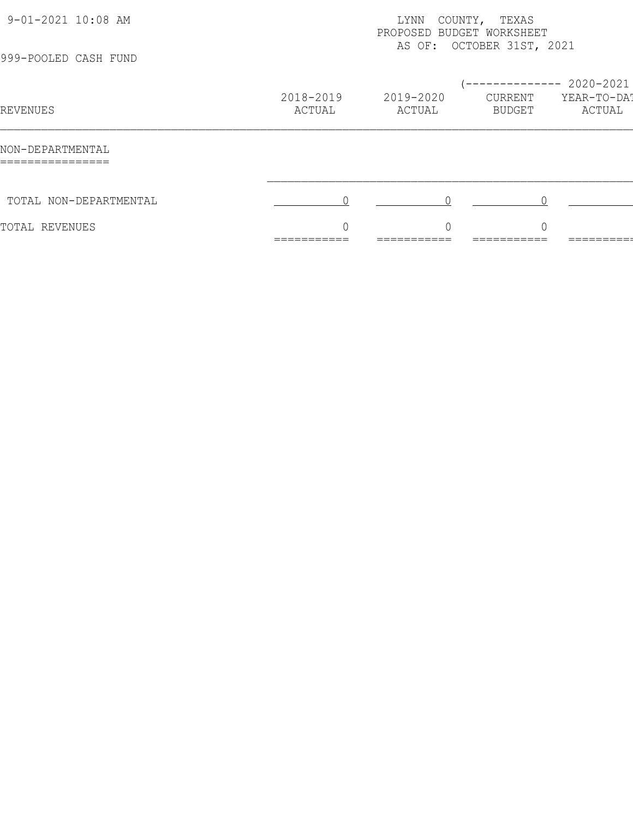| 9-01-2021 10:08 AM<br>999-POOLED CASH FUND               | TEXAS<br>COUNTY,<br>LYNN<br>PROPOSED BUDGET WORKSHEET<br>AS OF: OCTOBER 31ST, 2021 |                                      |                                           |                                    |  |
|----------------------------------------------------------|------------------------------------------------------------------------------------|--------------------------------------|-------------------------------------------|------------------------------------|--|
| REVENUES                                                 | 2018-2019<br>ACTUAL                                                                | 2019-2020<br>ACTUAL                  | -------------<br>CURRENT<br><b>BUDGET</b> | 2020-2021<br>YEAR-TO-DAT<br>ACTUAL |  |
| NON-DEPARTMENTAL<br>________________<br>________________ |                                                                                    |                                      |                                           |                                    |  |
| TOTAL NON-DEPARTMENTAL                                   |                                                                                    |                                      |                                           |                                    |  |
| TOTAL REVENUES                                           | $\sqrt{ }$<br>___________<br>___________                                           | $\cap$<br>___________<br>___________ | ∩<br>___________<br>___________           | _________<br>—————————             |  |